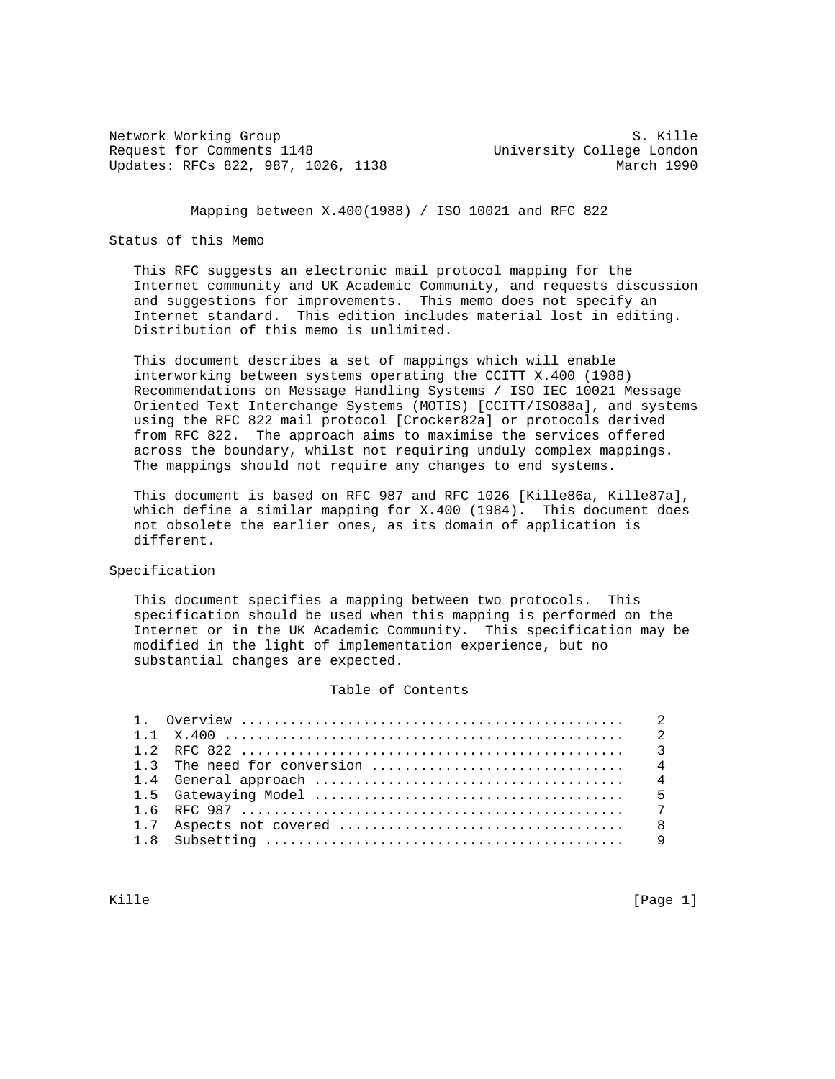Network Working Group S. Kille Request for Comments 1148 University College London Updates: RFCs 822, 987, 1026, 1138 March 1990

Mapping between X.400(1988) / ISO 10021 and RFC 822

# Status of this Memo

 This RFC suggests an electronic mail protocol mapping for the Internet community and UK Academic Community, and requests discussion and suggestions for improvements. This memo does not specify an Internet standard. This edition includes material lost in editing. Distribution of this memo is unlimited.

 This document describes a set of mappings which will enable interworking between systems operating the CCITT X.400 (1988) Recommendations on Message Handling Systems / ISO IEC 10021 Message Oriented Text Interchange Systems (MOTIS) [CCITT/ISO88a], and systems using the RFC 822 mail protocol [Crocker82a] or protocols derived from RFC 822. The approach aims to maximise the services offered across the boundary, whilst not requiring unduly complex mappings. The mappings should not require any changes to end systems.

 This document is based on RFC 987 and RFC 1026 [Kille86a, Kille87a], which define a similar mapping for X.400 (1984). This document does not obsolete the earlier ones, as its domain of application is different.

# Specification

 This document specifies a mapping between two protocols. This specification should be used when this mapping is performed on the Internet or in the UK Academic Community. This specification may be modified in the light of implementation experience, but no substantial changes are expected.

### Table of Contents

Kille [Page 1] [Page 1] [Page 1] [Page 1] [Page 1] [Page 1]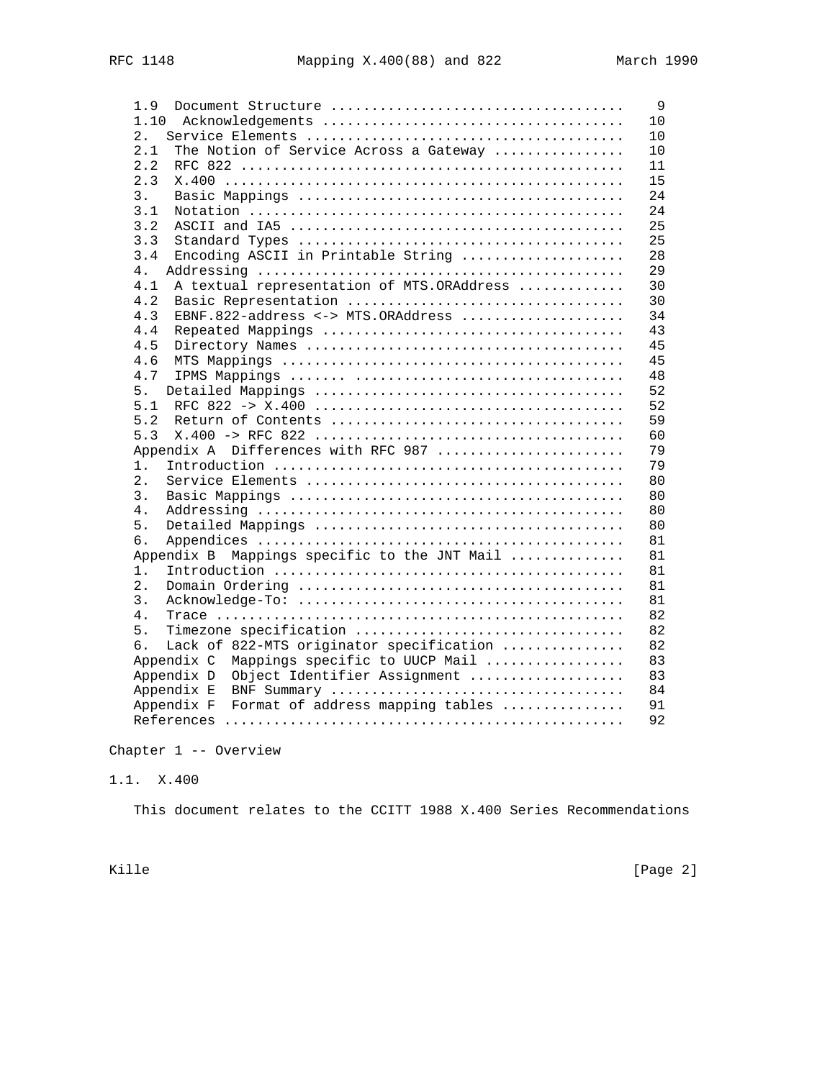| 1.9                                              | 9  |
|--------------------------------------------------|----|
| 1.10                                             | 10 |
| 2.                                               | 10 |
| 2.1<br>The Notion of Service Across a Gateway    | 10 |
| 2.2                                              | 11 |
| 2.3                                              | 15 |
| 3.                                               | 24 |
| 3.1                                              | 24 |
| 3.2                                              | 25 |
| 3.3                                              | 25 |
| Encoding ASCII in Printable String<br>3.4        | 28 |
| 4.                                               | 29 |
| A textual representation of MTS.ORAddress<br>4.1 | 30 |
| 4.2<br>Basic Representation                      | 30 |
| EBNF.822-address <-> MTS.ORAddress<br>4.3        | 34 |
| 4.4                                              | 43 |
| 4.5                                              | 45 |
| 4.6                                              | 45 |
| 4.7                                              | 48 |
| 5.                                               | 52 |
| 5.1                                              | 52 |
| 5.2                                              | 59 |
| 5.3                                              | 60 |
| Appendix A Differences with RFC 987              | 79 |
| $1$ .                                            | 79 |
| 2.                                               | 80 |
| 3.                                               | 80 |
| 4.                                               | 80 |
| 5.                                               | 80 |
| б.                                               | 81 |
| Appendix B Mappings specific to the JNT Mail     | 81 |
| $1$ .                                            | 81 |
| 2.                                               | 81 |
| 3.                                               | 81 |
| 4.                                               | 82 |
| Timezone specification<br>5.                     | 82 |
| Lack of 822-MTS originator specification<br>б.   | 82 |
| Appendix C Mappings specific to UUCP Mail        | 83 |
| Object Identifier Assignment<br>Appendix D       | 83 |
| Appendix E                                       | 84 |
| Appendix F<br>Format of address mapping tables   | 91 |
|                                                  | 92 |

Chapter 1 -- Overview

1.1. X.400

This document relates to the CCITT 1988 X.400 Series Recommendations

Kille [Page 2]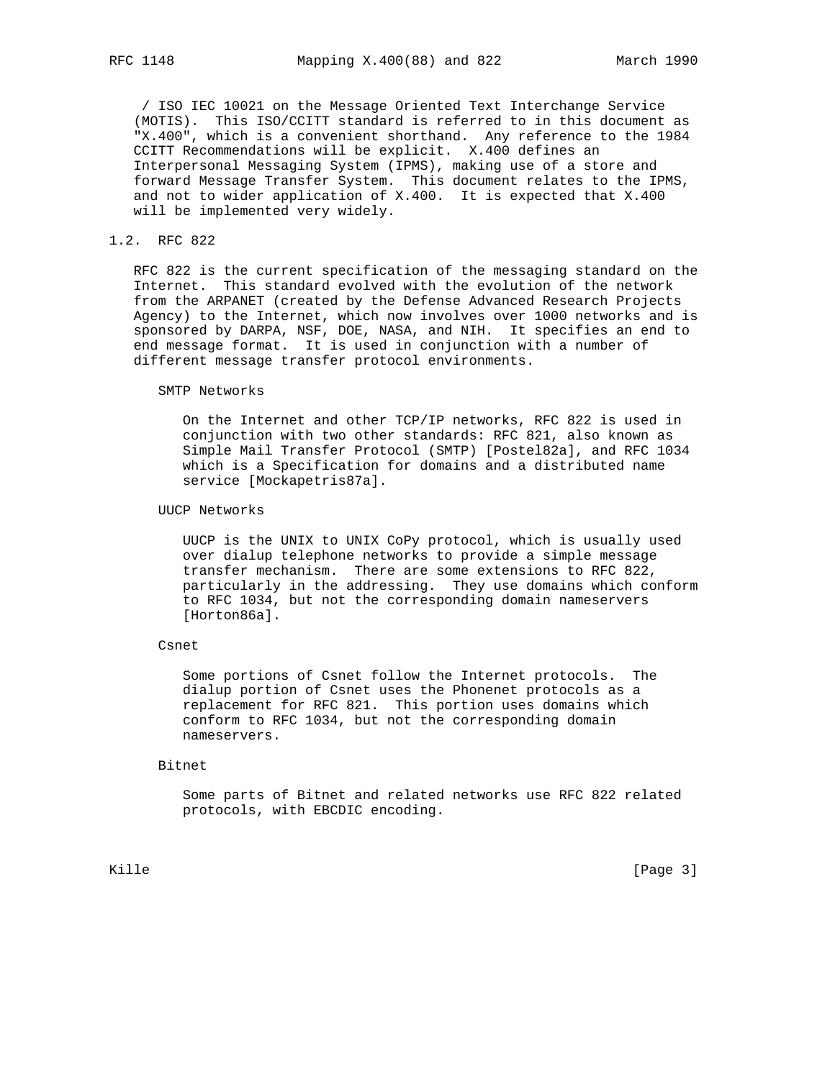/ ISO IEC 10021 on the Message Oriented Text Interchange Service (MOTIS). This ISO/CCITT standard is referred to in this document as "X.400", which is a convenient shorthand. Any reference to the 1984 CCITT Recommendations will be explicit. X.400 defines an Interpersonal Messaging System (IPMS), making use of a store and forward Message Transfer System. This document relates to the IPMS, and not to wider application of X.400. It is expected that X.400 will be implemented very widely.

## 1.2. RFC 822

 RFC 822 is the current specification of the messaging standard on the Internet. This standard evolved with the evolution of the network from the ARPANET (created by the Defense Advanced Research Projects Agency) to the Internet, which now involves over 1000 networks and is sponsored by DARPA, NSF, DOE, NASA, and NIH. It specifies an end to end message format. It is used in conjunction with a number of different message transfer protocol environments.

SMTP Networks

 On the Internet and other TCP/IP networks, RFC 822 is used in conjunction with two other standards: RFC 821, also known as Simple Mail Transfer Protocol (SMTP) [Postel82a], and RFC 1034 which is a Specification for domains and a distributed name service [Mockapetris87a].

UUCP Networks

 UUCP is the UNIX to UNIX CoPy protocol, which is usually used over dialup telephone networks to provide a simple message transfer mechanism. There are some extensions to RFC 822, particularly in the addressing. They use domains which conform to RFC 1034, but not the corresponding domain nameservers [Horton86a].

## Csnet

 Some portions of Csnet follow the Internet protocols. The dialup portion of Csnet uses the Phonenet protocols as a replacement for RFC 821. This portion uses domains which conform to RFC 1034, but not the corresponding domain nameservers.

Bitnet

 Some parts of Bitnet and related networks use RFC 822 related protocols, with EBCDIC encoding.

Kille [Page 3]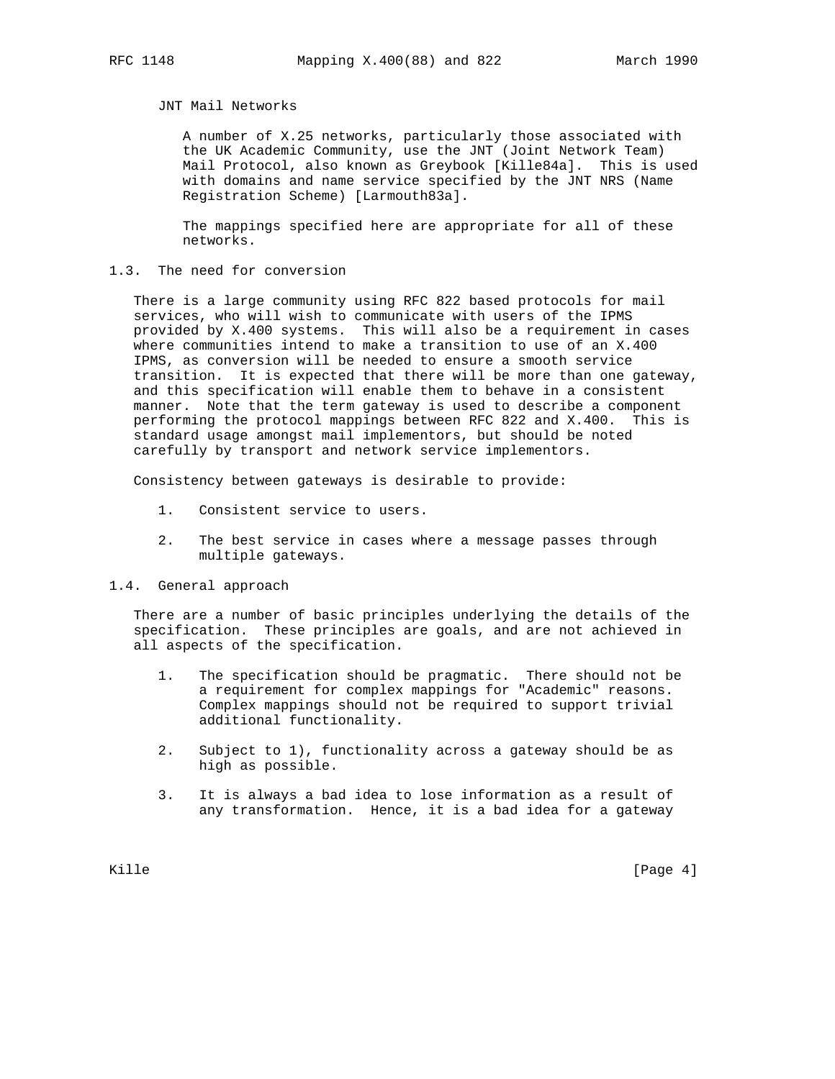# JNT Mail Networks

 A number of X.25 networks, particularly those associated with the UK Academic Community, use the JNT (Joint Network Team) Mail Protocol, also known as Greybook [Kille84a]. This is used with domains and name service specified by the JNT NRS (Name Registration Scheme) [Larmouth83a].

 The mappings specified here are appropriate for all of these networks.

# 1.3. The need for conversion

 There is a large community using RFC 822 based protocols for mail services, who will wish to communicate with users of the IPMS provided by X.400 systems. This will also be a requirement in cases where communities intend to make a transition to use of an X.400 IPMS, as conversion will be needed to ensure a smooth service transition. It is expected that there will be more than one gateway, and this specification will enable them to behave in a consistent manner. Note that the term gateway is used to describe a component performing the protocol mappings between RFC 822 and X.400. This is standard usage amongst mail implementors, but should be noted carefully by transport and network service implementors.

Consistency between gateways is desirable to provide:

- 1. Consistent service to users.
- 2. The best service in cases where a message passes through multiple gateways.
- 1.4. General approach

 There are a number of basic principles underlying the details of the specification. These principles are goals, and are not achieved in all aspects of the specification.

- 1. The specification should be pragmatic. There should not be a requirement for complex mappings for "Academic" reasons. Complex mappings should not be required to support trivial additional functionality.
- 2. Subject to 1), functionality across a gateway should be as high as possible.
- 3. It is always a bad idea to lose information as a result of any transformation. Hence, it is a bad idea for a gateway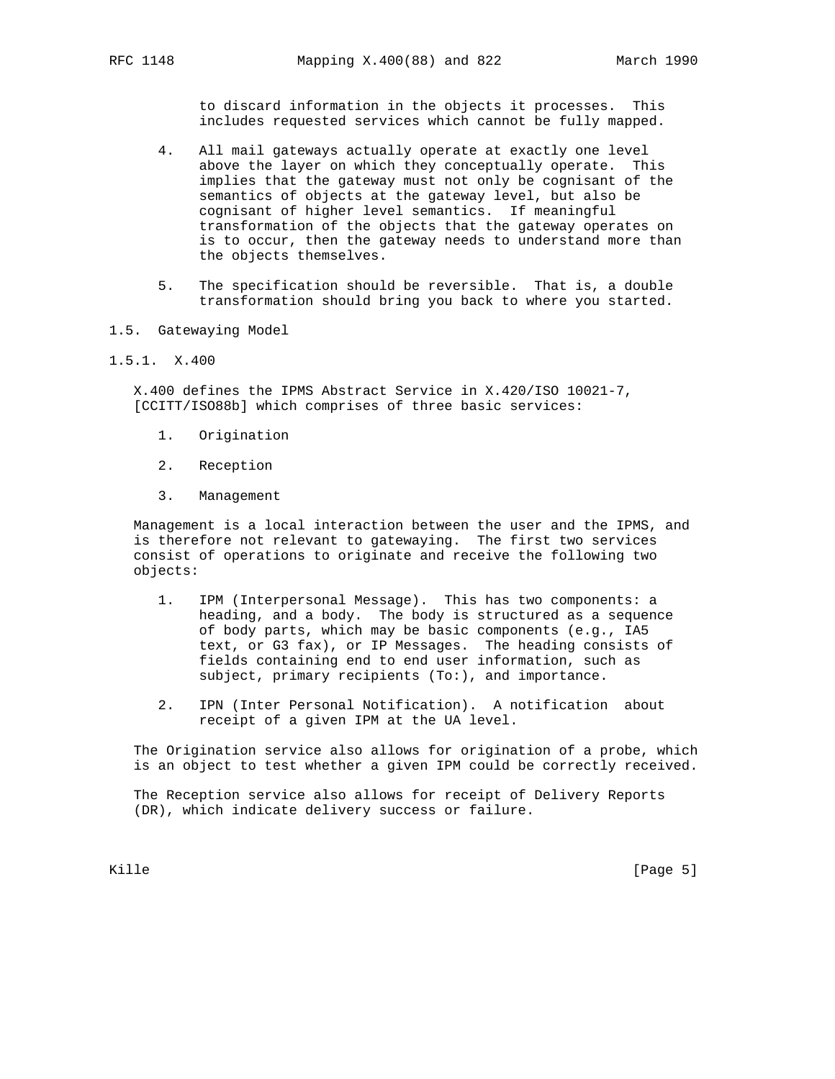to discard information in the objects it processes. This includes requested services which cannot be fully mapped.

- 4. All mail gateways actually operate at exactly one level above the layer on which they conceptually operate. This implies that the gateway must not only be cognisant of the semantics of objects at the gateway level, but also be cognisant of higher level semantics. If meaningful transformation of the objects that the gateway operates on is to occur, then the gateway needs to understand more than the objects themselves.
- 5. The specification should be reversible. That is, a double transformation should bring you back to where you started.
- 1.5. Gatewaying Model
- 1.5.1. X.400

 X.400 defines the IPMS Abstract Service in X.420/ISO 10021-7, [CCITT/ISO88b] which comprises of three basic services:

- 1. Origination
- 2. Reception
- 3. Management

 Management is a local interaction between the user and the IPMS, and is therefore not relevant to gatewaying. The first two services consist of operations to originate and receive the following two objects:

- 1. IPM (Interpersonal Message). This has two components: a heading, and a body. The body is structured as a sequence of body parts, which may be basic components (e.g., IA5 text, or G3 fax), or IP Messages. The heading consists of fields containing end to end user information, such as subject, primary recipients (To:), and importance.
- 2. IPN (Inter Personal Notification). A notification about receipt of a given IPM at the UA level.

 The Origination service also allows for origination of a probe, which is an object to test whether a given IPM could be correctly received.

 The Reception service also allows for receipt of Delivery Reports (DR), which indicate delivery success or failure.

Kille [Page 5]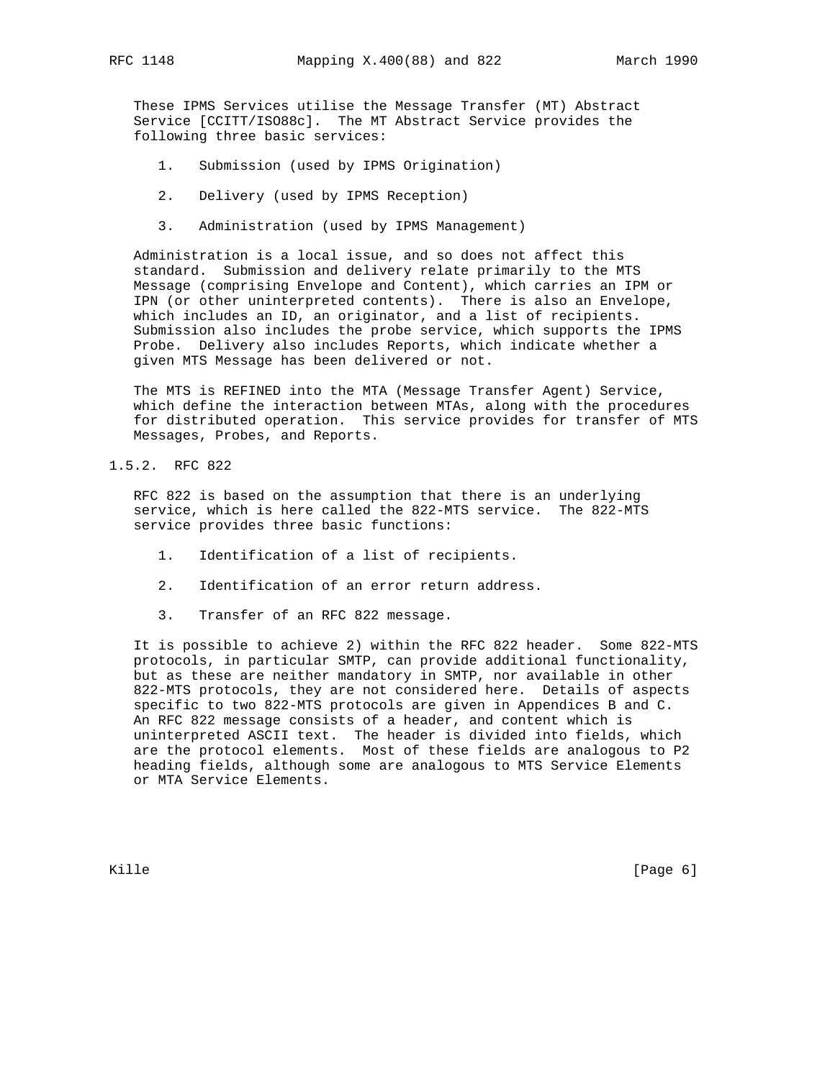These IPMS Services utilise the Message Transfer (MT) Abstract Service [CCITT/ISO88c]. The MT Abstract Service provides the following three basic services:

- 1. Submission (used by IPMS Origination)
- 2. Delivery (used by IPMS Reception)
- 3. Administration (used by IPMS Management)

 Administration is a local issue, and so does not affect this standard. Submission and delivery relate primarily to the MTS Message (comprising Envelope and Content), which carries an IPM or IPN (or other uninterpreted contents). There is also an Envelope, which includes an ID, an originator, and a list of recipients. Submission also includes the probe service, which supports the IPMS Probe. Delivery also includes Reports, which indicate whether a given MTS Message has been delivered or not.

 The MTS is REFINED into the MTA (Message Transfer Agent) Service, which define the interaction between MTAs, along with the procedures for distributed operation. This service provides for transfer of MTS Messages, Probes, and Reports.

1.5.2. RFC 822

 RFC 822 is based on the assumption that there is an underlying service, which is here called the 822-MTS service. The 822-MTS service provides three basic functions:

- 1. Identification of a list of recipients.
- 2. Identification of an error return address.
- 3. Transfer of an RFC 822 message.

 It is possible to achieve 2) within the RFC 822 header. Some 822-MTS protocols, in particular SMTP, can provide additional functionality, but as these are neither mandatory in SMTP, nor available in other 822-MTS protocols, they are not considered here. Details of aspects specific to two 822-MTS protocols are given in Appendices B and C. An RFC 822 message consists of a header, and content which is uninterpreted ASCII text. The header is divided into fields, which are the protocol elements. Most of these fields are analogous to P2 heading fields, although some are analogous to MTS Service Elements or MTA Service Elements.

Kille [Page 6] [Page 6] [Page 6] [Page 6] [Page 6] [Page 6] [Page 6] [Page 6] [Page 6] [Page 6] [Page 6] [Page 6] [Page 6] [Page 6] [Page 6] [Page 6] [Page 6] [Page 6] [Page 6] [Page 6] [Page 6] [Page 6] [Page 6] [Page 6]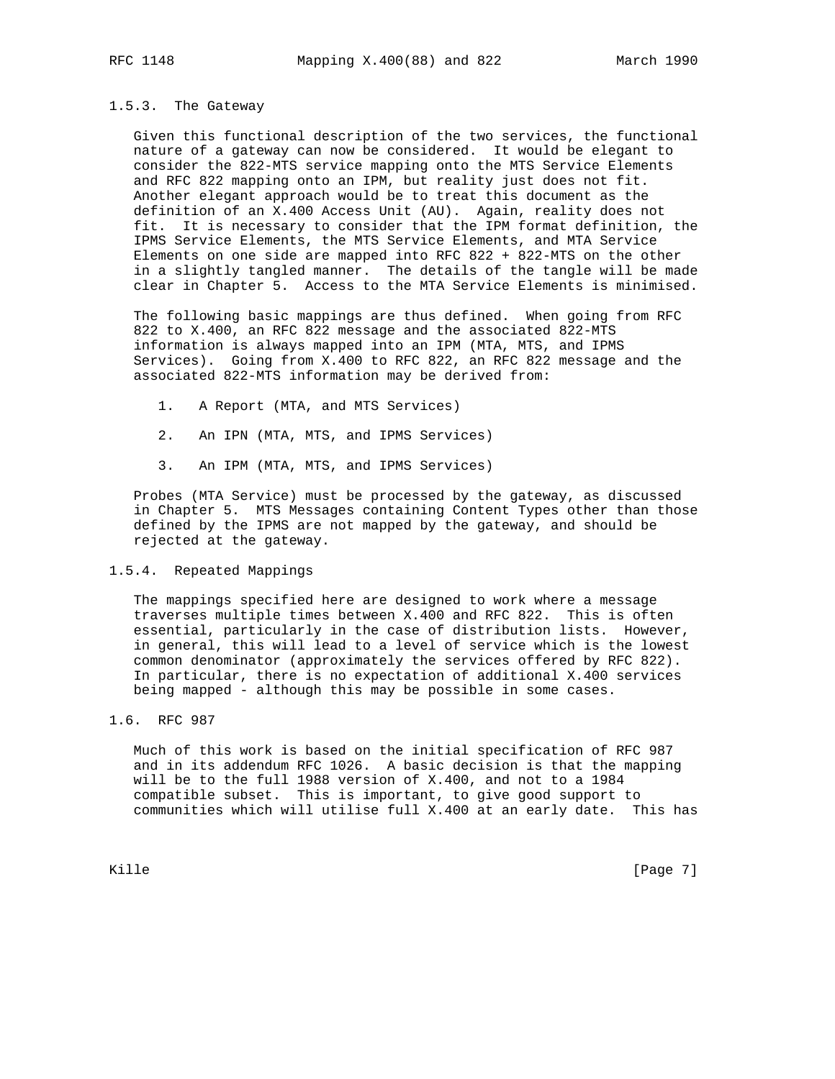### 1.5.3. The Gateway

 Given this functional description of the two services, the functional nature of a gateway can now be considered. It would be elegant to consider the 822-MTS service mapping onto the MTS Service Elements and RFC 822 mapping onto an IPM, but reality just does not fit. Another elegant approach would be to treat this document as the definition of an X.400 Access Unit (AU). Again, reality does not fit. It is necessary to consider that the IPM format definition, the IPMS Service Elements, the MTS Service Elements, and MTA Service Elements on one side are mapped into RFC 822 + 822-MTS on the other in a slightly tangled manner. The details of the tangle will be made clear in Chapter 5. Access to the MTA Service Elements is minimised.

 The following basic mappings are thus defined. When going from RFC 822 to X.400, an RFC 822 message and the associated 822-MTS information is always mapped into an IPM (MTA, MTS, and IPMS Services). Going from X.400 to RFC 822, an RFC 822 message and the associated 822-MTS information may be derived from:

- 1. A Report (MTA, and MTS Services)
- 2. An IPN (MTA, MTS, and IPMS Services)
- 3. An IPM (MTA, MTS, and IPMS Services)

 Probes (MTA Service) must be processed by the gateway, as discussed in Chapter 5. MTS Messages containing Content Types other than those defined by the IPMS are not mapped by the gateway, and should be rejected at the gateway.

### 1.5.4. Repeated Mappings

 The mappings specified here are designed to work where a message traverses multiple times between X.400 and RFC 822. This is often essential, particularly in the case of distribution lists. However, in general, this will lead to a level of service which is the lowest common denominator (approximately the services offered by RFC 822). In particular, there is no expectation of additional X.400 services being mapped - although this may be possible in some cases.

# 1.6. RFC 987

 Much of this work is based on the initial specification of RFC 987 and in its addendum RFC 1026. A basic decision is that the mapping will be to the full 1988 version of X.400, and not to a 1984 compatible subset. This is important, to give good support to communities which will utilise full X.400 at an early date. This has

Kille [Page 7]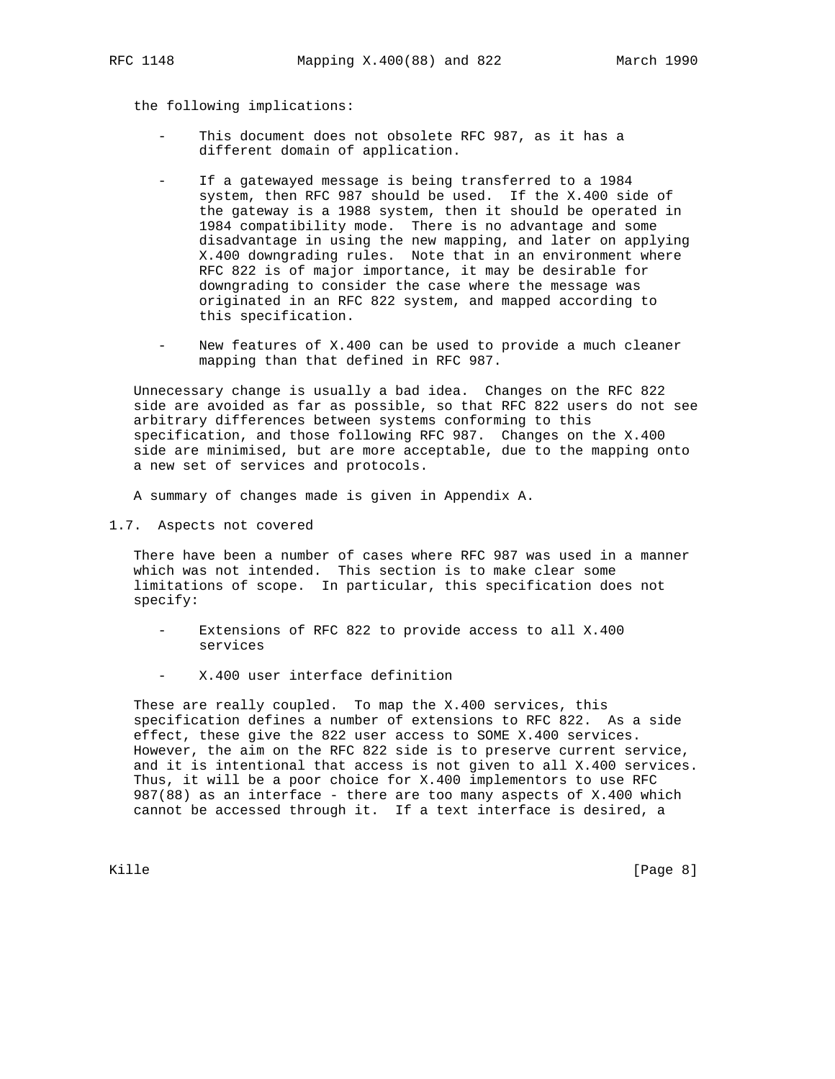the following implications:

- This document does not obsolete RFC 987, as it has a different domain of application.
- If a gatewayed message is being transferred to a 1984 system, then RFC 987 should be used. If the X.400 side of the gateway is a 1988 system, then it should be operated in 1984 compatibility mode. There is no advantage and some disadvantage in using the new mapping, and later on applying X.400 downgrading rules. Note that in an environment where RFC 822 is of major importance, it may be desirable for downgrading to consider the case where the message was originated in an RFC 822 system, and mapped according to this specification.
- New features of X.400 can be used to provide a much cleaner mapping than that defined in RFC 987.

 Unnecessary change is usually a bad idea. Changes on the RFC 822 side are avoided as far as possible, so that RFC 822 users do not see arbitrary differences between systems conforming to this specification, and those following RFC 987. Changes on the X.400 side are minimised, but are more acceptable, due to the mapping onto a new set of services and protocols.

A summary of changes made is given in Appendix A.

1.7. Aspects not covered

 There have been a number of cases where RFC 987 was used in a manner which was not intended. This section is to make clear some limitations of scope. In particular, this specification does not specify:

- Extensions of RFC 822 to provide access to all X.400 services
- X.400 user interface definition

 These are really coupled. To map the X.400 services, this specification defines a number of extensions to RFC 822. As a side effect, these give the 822 user access to SOME X.400 services. However, the aim on the RFC 822 side is to preserve current service, and it is intentional that access is not given to all X.400 services. Thus, it will be a poor choice for X.400 implementors to use RFC 987(88) as an interface - there are too many aspects of X.400 which cannot be accessed through it. If a text interface is desired, a

Kille [Page 8]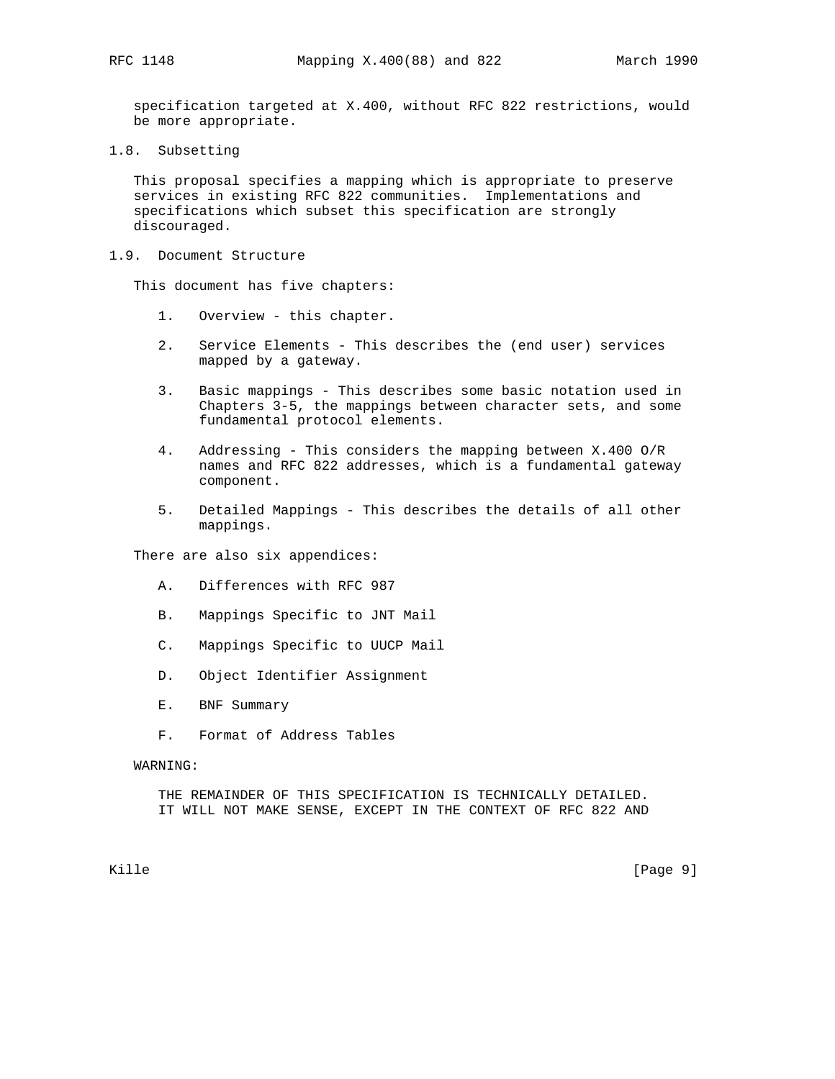specification targeted at X.400, without RFC 822 restrictions, would be more appropriate.

1.8. Subsetting

 This proposal specifies a mapping which is appropriate to preserve services in existing RFC 822 communities. Implementations and specifications which subset this specification are strongly discouraged.

1.9. Document Structure

This document has five chapters:

- 1. Overview this chapter.
- 2. Service Elements This describes the (end user) services mapped by a gateway.
- 3. Basic mappings This describes some basic notation used in Chapters 3-5, the mappings between character sets, and some fundamental protocol elements.
- 4. Addressing This considers the mapping between X.400 O/R names and RFC 822 addresses, which is a fundamental gateway component.
- 5. Detailed Mappings This describes the details of all other mappings.

There are also six appendices:

- A. Differences with RFC 987
- B. Mappings Specific to JNT Mail
- C. Mappings Specific to UUCP Mail
- D. Object Identifier Assignment
- E. BNF Summary
- F. Format of Address Tables

WARNING:

 THE REMAINDER OF THIS SPECIFICATION IS TECHNICALLY DETAILED. IT WILL NOT MAKE SENSE, EXCEPT IN THE CONTEXT OF RFC 822 AND

Kille [Page 9] [Page 9]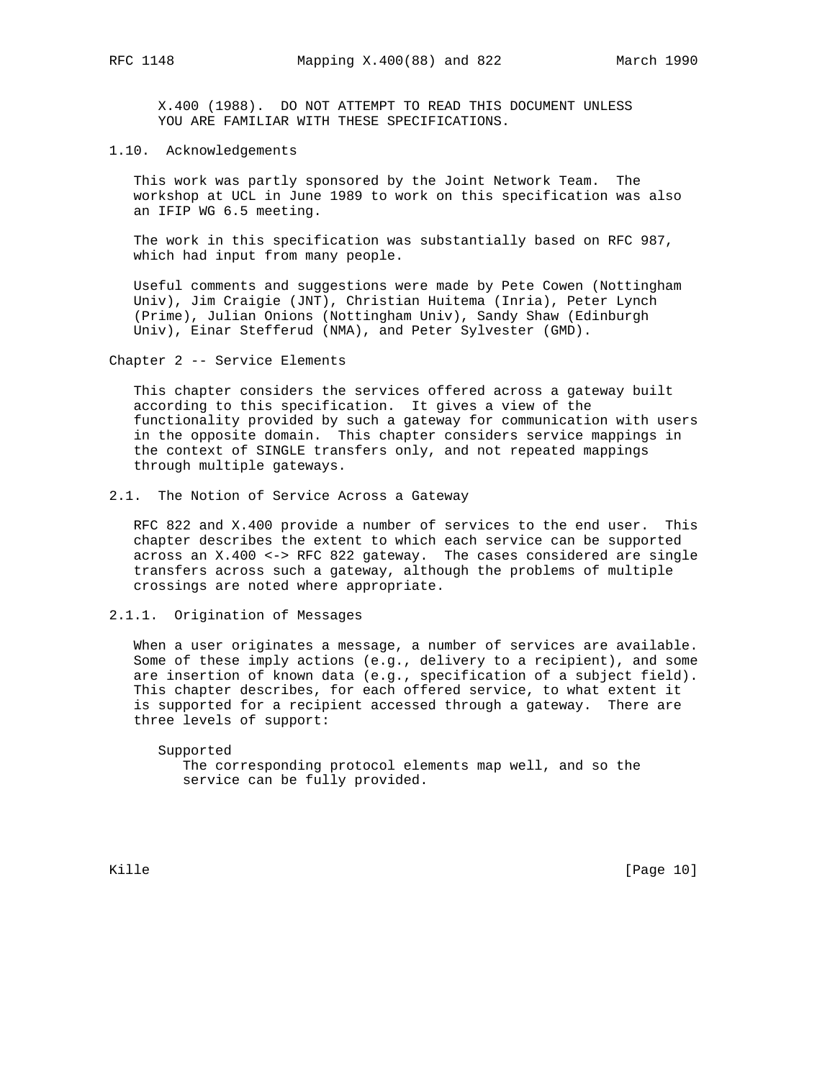X.400 (1988). DO NOT ATTEMPT TO READ THIS DOCUMENT UNLESS YOU ARE FAMILIAR WITH THESE SPECIFICATIONS.

# 1.10. Acknowledgements

 This work was partly sponsored by the Joint Network Team. The workshop at UCL in June 1989 to work on this specification was also an IFIP WG 6.5 meeting.

 The work in this specification was substantially based on RFC 987, which had input from many people.

 Useful comments and suggestions were made by Pete Cowen (Nottingham Univ), Jim Craigie (JNT), Christian Huitema (Inria), Peter Lynch (Prime), Julian Onions (Nottingham Univ), Sandy Shaw (Edinburgh Univ), Einar Stefferud (NMA), and Peter Sylvester (GMD).

Chapter 2 -- Service Elements

 This chapter considers the services offered across a gateway built according to this specification. It gives a view of the functionality provided by such a gateway for communication with users in the opposite domain. This chapter considers service mappings in the context of SINGLE transfers only, and not repeated mappings through multiple gateways.

2.1. The Notion of Service Across a Gateway

 RFC 822 and X.400 provide a number of services to the end user. This chapter describes the extent to which each service can be supported across an X.400 <-> RFC 822 gateway. The cases considered are single transfers across such a gateway, although the problems of multiple crossings are noted where appropriate.

# 2.1.1. Origination of Messages

 When a user originates a message, a number of services are available. Some of these imply actions (e.g., delivery to a recipient), and some are insertion of known data (e.g., specification of a subject field). This chapter describes, for each offered service, to what extent it is supported for a recipient accessed through a gateway. There are three levels of support:

 Supported The corresponding protocol elements map well, and so the service can be fully provided.

Kille [Page 10]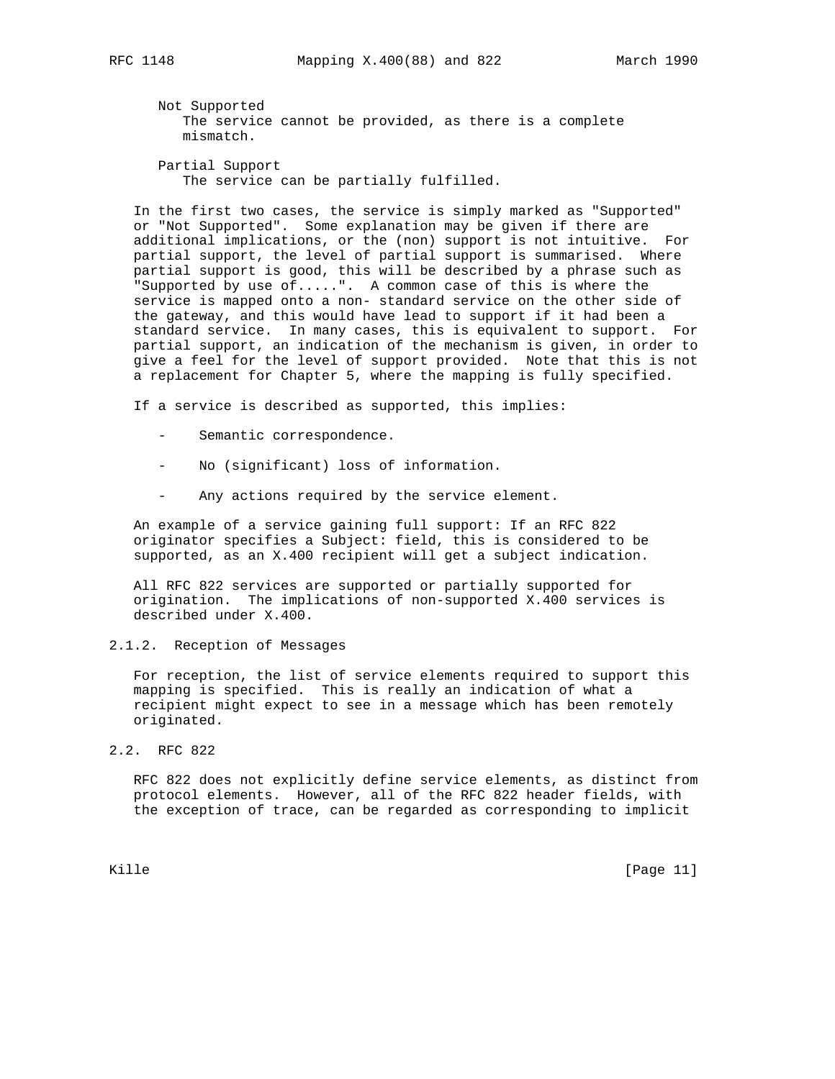Not Supported The service cannot be provided, as there is a complete mismatch.

 Partial Support The service can be partially fulfilled.

 In the first two cases, the service is simply marked as "Supported" or "Not Supported". Some explanation may be given if there are additional implications, or the (non) support is not intuitive. For partial support, the level of partial support is summarised. Where partial support is good, this will be described by a phrase such as "Supported by use of.....". A common case of this is where the service is mapped onto a non- standard service on the other side of the gateway, and this would have lead to support if it had been a standard service. In many cases, this is equivalent to support. For partial support, an indication of the mechanism is given, in order to give a feel for the level of support provided. Note that this is not a replacement for Chapter 5, where the mapping is fully specified.

If a service is described as supported, this implies:

- Semantic correspondence.
- No (significant) loss of information.
- Any actions required by the service element.

 An example of a service gaining full support: If an RFC 822 originator specifies a Subject: field, this is considered to be supported, as an X.400 recipient will get a subject indication.

 All RFC 822 services are supported or partially supported for origination. The implications of non-supported X.400 services is described under X.400.

2.1.2. Reception of Messages

 For reception, the list of service elements required to support this mapping is specified. This is really an indication of what a recipient might expect to see in a message which has been remotely originated.

2.2. RFC 822

 RFC 822 does not explicitly define service elements, as distinct from protocol elements. However, all of the RFC 822 header fields, with the exception of trace, can be regarded as corresponding to implicit

Kille [Page 11]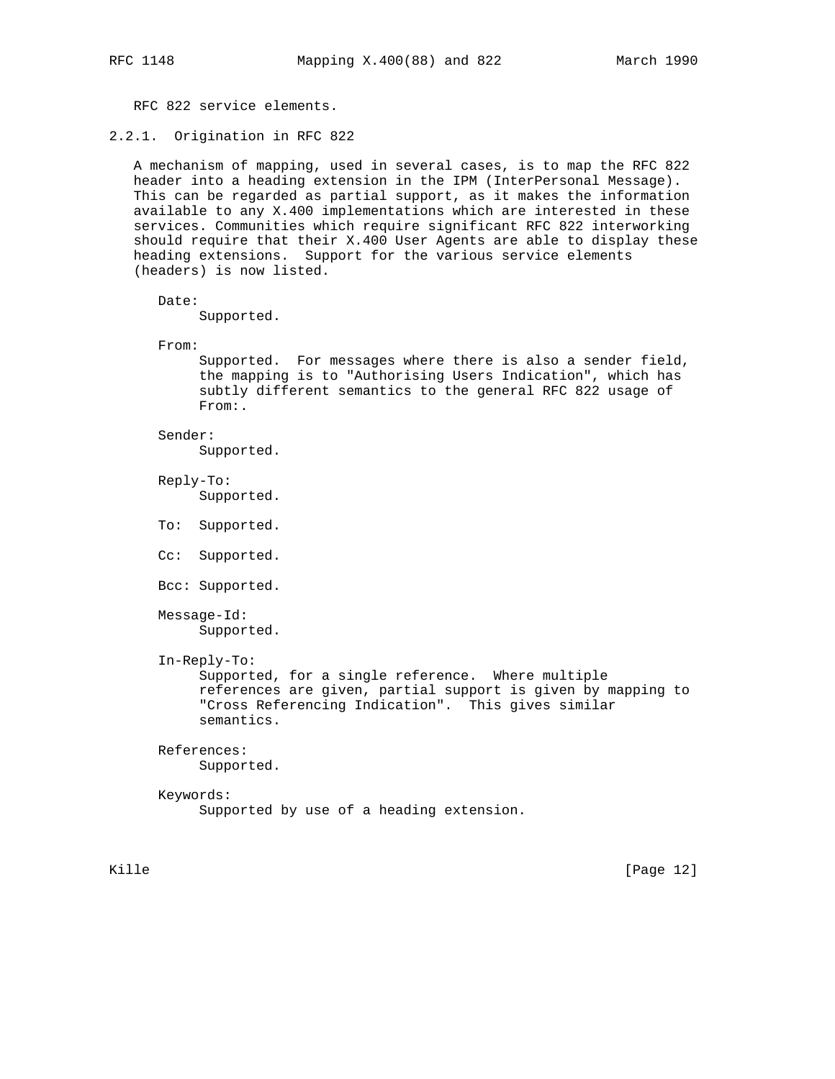RFC 822 service elements.

2.2.1. Origination in RFC 822

 A mechanism of mapping, used in several cases, is to map the RFC 822 header into a heading extension in the IPM (InterPersonal Message). This can be regarded as partial support, as it makes the information available to any X.400 implementations which are interested in these services. Communities which require significant RFC 822 interworking should require that their X.400 User Agents are able to display these heading extensions. Support for the various service elements (headers) is now listed.

Date:

Supported.

From:

 Supported. For messages where there is also a sender field, the mapping is to "Authorising Users Indication", which has subtly different semantics to the general RFC 822 usage of From:.

Sender:

Supported.

 Reply-To: Supported.

- To: Supported.
- Cc: Supported.
- Bcc: Supported.

 Message-Id: Supported.

In-Reply-To:

 Supported, for a single reference. Where multiple references are given, partial support is given by mapping to "Cross Referencing Indication". This gives similar semantics.

#### References:

Supported.

# Keywords: Supported by use of a heading extension.

Kille [Page 12]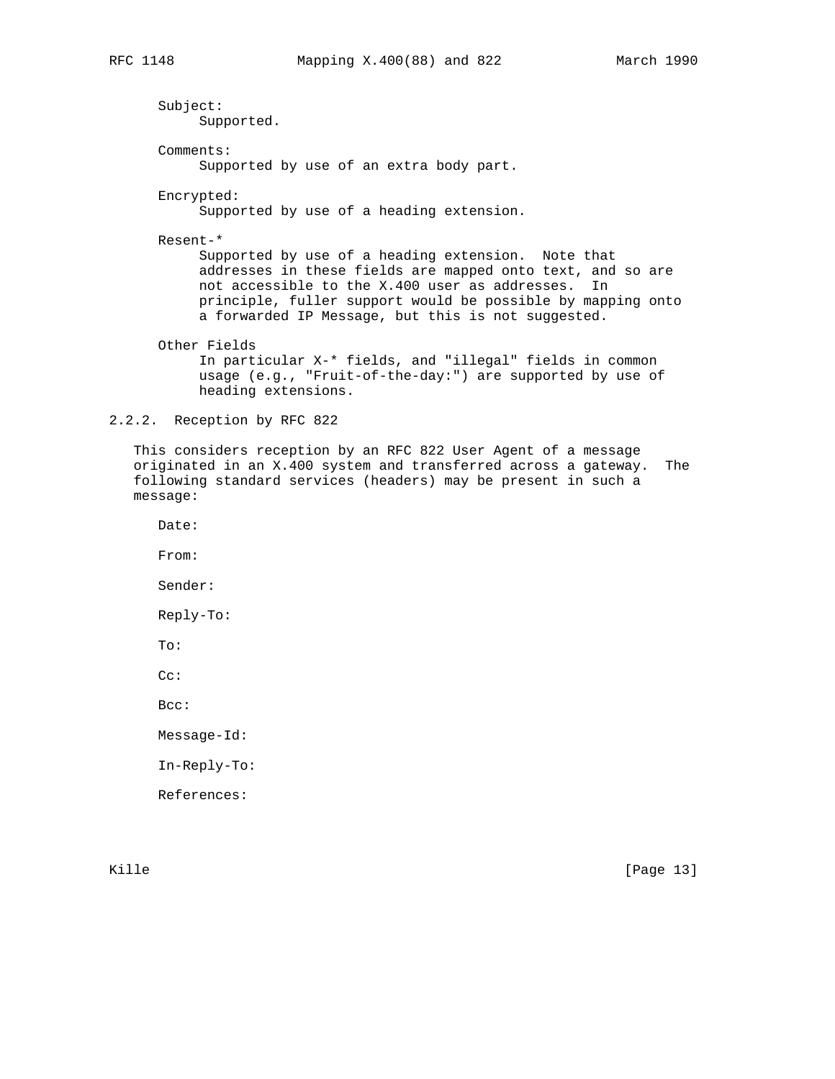Subject: Supported. Comments: Supported by use of an extra body part. Encrypted: Supported by use of a heading extension. Resent-\* Supported by use of a heading extension. Note that addresses in these fields are mapped onto text, and so are not accessible to the X.400 user as addresses. In principle, fuller support would be possible by mapping onto a forwarded IP Message, but this is not suggested. Other Fields In particular X-\* fields, and "illegal" fields in common usage (e.g., "Fruit-of-the-day:") are supported by use of heading extensions.

2.2.2. Reception by RFC 822

 This considers reception by an RFC 822 User Agent of a message originated in an X.400 system and transferred across a gateway. The following standard services (headers) may be present in such a message:

Date:

From:

Sender:

Reply-To:

To:

Cc:

Bcc:

Message-Id:

In-Reply-To:

References:

Kille [Page 13]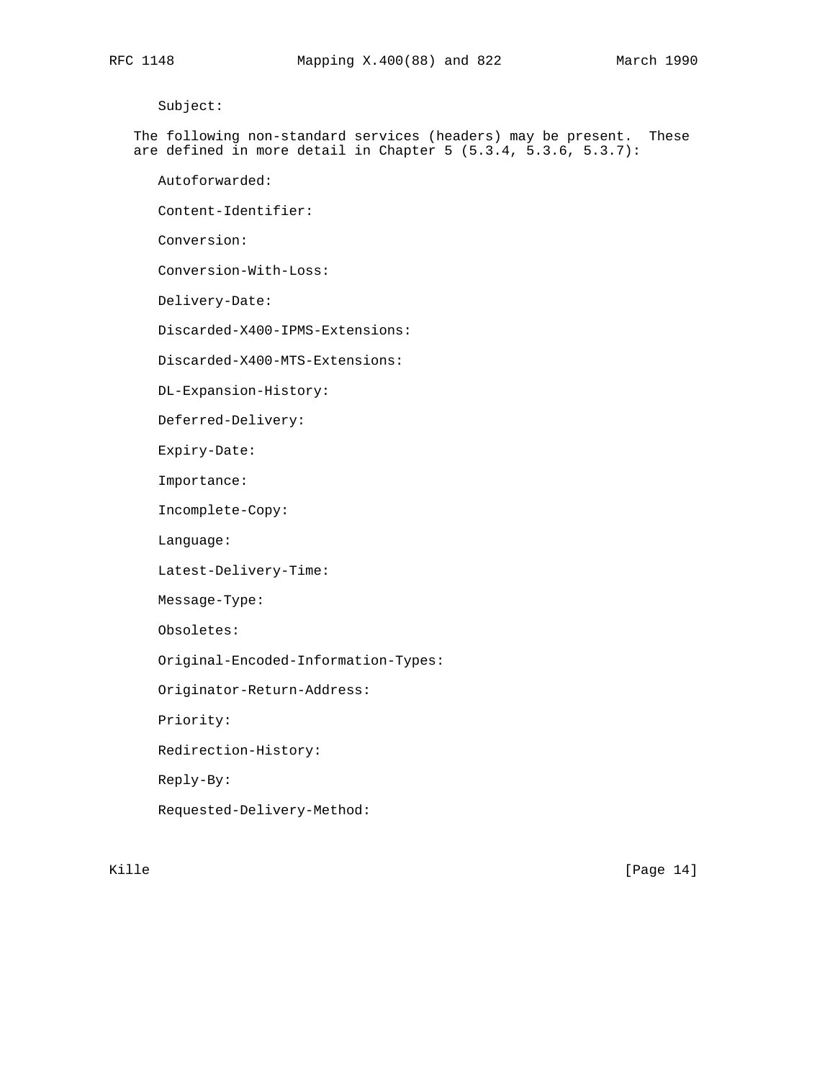Subject:

 The following non-standard services (headers) may be present. These are defined in more detail in Chapter 5 (5.3.4, 5.3.6, 5.3.7):

Autoforwarded:

Content-Identifier:

Conversion:

Conversion-With-Loss:

Delivery-Date:

Discarded-X400-IPMS-Extensions:

Discarded-X400-MTS-Extensions:

DL-Expansion-History:

Deferred-Delivery:

Expiry-Date:

Importance:

Incomplete-Copy:

Language:

Latest-Delivery-Time:

Message-Type:

Obsoletes:

Original-Encoded-Information-Types:

Originator-Return-Address:

Priority:

Redirection-History:

Reply-By:

Requested-Delivery-Method:

Kille [Page 14]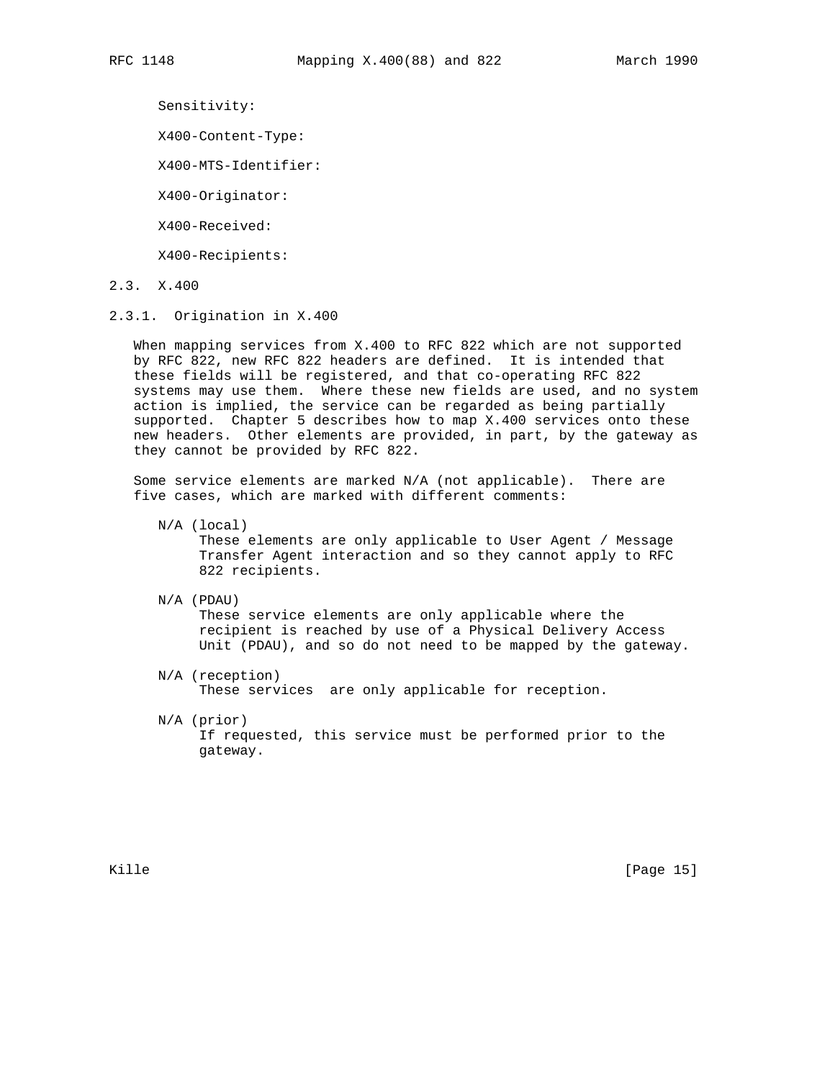Sensitivity:

X400-Content-Type:

X400-MTS-Identifier:

X400-Originator:

X400-Received:

X400-Recipients:

- 2.3. X.400
- 2.3.1. Origination in X.400

 When mapping services from X.400 to RFC 822 which are not supported by RFC 822, new RFC 822 headers are defined. It is intended that these fields will be registered, and that co-operating RFC 822 systems may use them. Where these new fields are used, and no system action is implied, the service can be regarded as being partially supported. Chapter 5 describes how to map X.400 services onto these new headers. Other elements are provided, in part, by the gateway as they cannot be provided by RFC 822.

 Some service elements are marked N/A (not applicable). There are five cases, which are marked with different comments:

 N/A (local) These elements are only applicable to User Agent / Message Transfer Agent interaction and so they cannot apply to RFC 822 recipients.

N/A (PDAU)

 These service elements are only applicable where the recipient is reached by use of a Physical Delivery Access Unit (PDAU), and so do not need to be mapped by the gateway.

- N/A (reception) These services are only applicable for reception.
- N/A (prior) If requested, this service must be performed prior to the gateway.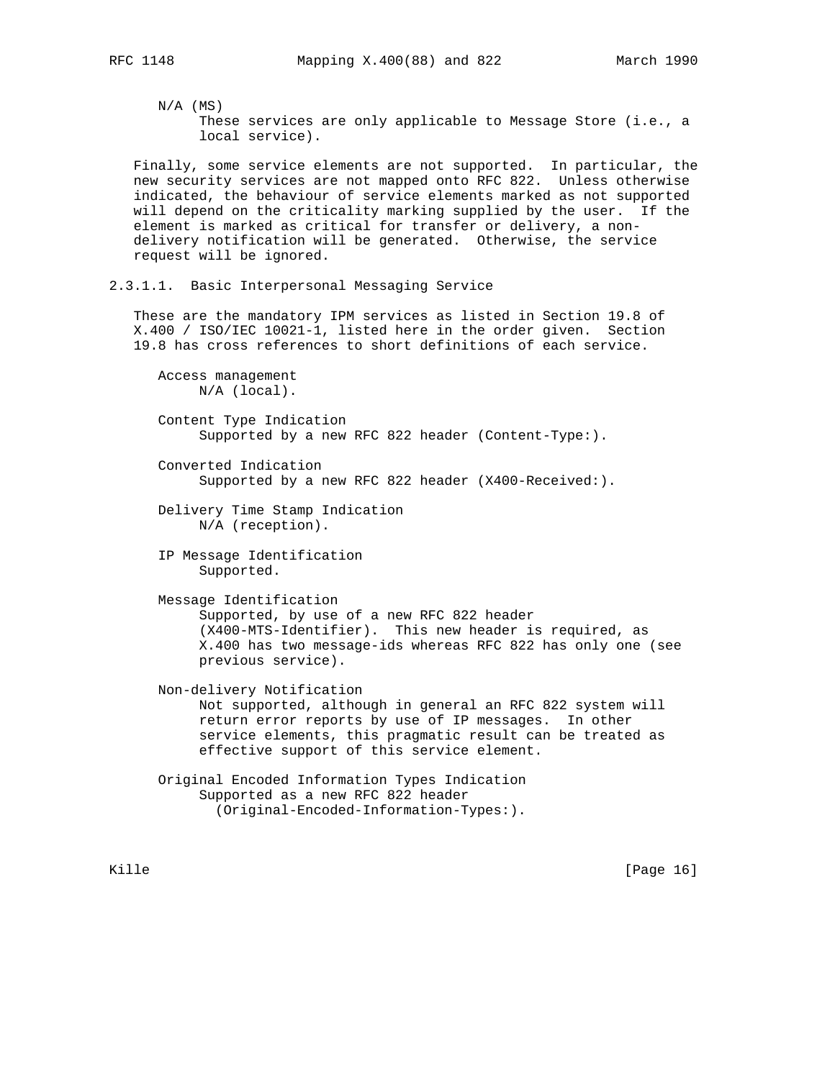$N/A$  (MS) These services are only applicable to Message Store (i.e., a local service).

 Finally, some service elements are not supported. In particular, the new security services are not mapped onto RFC 822. Unless otherwise indicated, the behaviour of service elements marked as not supported will depend on the criticality marking supplied by the user. If the element is marked as critical for transfer or delivery, a non delivery notification will be generated. Otherwise, the service request will be ignored.

2.3.1.1. Basic Interpersonal Messaging Service

 These are the mandatory IPM services as listed in Section 19.8 of X.400 / ISO/IEC 10021-1, listed here in the order given. Section 19.8 has cross references to short definitions of each service.

 Access management N/A (local).

 Content Type Indication Supported by a new RFC 822 header (Content-Type:).

- Converted Indication Supported by a new RFC 822 header (X400-Received:).
- Delivery Time Stamp Indication N/A (reception).

 IP Message Identification Supported.

 Message Identification Supported, by use of a new RFC 822 header (X400-MTS-Identifier). This new header is required, as X.400 has two message-ids whereas RFC 822 has only one (see previous service).

 Non-delivery Notification Not supported, although in general an RFC 822 system will return error reports by use of IP messages. In other service elements, this pragmatic result can be treated as effective support of this service element.

 Original Encoded Information Types Indication Supported as a new RFC 822 header (Original-Encoded-Information-Types:).

Kille [Page 16]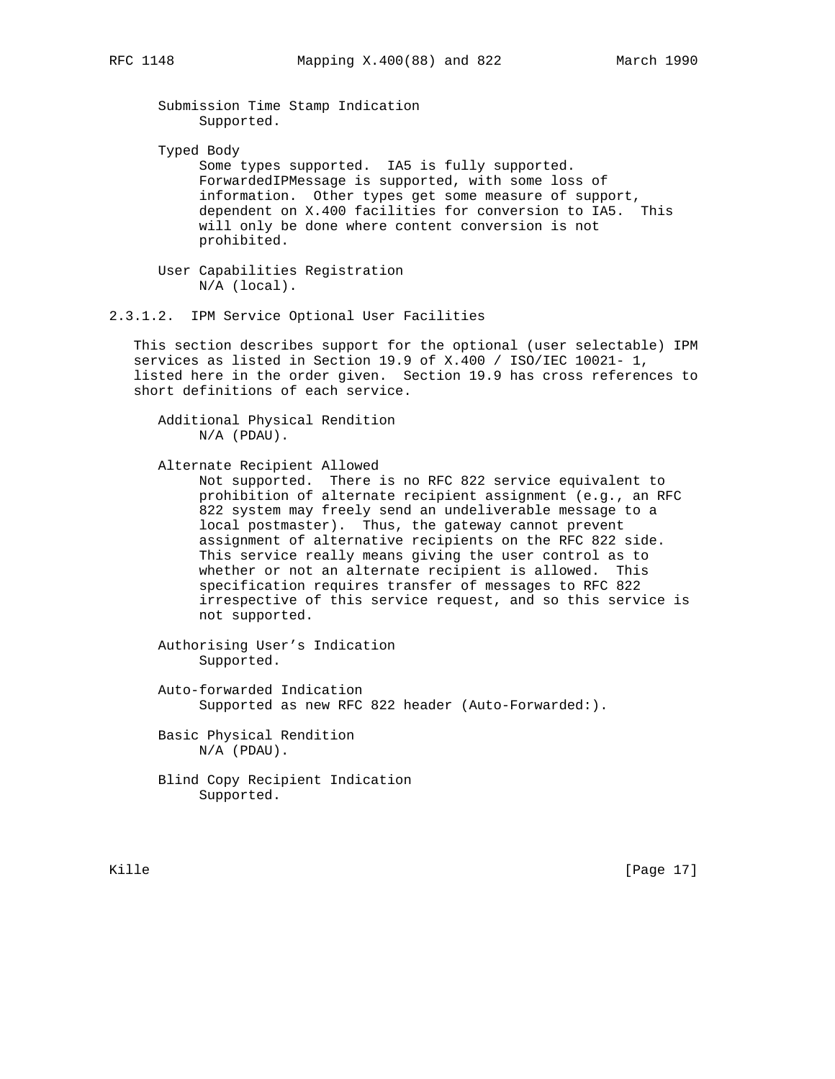Submission Time Stamp Indication Supported.

Typed Body

 Some types supported. IA5 is fully supported. ForwardedIPMessage is supported, with some loss of information. Other types get some measure of support, dependent on X.400 facilities for conversion to IA5. This will only be done where content conversion is not prohibited.

 User Capabilities Registration N/A (local).

2.3.1.2. IPM Service Optional User Facilities

 This section describes support for the optional (user selectable) IPM services as listed in Section 19.9 of X.400 / ISO/IEC 10021- 1, listed here in the order given. Section 19.9 has cross references to short definitions of each service.

 Additional Physical Rendition N/A (PDAU).

Alternate Recipient Allowed

 Not supported. There is no RFC 822 service equivalent to prohibition of alternate recipient assignment (e.g., an RFC 822 system may freely send an undeliverable message to a local postmaster). Thus, the gateway cannot prevent assignment of alternative recipients on the RFC 822 side. This service really means giving the user control as to whether or not an alternate recipient is allowed. This specification requires transfer of messages to RFC 822 irrespective of this service request, and so this service is not supported.

 Authorising User's Indication Supported.

 Auto-forwarded Indication Supported as new RFC 822 header (Auto-Forwarded:).

 Basic Physical Rendition N/A (PDAU).

 Blind Copy Recipient Indication Supported.

Kille [Page 17]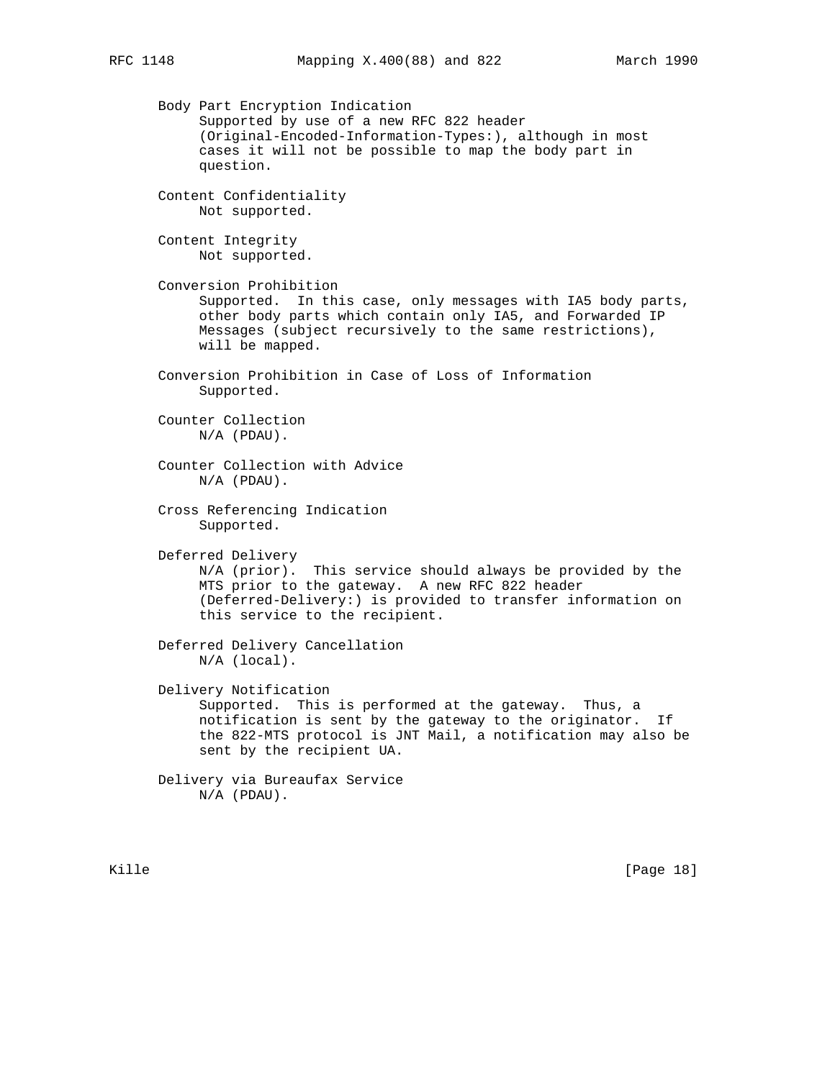Body Part Encryption Indication Supported by use of a new RFC 822 header (Original-Encoded-Information-Types:), although in most cases it will not be possible to map the body part in question. Content Confidentiality Not supported. Content Integrity Not supported. Conversion Prohibition Supported. In this case, only messages with IA5 body parts, other body parts which contain only IA5, and Forwarded IP Messages (subject recursively to the same restrictions), will be mapped. Conversion Prohibition in Case of Loss of Information Supported. Counter Collection N/A (PDAU). Counter Collection with Advice N/A (PDAU). Cross Referencing Indication Supported. Deferred Delivery N/A (prior). This service should always be provided by the MTS prior to the gateway. A new RFC 822 header (Deferred-Delivery:) is provided to transfer information on this service to the recipient. Deferred Delivery Cancellation N/A (local). Delivery Notification Supported. This is performed at the gateway. Thus, a notification is sent by the gateway to the originator. If the 822-MTS protocol is JNT Mail, a notification may also be sent by the recipient UA. Delivery via Bureaufax Service N/A (PDAU).

Kille [Page 18]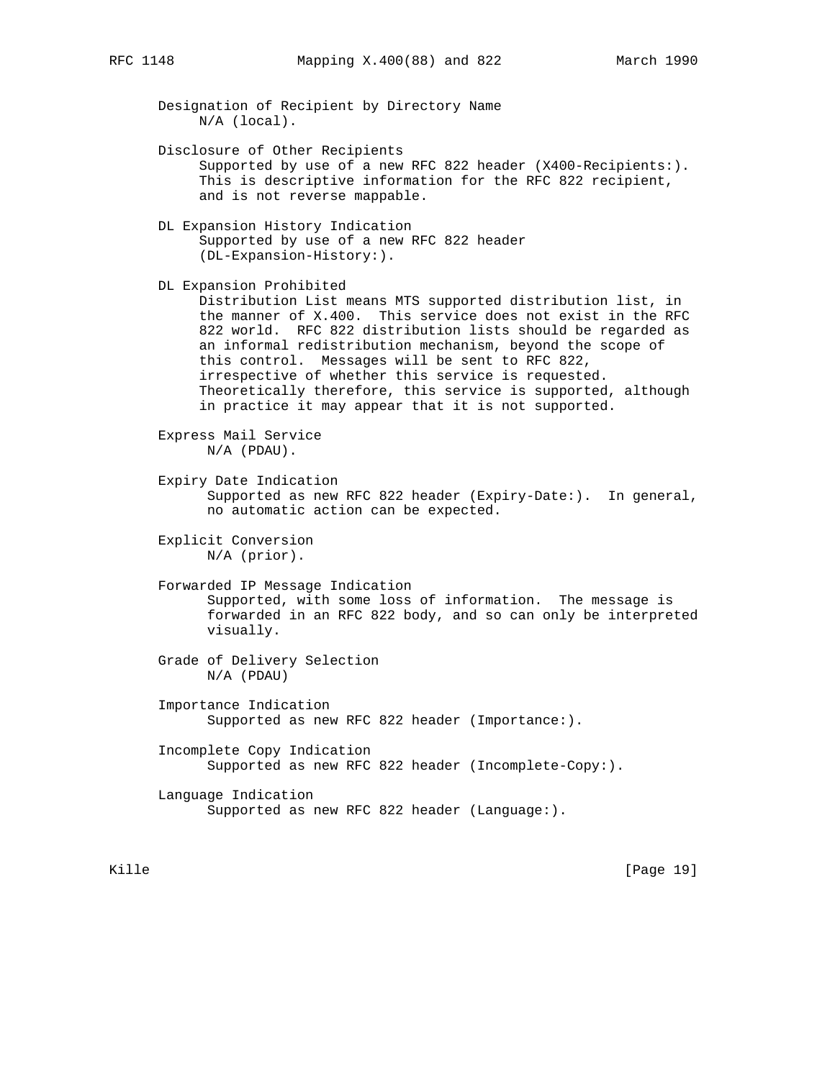Designation of Recipient by Directory Name N/A (local). Disclosure of Other Recipients Supported by use of a new RFC 822 header (X400-Recipients:). This is descriptive information for the RFC 822 recipient, and is not reverse mappable. DL Expansion History Indication Supported by use of a new RFC 822 header (DL-Expansion-History:). DL Expansion Prohibited Distribution List means MTS supported distribution list, in the manner of X.400. This service does not exist in the RFC 822 world. RFC 822 distribution lists should be regarded as an informal redistribution mechanism, beyond the scope of this control. Messages will be sent to RFC 822, irrespective of whether this service is requested. Theoretically therefore, this service is supported, although in practice it may appear that it is not supported. Express Mail Service N/A (PDAU). Expiry Date Indication Supported as new RFC 822 header (Expiry-Date:). In general, no automatic action can be expected. Explicit Conversion N/A (prior). Forwarded IP Message Indication Supported, with some loss of information. The message is forwarded in an RFC 822 body, and so can only be interpreted visually. Grade of Delivery Selection N/A (PDAU) Importance Indication Supported as new RFC 822 header (Importance:). Incomplete Copy Indication Supported as new RFC 822 header (Incomplete-Copy:). Language Indication Supported as new RFC 822 header (Language:).

Kille [Page 19]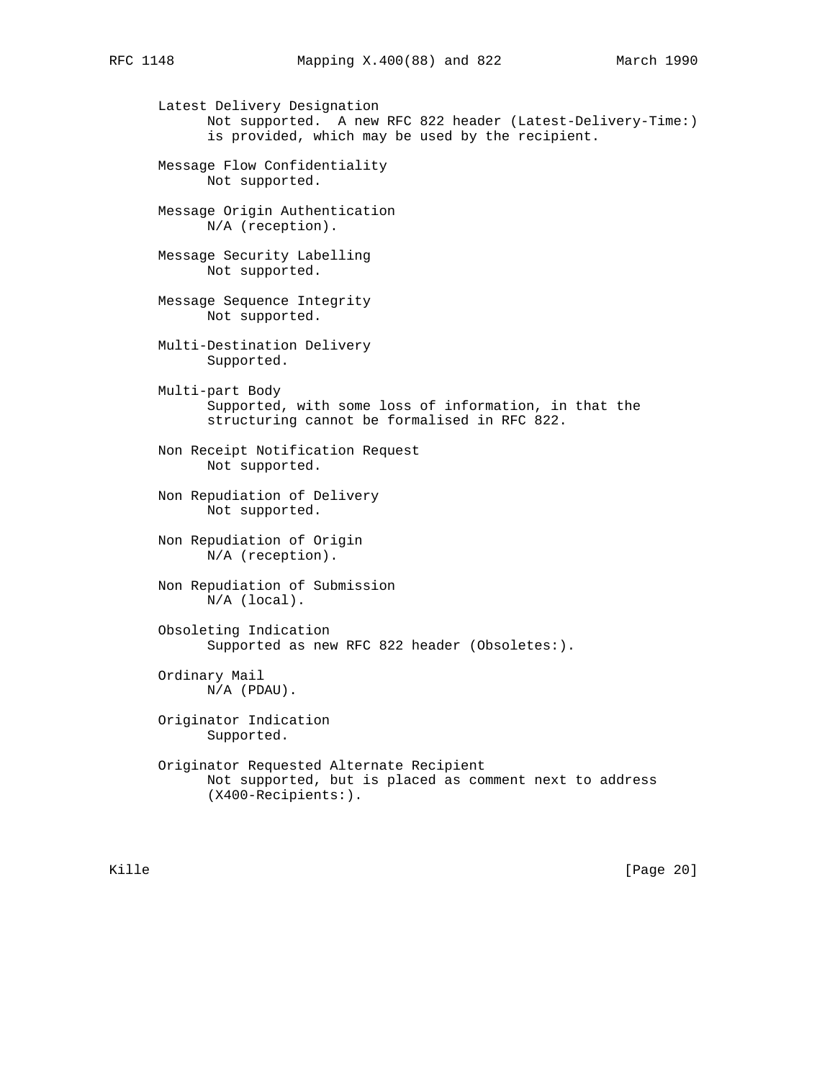Latest Delivery Designation Not supported. A new RFC 822 header (Latest-Delivery-Time:) is provided, which may be used by the recipient. Message Flow Confidentiality Not supported. Message Origin Authentication N/A (reception). Message Security Labelling Not supported. Message Sequence Integrity Not supported. Multi-Destination Delivery Supported. Multi-part Body Supported, with some loss of information, in that the structuring cannot be formalised in RFC 822. Non Receipt Notification Request Not supported. Non Repudiation of Delivery Not supported. Non Repudiation of Origin N/A (reception). Non Repudiation of Submission N/A (local). Obsoleting Indication Supported as new RFC 822 header (Obsoletes:). Ordinary Mail N/A (PDAU). Originator Indication Supported. Originator Requested Alternate Recipient Not supported, but is placed as comment next to address (X400-Recipients:).

Kille [Page 20]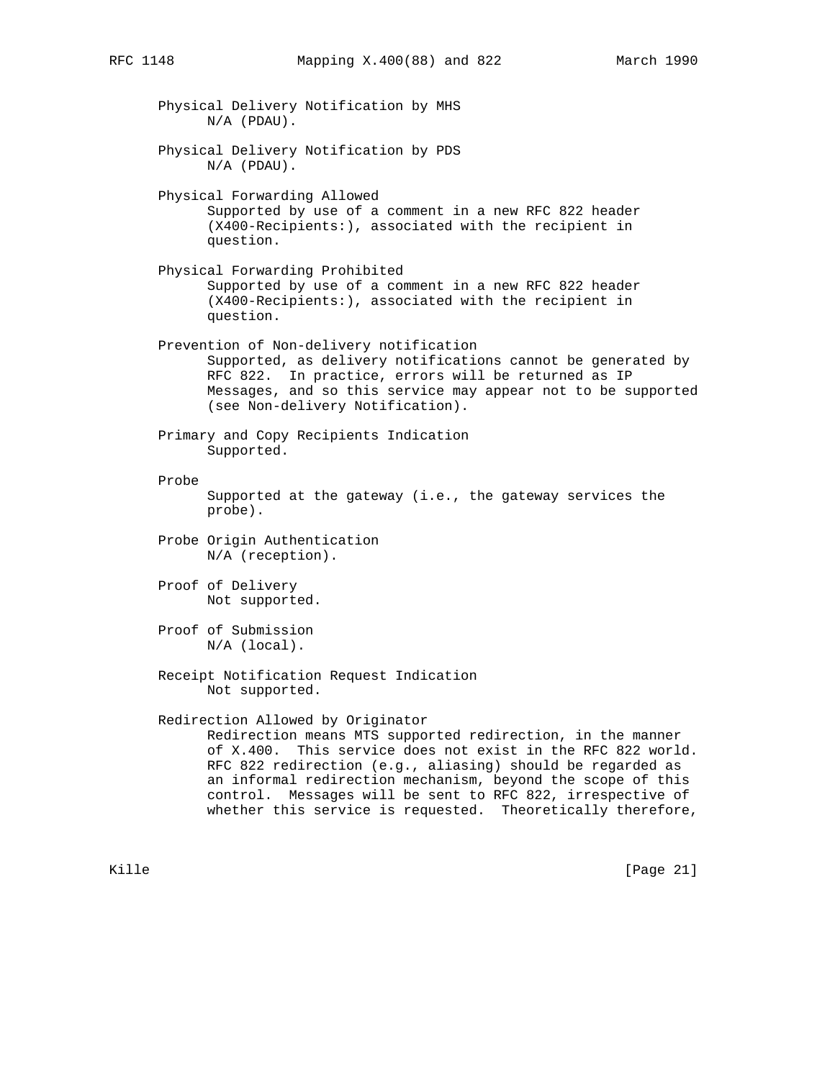Physical Delivery Notification by MHS N/A (PDAU). Physical Delivery Notification by PDS N/A (PDAU). Physical Forwarding Allowed Supported by use of a comment in a new RFC 822 header (X400-Recipients:), associated with the recipient in question. Physical Forwarding Prohibited Supported by use of a comment in a new RFC 822 header (X400-Recipients:), associated with the recipient in question. Prevention of Non-delivery notification Supported, as delivery notifications cannot be generated by RFC 822. In practice, errors will be returned as IP Messages, and so this service may appear not to be supported (see Non-delivery Notification). Primary and Copy Recipients Indication Supported. Probe Supported at the gateway (i.e., the gateway services the probe). Probe Origin Authentication N/A (reception). Proof of Delivery Not supported. Proof of Submission N/A (local). Receipt Notification Request Indication Not supported. Redirection Allowed by Originator Redirection means MTS supported redirection, in the manner of X.400. This service does not exist in the RFC 822 world. RFC 822 redirection (e.g., aliasing) should be regarded as an informal redirection mechanism, beyond the scope of this control. Messages will be sent to RFC 822, irrespective of whether this service is requested. Theoretically therefore,

Kille [Page 21]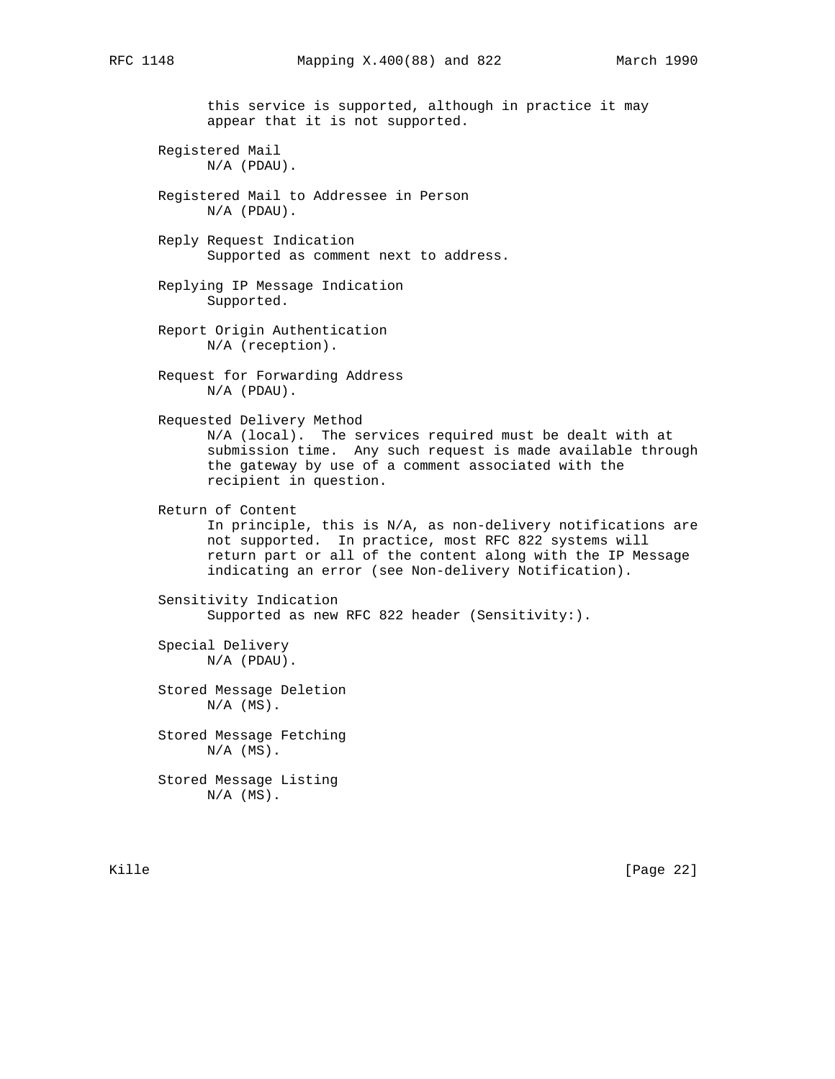this service is supported, although in practice it may appear that it is not supported.

 Registered Mail N/A (PDAU).

 Registered Mail to Addressee in Person N/A (PDAU).

 Reply Request Indication Supported as comment next to address.

 Replying IP Message Indication Supported.

 Report Origin Authentication N/A (reception).

 Request for Forwarding Address N/A (PDAU).

Requested Delivery Method

 N/A (local). The services required must be dealt with at submission time. Any such request is made available through the gateway by use of a comment associated with the recipient in question.

Return of Content

 In principle, this is N/A, as non-delivery notifications are not supported. In practice, most RFC 822 systems will return part or all of the content along with the IP Message indicating an error (see Non-delivery Notification).

 Sensitivity Indication Supported as new RFC 822 header (Sensitivity:).

 Special Delivery N/A (PDAU).

 Stored Message Deletion  $N/A$   $(MS)$ .

 Stored Message Fetching  $N/A$   $(MS)$ .

 Stored Message Listing  $N/A$   $(MS)$ .

Kille [Page 22]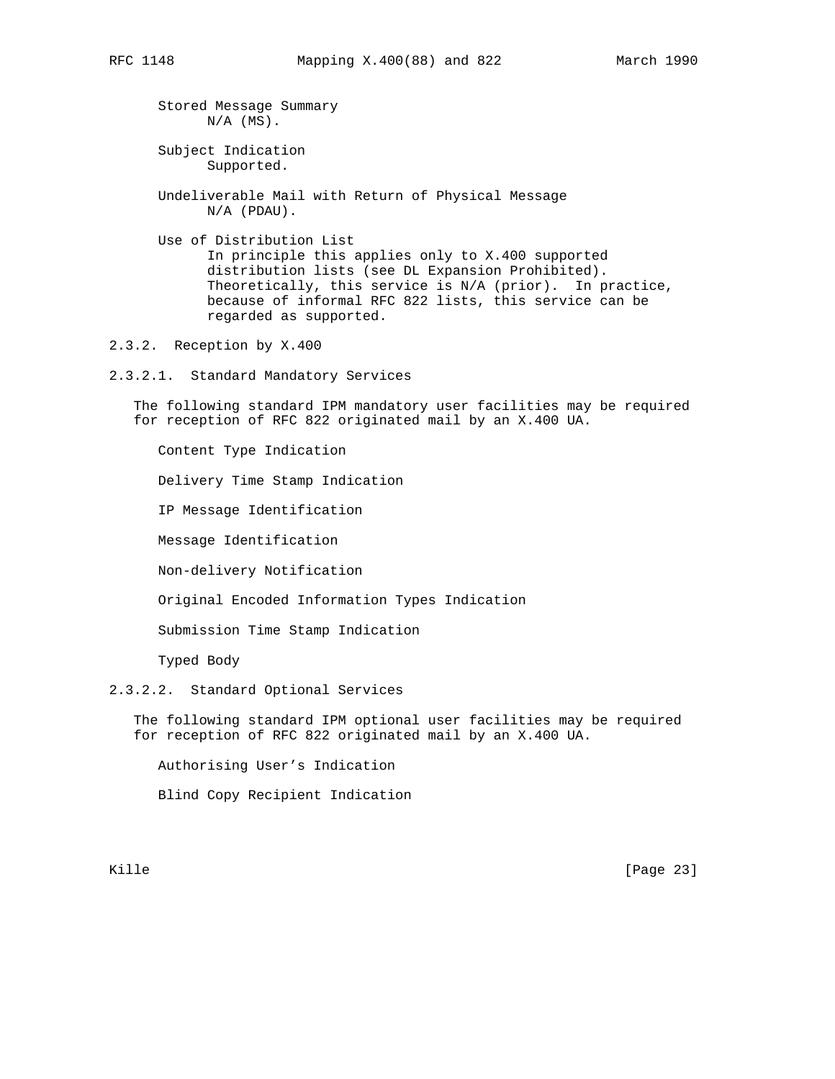Stored Message Summary  $N/A$   $(MS)$ .

 Subject Indication Supported.

 Undeliverable Mail with Return of Physical Message N/A (PDAU).

 Use of Distribution List In principle this applies only to X.400 supported distribution lists (see DL Expansion Prohibited). Theoretically, this service is N/A (prior). In practice, because of informal RFC 822 lists, this service can be regarded as supported.

2.3.2. Reception by X.400

2.3.2.1. Standard Mandatory Services

 The following standard IPM mandatory user facilities may be required for reception of RFC 822 originated mail by an X.400 UA.

Content Type Indication

Delivery Time Stamp Indication

IP Message Identification

Message Identification

Non-delivery Notification

Original Encoded Information Types Indication

Submission Time Stamp Indication

Typed Body

# 2.3.2.2. Standard Optional Services

 The following standard IPM optional user facilities may be required for reception of RFC 822 originated mail by an X.400 UA.

Authorising User's Indication

Blind Copy Recipient Indication

Kille [Page 23]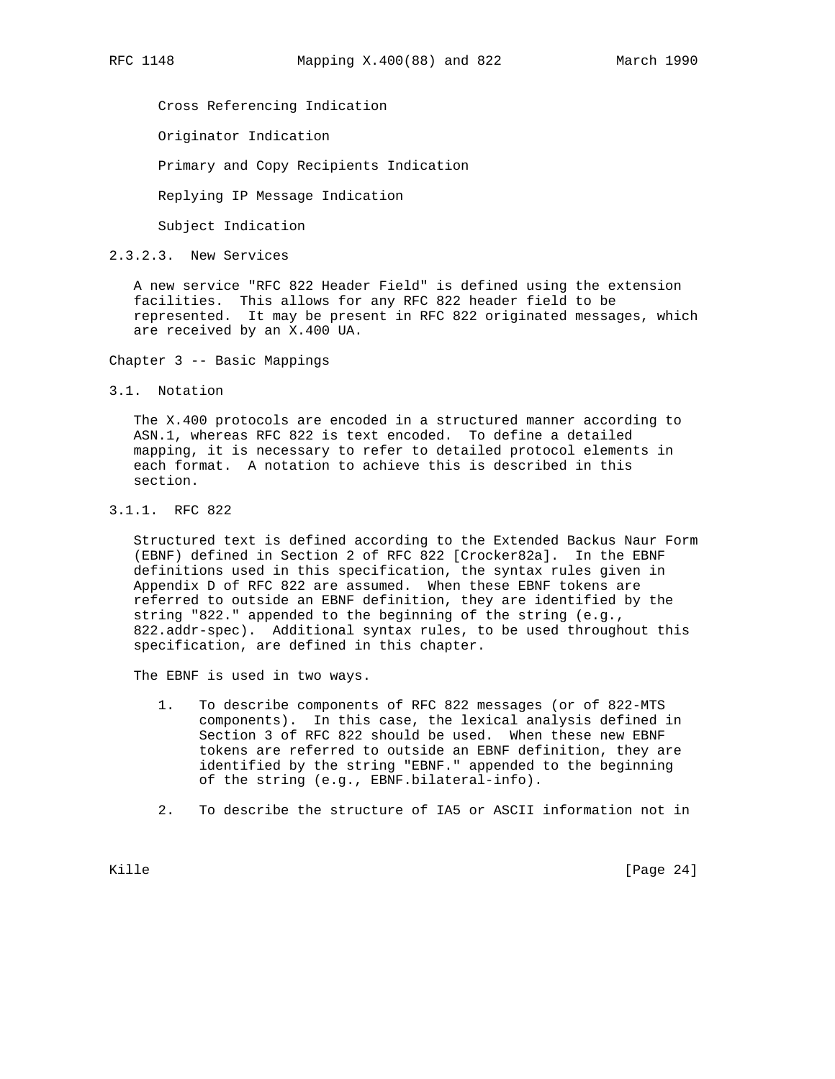Cross Referencing Indication

Originator Indication

Primary and Copy Recipients Indication

Replying IP Message Indication

Subject Indication

2.3.2.3. New Services

 A new service "RFC 822 Header Field" is defined using the extension facilities. This allows for any RFC 822 header field to be represented. It may be present in RFC 822 originated messages, which are received by an X.400 UA.

Chapter 3 -- Basic Mappings

3.1. Notation

 The X.400 protocols are encoded in a structured manner according to ASN.1, whereas RFC 822 is text encoded. To define a detailed mapping, it is necessary to refer to detailed protocol elements in each format. A notation to achieve this is described in this section.

3.1.1. RFC 822

 Structured text is defined according to the Extended Backus Naur Form (EBNF) defined in Section 2 of RFC 822 [Crocker82a]. In the EBNF definitions used in this specification, the syntax rules given in Appendix D of RFC 822 are assumed. When these EBNF tokens are referred to outside an EBNF definition, they are identified by the string "822." appended to the beginning of the string (e.g., 822.addr-spec). Additional syntax rules, to be used throughout this specification, are defined in this chapter.

The EBNF is used in two ways.

- 1. To describe components of RFC 822 messages (or of 822-MTS components). In this case, the lexical analysis defined in Section 3 of RFC 822 should be used. When these new EBNF tokens are referred to outside an EBNF definition, they are identified by the string "EBNF." appended to the beginning of the string (e.g., EBNF.bilateral-info).
- 2. To describe the structure of IA5 or ASCII information not in

Kille [Page 24]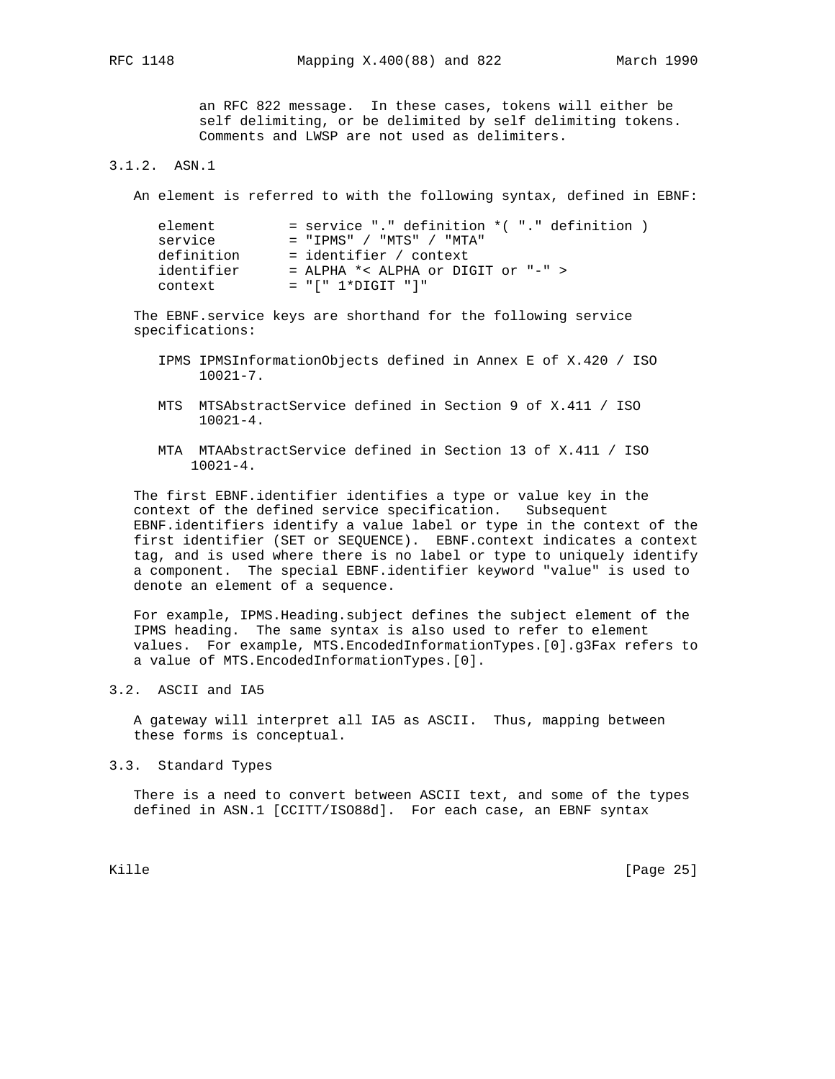an RFC 822 message. In these cases, tokens will either be self delimiting, or be delimited by self delimiting tokens. Comments and LWSP are not used as delimiters.

# 3.1.2. ASN.1

An element is referred to with the following syntax, defined in EBNF:

| element    | $=$ service "." definition $*($ "." definition $)$ |
|------------|----------------------------------------------------|
| service    | $=$ "TPMS" / "MTS" / "MTA"                         |
| definition | $=$ identifier / context                           |
| identifier | = ALPHA $\star$ < ALPHA or DIGIT or "-" >          |
| context    | $= "[' 1*DiffIT "']"$                              |

 The EBNF.service keys are shorthand for the following service specifications:

- IPMS IPMSInformationObjects defined in Annex E of X.420 / ISO 10021-7.
- MTS MTSAbstractService defined in Section 9 of X.411 / ISO  $10021 - 4$ .
- MTA MTAAbstractService defined in Section 13 of X.411 / ISO 10021-4.

 The first EBNF.identifier identifies a type or value key in the context of the defined service specification. Subsequent EBNF.identifiers identify a value label or type in the context of the first identifier (SET or SEQUENCE). EBNF.context indicates a context tag, and is used where there is no label or type to uniquely identify a component. The special EBNF.identifier keyword "value" is used to denote an element of a sequence.

 For example, IPMS.Heading.subject defines the subject element of the IPMS heading. The same syntax is also used to refer to element values. For example, MTS.EncodedInformationTypes.[0].g3Fax refers to a value of MTS.EncodedInformationTypes.[0].

# 3.2. ASCII and IA5

 A gateway will interpret all IA5 as ASCII. Thus, mapping between these forms is conceptual.

3.3. Standard Types

 There is a need to convert between ASCII text, and some of the types defined in ASN.1 [CCITT/ISO88d]. For each case, an EBNF syntax

Kille [Page 25]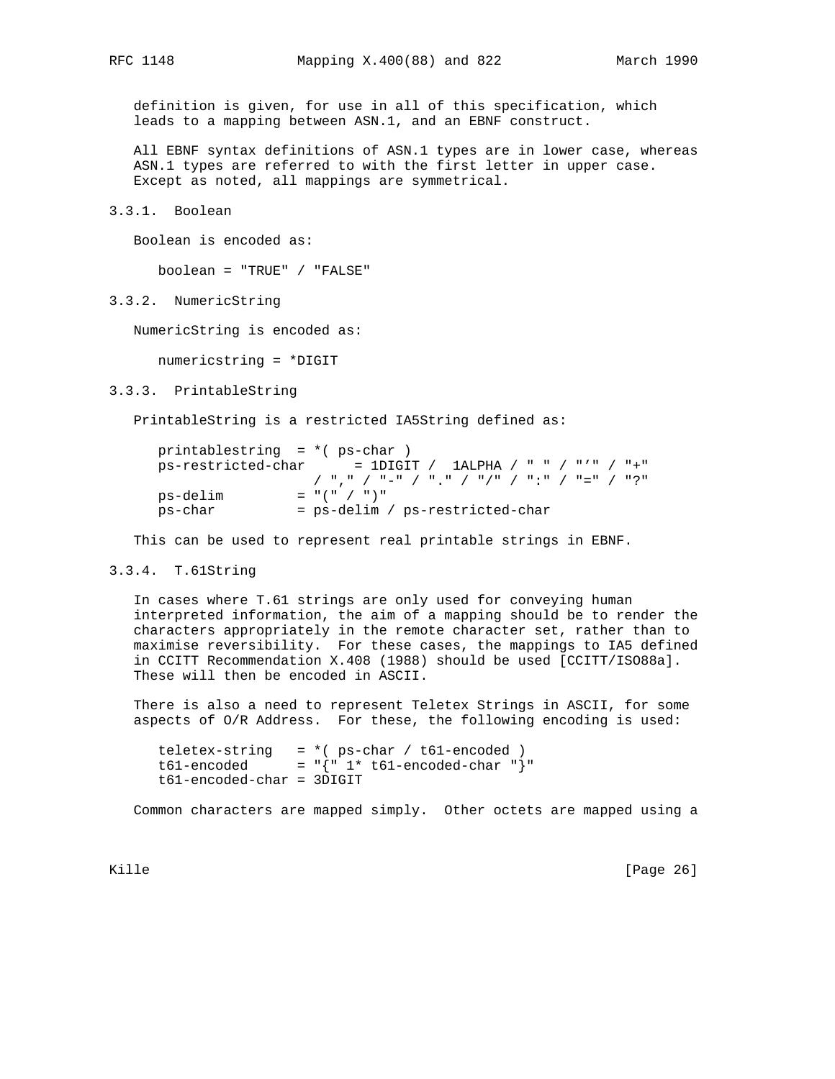definition is given, for use in all of this specification, which leads to a mapping between ASN.1, and an EBNF construct.

 All EBNF syntax definitions of ASN.1 types are in lower case, whereas ASN.1 types are referred to with the first letter in upper case. Except as noted, all mappings are symmetrical.

3.3.1. Boolean

Boolean is encoded as:

boolean = "TRUE" / "FALSE"

3.3.2. NumericString

NumericString is encoded as:

numericstring = \*DIGIT

3.3.3. PrintableString

PrintableString is a restricted IA5String defined as:

| printablestring = $*($ ps-char) |                                                          |
|---------------------------------|----------------------------------------------------------|
|                                 | $ps-restricted-char$ = 1DIGIT / 1ALPHA / " " / "'" / "+" |
|                                 | /  ","  /  "-"  /  ","  /  " / "  /  ":"  /  "="  /  "?" |
| ps-delim                        | $=$ " $($ " $/$ " $)$ "                                  |
| ps-char                         | = ps-delim / ps-restricted-char                          |

This can be used to represent real printable strings in EBNF.

### 3.3.4. T.61String

 In cases where T.61 strings are only used for conveying human interpreted information, the aim of a mapping should be to render the characters appropriately in the remote character set, rather than to maximise reversibility. For these cases, the mappings to IA5 defined in CCITT Recommendation X.408 (1988) should be used [CCITT/ISO88a]. These will then be encoded in ASCII.

 There is also a need to represent Teletex Strings in ASCII, for some aspects of O/R Address. For these, the following encoding is used:

```
 teletex-string = *( ps-char / t61-encoded )
t61-encoded = "{^{\cdots}}1^* t61-encoded-char "}"
 t61-encoded-char = 3DIGIT
```
Common characters are mapped simply. Other octets are mapped using a

Kille [Page 26]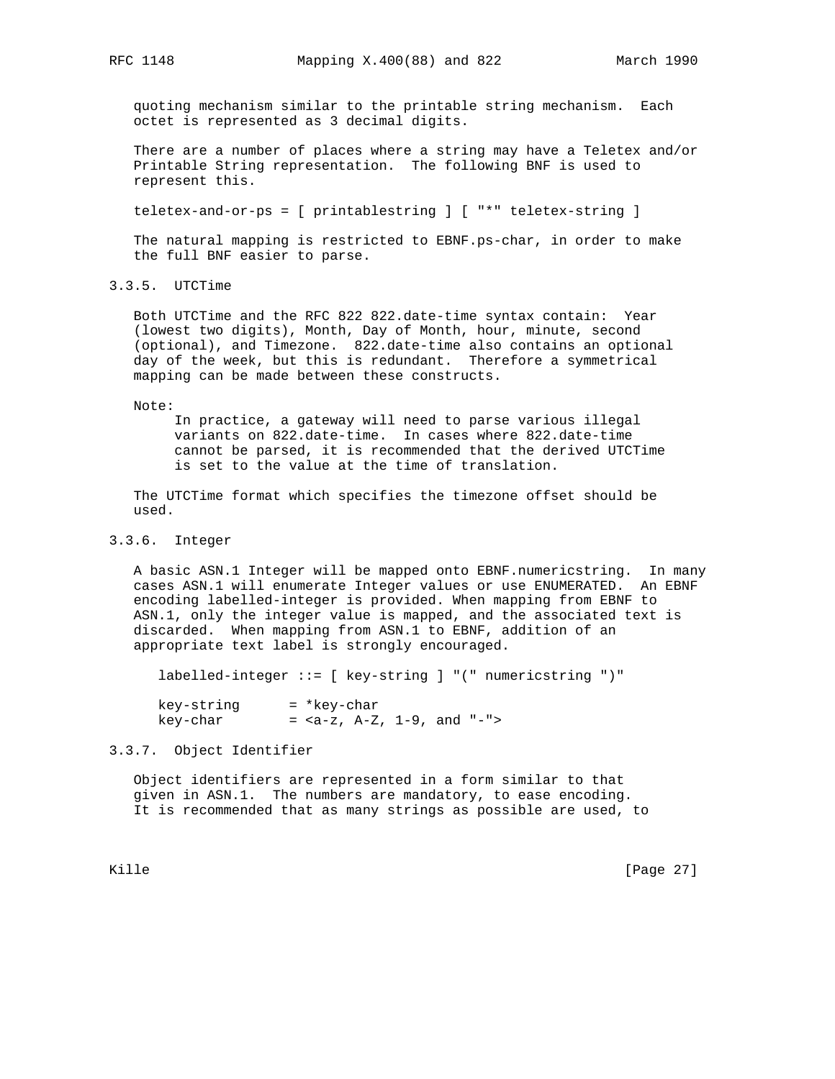quoting mechanism similar to the printable string mechanism. Each octet is represented as 3 decimal digits.

 There are a number of places where a string may have a Teletex and/or Printable String representation. The following BNF is used to represent this.

teletex-and-or-ps = [ printablestring ] [ "\*" teletex-string ]

 The natural mapping is restricted to EBNF.ps-char, in order to make the full BNF easier to parse.

3.3.5. UTCTime

 Both UTCTime and the RFC 822 822.date-time syntax contain: Year (lowest two digits), Month, Day of Month, hour, minute, second (optional), and Timezone. 822.date-time also contains an optional day of the week, but this is redundant. Therefore a symmetrical mapping can be made between these constructs.

Note:

 In practice, a gateway will need to parse various illegal variants on 822.date-time. In cases where 822.date-time cannot be parsed, it is recommended that the derived UTCTime is set to the value at the time of translation.

 The UTCTime format which specifies the timezone offset should be used.

# 3.3.6. Integer

 A basic ASN.1 Integer will be mapped onto EBNF.numericstring. In many cases ASN.1 will enumerate Integer values or use ENUMERATED. An EBNF encoding labelled-integer is provided. When mapping from EBNF to ASN.1, only the integer value is mapped, and the associated text is discarded. When mapping from ASN.1 to EBNF, addition of an appropriate text label is strongly encouraged.

labelled-integer ::= [ key-string ] "(" numericstring ")"

 key-string = \*key-char key-char  $=$   $,  $A-Z$ ,  $1-9$ , and  $"$ -">$ 

3.3.7. Object Identifier

 Object identifiers are represented in a form similar to that given in ASN.1. The numbers are mandatory, to ease encoding. It is recommended that as many strings as possible are used, to

Kille [Page 27]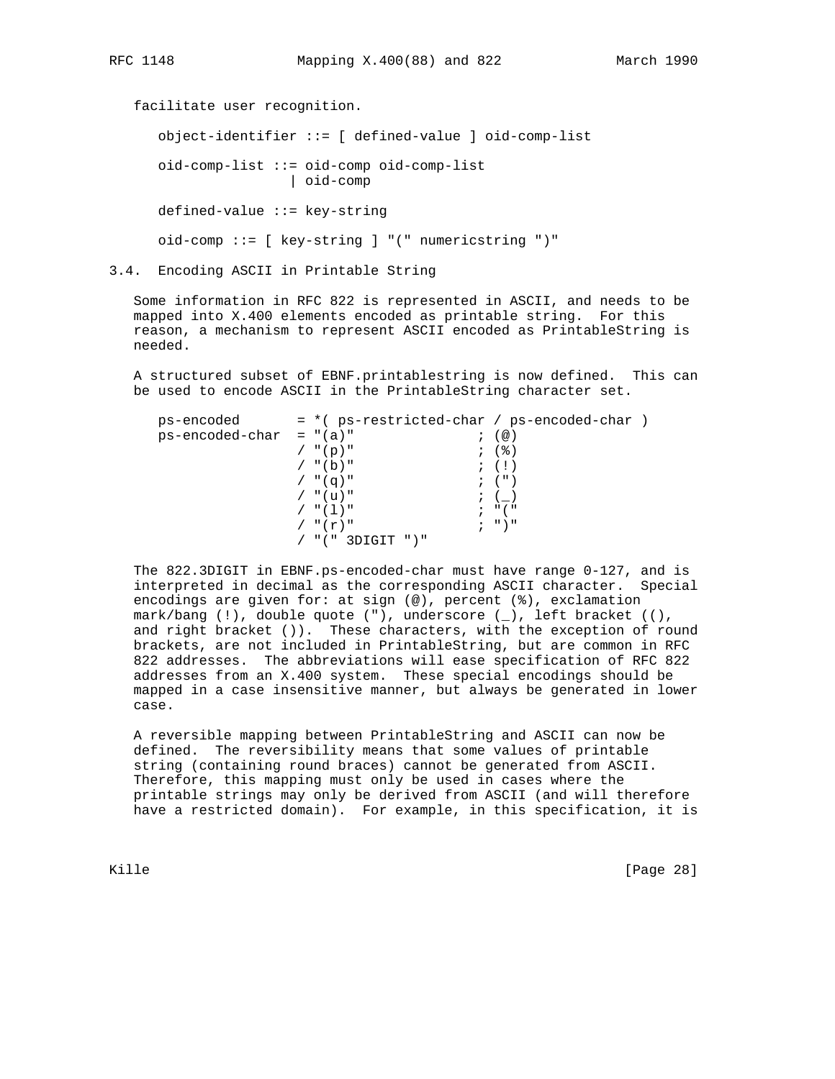facilitate user recognition. object-identifier ::= [ defined-value ] oid-comp-list oid-comp-list ::= oid-comp oid-comp-list | oid-comp defined-value ::= key-string oid-comp ::= [ key-string ] "(" numericstring ")"

3.4. Encoding ASCII in Printable String

 Some information in RFC 822 is represented in ASCII, and needs to be mapped into X.400 elements encoded as printable string. For this reason, a mechanism to represent ASCII encoded as PrintableString is needed.

 A structured subset of EBNF.printablestring is now defined. This can be used to encode ASCII in the PrintableString character set.

| ps-encoded                | $=$ *( ps-restricted-char / ps-encoded-char ) |                                 |  |
|---------------------------|-----------------------------------------------|---------------------------------|--|
| $ps-encoded-char = "(a)"$ |                                               | $; (\circledcirc)$              |  |
|                           | $/$ "(p)"                                     | ; (%)                           |  |
|                           | $/$ "(b)"                                     | $\mathfrak{z}$ (!)              |  |
|                           | $/$ "(q)"                                     | $\left($ $\right)$              |  |
|                           | / "(u)"                                       | $\,$ ; ()                       |  |
|                           | / "(1)"                                       | $\cdot$ $\cdot$ $\cdot$ $\cdot$ |  |
|                           | $/$ " $(r)$ "                                 | ; "                             |  |
|                           | / "(" 3DIGIT ")"                              |                                 |  |
|                           |                                               |                                 |  |

 The 822.3DIGIT in EBNF.ps-encoded-char must have range 0-127, and is interpreted in decimal as the corresponding ASCII character. Special encodings are given for: at sign (@), percent (%), exclamation mark/bang (!), double quote ("), underscore (\_), left bracket ((), and right bracket ()). These characters, with the exception of round brackets, are not included in PrintableString, but are common in RFC 822 addresses. The abbreviations will ease specification of RFC 822 addresses from an X.400 system. These special encodings should be mapped in a case insensitive manner, but always be generated in lower case.

 A reversible mapping between PrintableString and ASCII can now be defined. The reversibility means that some values of printable string (containing round braces) cannot be generated from ASCII. Therefore, this mapping must only be used in cases where the printable strings may only be derived from ASCII (and will therefore have a restricted domain). For example, in this specification, it is

Kille [Page 28]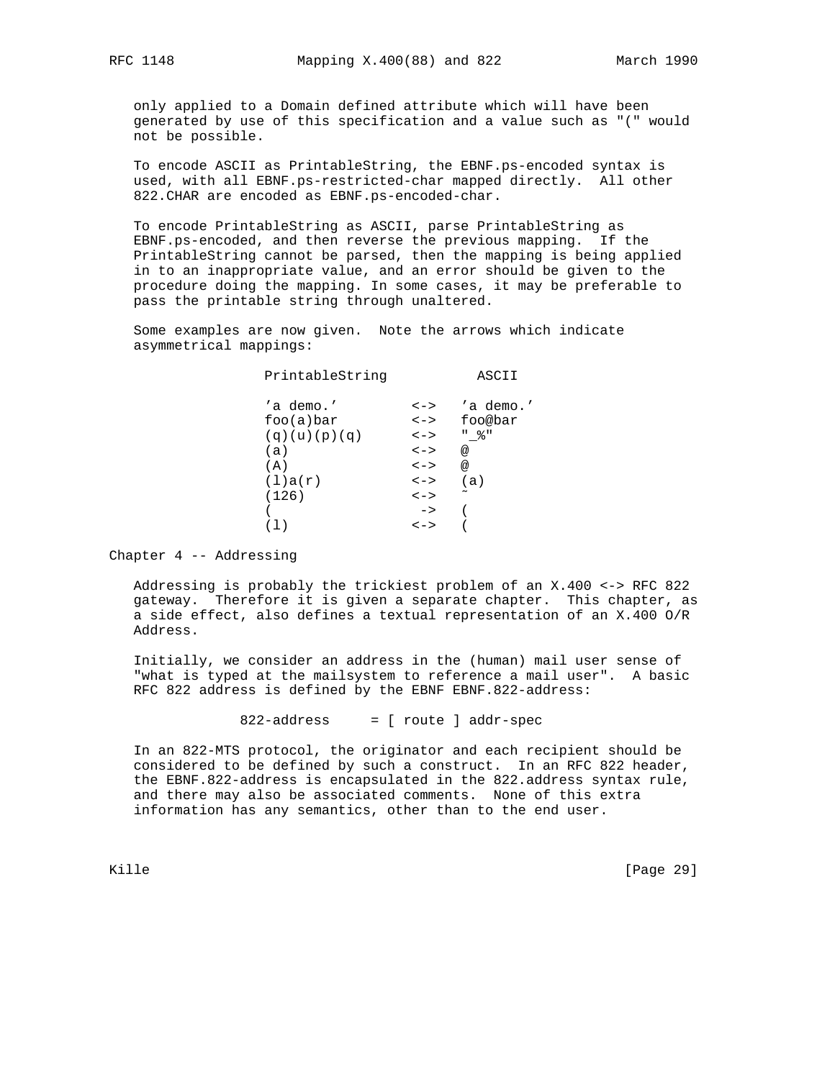only applied to a Domain defined attribute which will have been generated by use of this specification and a value such as "(" would not be possible.

 To encode ASCII as PrintableString, the EBNF.ps-encoded syntax is used, with all EBNF.ps-restricted-char mapped directly. All other 822.CHAR are encoded as EBNF.ps-encoded-char.

 To encode PrintableString as ASCII, parse PrintableString as EBNF.ps-encoded, and then reverse the previous mapping. If the PrintableString cannot be parsed, then the mapping is being applied in to an inappropriate value, and an error should be given to the procedure doing the mapping. In some cases, it may be preferable to pass the printable string through unaltered.

 Some examples are now given. Note the arrows which indicate asymmetrical mappings:

| PrintableString |               | ASCII                 |
|-----------------|---------------|-----------------------|
| 'a demo.'       | $\lt$ $ >$    | 'a demo.'             |
| foo(a)bar       | $\lt$ $\gt$   | foo@bar               |
| (q)(u)(p)(q)    | $\lt$ $ >$    | " 응 "                 |
| (a)             | $\lt$ ->      | @                     |
| (A)             | $\lt$ - $>$   | @                     |
| (1)a(r)         | $\lt$ - $>$   | (a)                   |
| (126)           | $\lt$ $ >$    | $\tilde{\phantom{a}}$ |
|                 | $\rightarrow$ |                       |
|                 | $\lt$ - $>$   |                       |
|                 |               |                       |

Chapter 4 -- Addressing

 Addressing is probably the trickiest problem of an X.400 <-> RFC 822 gateway. Therefore it is given a separate chapter. This chapter, as a side effect, also defines a textual representation of an X.400 O/R Address.

 Initially, we consider an address in the (human) mail user sense of "what is typed at the mailsystem to reference a mail user". A basic RFC 822 address is defined by the EBNF EBNF.822-address:

822-address = [ route ] addr-spec

 In an 822-MTS protocol, the originator and each recipient should be considered to be defined by such a construct. In an RFC 822 header, the EBNF.822-address is encapsulated in the 822.address syntax rule, and there may also be associated comments. None of this extra information has any semantics, other than to the end user.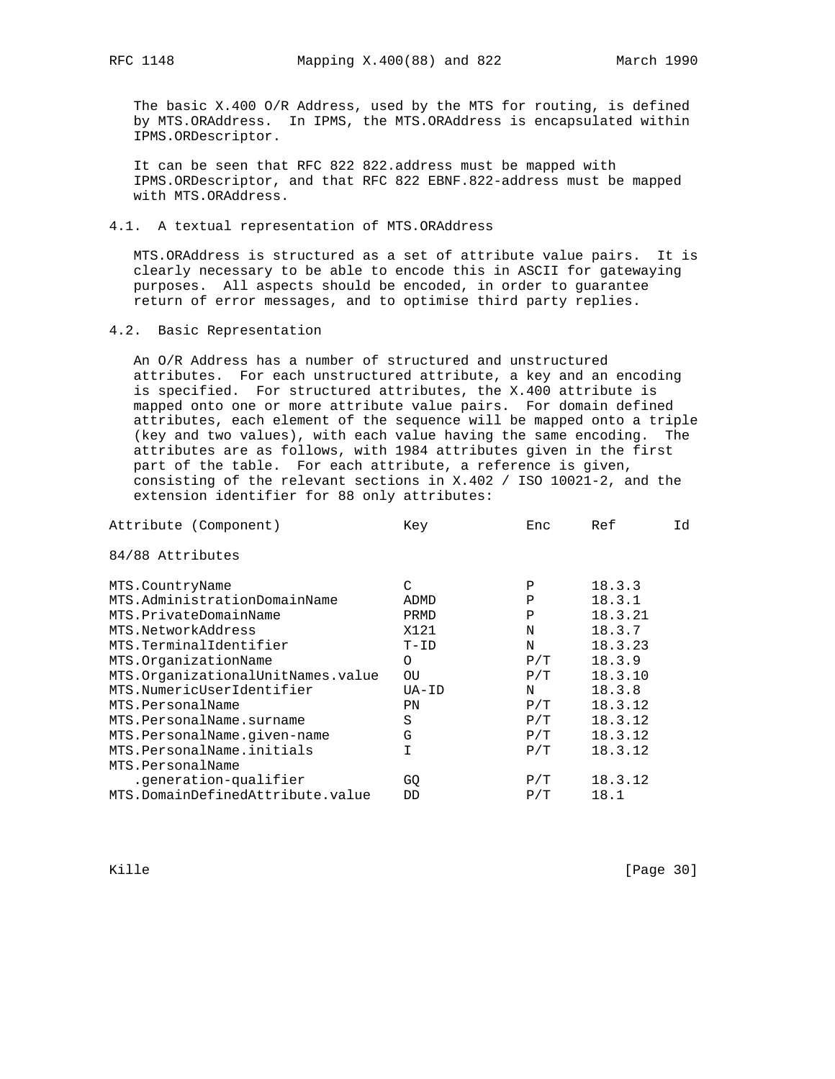The basic X.400 O/R Address, used by the MTS for routing, is defined by MTS.ORAddress. In IPMS, the MTS.ORAddress is encapsulated within IPMS.ORDescriptor.

 It can be seen that RFC 822 822.address must be mapped with IPMS.ORDescriptor, and that RFC 822 EBNF.822-address must be mapped with MTS.ORAddress.

4.1. A textual representation of MTS.ORAddress

 MTS.ORAddress is structured as a set of attribute value pairs. It is clearly necessary to be able to encode this in ASCII for gatewaying purposes. All aspects should be encoded, in order to guarantee return of error messages, and to optimise third party replies.

# 4.2. Basic Representation

 An O/R Address has a number of structured and unstructured attributes. For each unstructured attribute, a key and an encoding is specified. For structured attributes, the X.400 attribute is mapped onto one or more attribute value pairs. For domain defined attributes, each element of the sequence will be mapped onto a triple (key and two values), with each value having the same encoding. The attributes are as follows, with 1984 attributes given in the first part of the table. For each attribute, a reference is given, consisting of the relevant sections in X.402 / ISO 10021-2, and the extension identifier for 88 only attributes:

| Id |
|----|
|    |
|    |
|    |
|    |
|    |
|    |
|    |
|    |
|    |
|    |
|    |
|    |
|    |
|    |
|    |
|    |
|    |

Kille [Page 30]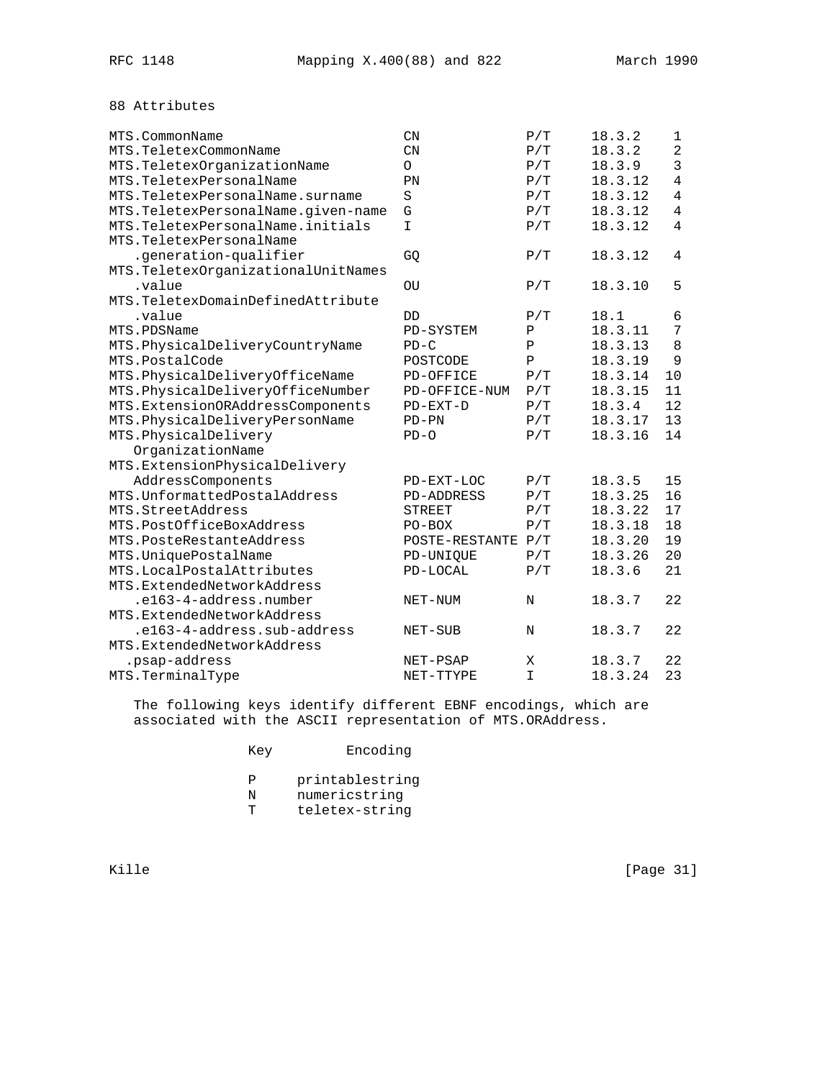# 88 Attributes

| MTS.CommonName                      | $\mathcal{C}N$     | P/T           | 18.3.2  | 1              |
|-------------------------------------|--------------------|---------------|---------|----------------|
| MTS.TeletexCommonName               | $\mathbb{C}N$      | P/T           | 18.3.2  | $\overline{2}$ |
| MTS.TeletexOrganizationName         | $\circ$            | P/T           | 18.3.9  | 3              |
| MTS.TeletexPersonalName             | PN                 | P/T           | 18.3.12 | $\overline{4}$ |
| MTS. TeletexPersonalName. surname   | S                  | P/T           | 18.3.12 | 4              |
| MTS.TeletexPersonalName.given-name  | G                  | $\rm P\,/\,T$ | 18.3.12 | $\overline{4}$ |
| MTS. TeletexPersonalName. initials  | $\mathbf I$        | P/T           | 18.3.12 | $\overline{4}$ |
| MTS.TeletexPersonalName             |                    |               |         |                |
| .generation-qualifier               | GQ                 | P/T           | 18.3.12 | $\overline{4}$ |
| MTS. TeletexOrganizationalUnitNames |                    |               |         |                |
| .value                              | OU                 | P/T           | 18.3.10 | 5              |
| MTS. TeletexDomainDefinedAttribute  |                    |               |         |                |
| .value                              | DD                 | P/T           | 18.1    | 6              |
| MTS.PDSName                         | PD-SYSTEM          | Ρ             | 18.3.11 | 7              |
| MTS. PhysicalDeliveryCountryName    | $PD-C$             | Ρ             | 18.3.13 | 8              |
| MTS.PostalCode                      | POSTCODE           | $\mathbf{P}$  | 18.3.19 | 9              |
| MTS.PhysicalDeliveryOfficeName      | PD-OFFICE          | P/T           | 18.3.14 | 10             |
| MTS.PhysicalDeliveryOfficeNumber    | PD-OFFICE-NUM      | P/T           | 18.3.15 | 11             |
| MTS.ExtensionORAddressComponents    | $PD-EXT-D$         | P/T           | 18.3.4  | 12             |
| MTS.PhysicalDeliveryPersonName      | $PD-PN$            | P/T           | 18.3.17 | 13             |
| MTS.PhysicalDelivery                | $PD-O$             | P/T           | 18.3.16 | 14             |
| OrganizationName                    |                    |               |         |                |
| MTS.ExtensionPhysicalDelivery       |                    |               |         |                |
| AddressComponents                   | PD-EXT-LOC         | P/T           | 18.3.5  | 15             |
| MTS. UnformattedPostalAddress       | <b>PD-ADDRESS</b>  | P/T           | 18.3.25 | 16             |
| MTS.StreetAddress                   | <b>STREET</b>      | P/T           | 18.3.22 | 17             |
| MTS.PostOfficeBoxAddress            | $PO-BOX$           | P/T           | 18.3.18 | 18             |
| MTS. PosteRestanteAddress           | POSTE-RESTANTE P/T |               | 18.3.20 | 19             |
| MTS.UniquePostalName                | PD-UNIQUE          | $\rm P\,/\,T$ | 18.3.26 | 20             |
| MTS. LocalPostalAttributes          | PD-LOCAL           | P/T           | 18.3.6  | 21             |
| MTS.ExtendedNetworkAddress          |                    |               |         |                |
| .e163-4-address.number              | NET-NUM            | N             | 18.3.7  | 22             |
| MTS.ExtendedNetworkAddress          |                    |               |         |                |
| .el63-4-address.sub-address         | NET-SUB            | N             | 18.3.7  | 22             |
| MTS.ExtendedNetworkAddress          |                    |               |         |                |
| .psap-address                       | NET-PSAP           | X             | 18.3.7  | 22             |
| MTS.TerminalType                    | NET-TTYPE          | $\mathbf I$   | 18.3.24 | 23             |

 The following keys identify different EBNF encodings, which are associated with the ASCII representation of MTS.ORAddress.

| Key | Encoding |
|-----|----------|
|-----|----------|

- P printablestring
- N numericstring
- T teletex-string

Kille [Page 31]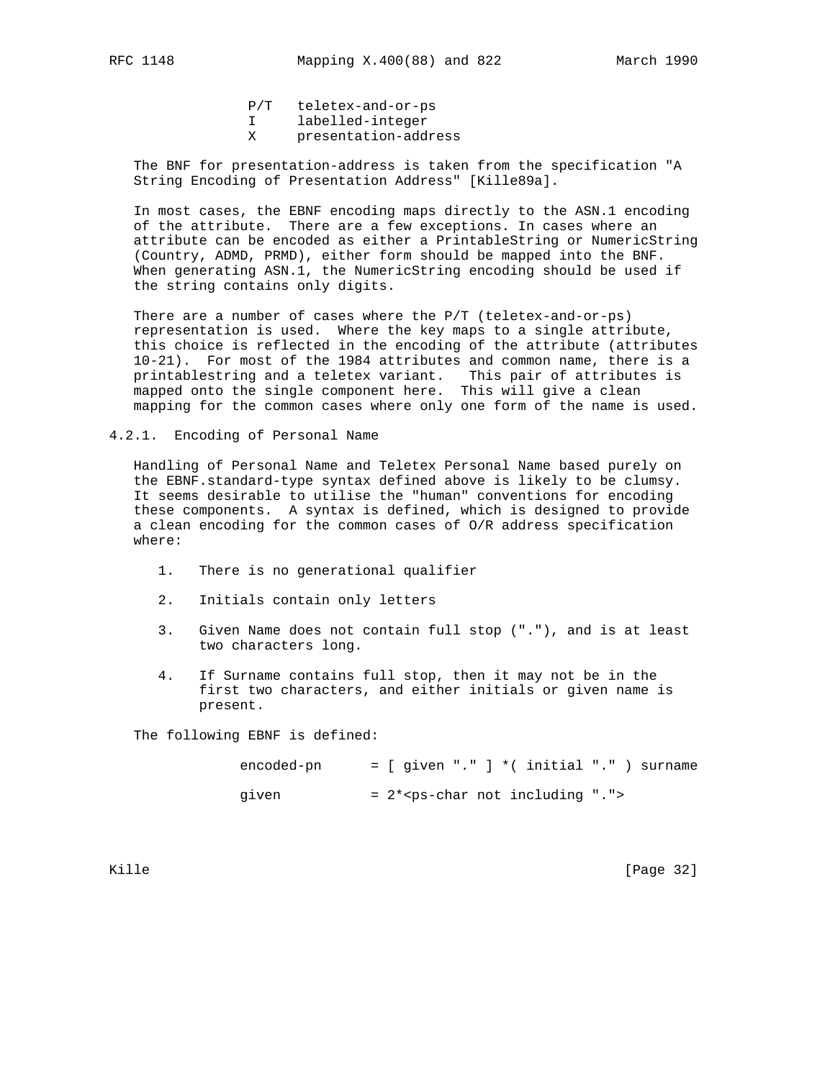P/T teletex-and-or-ps

- I labelled-integer
- X presentation-address

 The BNF for presentation-address is taken from the specification "A String Encoding of Presentation Address" [Kille89a].

 In most cases, the EBNF encoding maps directly to the ASN.1 encoding of the attribute. There are a few exceptions. In cases where an attribute can be encoded as either a PrintableString or NumericString (Country, ADMD, PRMD), either form should be mapped into the BNF. When generating ASN.1, the NumericString encoding should be used if the string contains only digits.

 There are a number of cases where the P/T (teletex-and-or-ps) representation is used. Where the key maps to a single attribute, this choice is reflected in the encoding of the attribute (attributes 10-21). For most of the 1984 attributes and common name, there is a printablestring and a teletex variant. This pair of attributes is mapped onto the single component here. This will give a clean mapping for the common cases where only one form of the name is used.

4.2.1. Encoding of Personal Name

 Handling of Personal Name and Teletex Personal Name based purely on the EBNF.standard-type syntax defined above is likely to be clumsy. It seems desirable to utilise the "human" conventions for encoding these components. A syntax is defined, which is designed to provide a clean encoding for the common cases of O/R address specification where:

- 1. There is no generational qualifier
- 2. Initials contain only letters
- 3. Given Name does not contain full stop ("."), and is at least two characters long.
- 4. If Surname contains full stop, then it may not be in the first two characters, and either initials or given name is present.

The following EBNF is defined:

| encoded-pn |  | $=$ [ given "." ] *( initial "." ) surname |  |  |  |  |
|------------|--|--------------------------------------------|--|--|--|--|
| given      |  | $= 2*ps-char not including ".$             |  |  |  |  |

Kille [Page 32]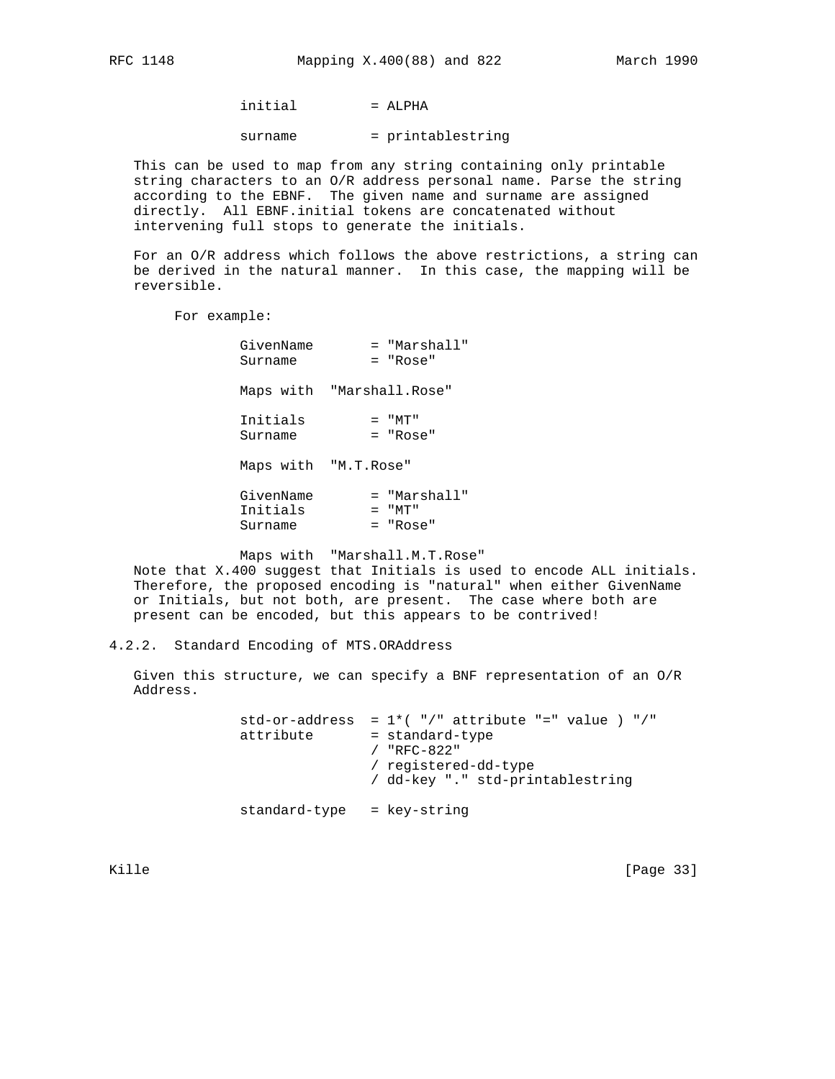$initial$  = ALPHA

surname = printablestring

 This can be used to map from any string containing only printable string characters to an O/R address personal name. Parse the string according to the EBNF. The given name and surname are assigned directly. All EBNF.initial tokens are concatenated without intervening full stops to generate the initials.

 For an O/R address which follows the above restrictions, a string can be derived in the natural manner. In this case, the mapping will be reversible.

For example:

| GivenName | = "Marshall"              |
|-----------|---------------------------|
| Surname   | = "Rose"                  |
|           | Maps with "Marshall.Rose" |
| Initials  | $=$ "MT"                  |
| Surname   | $=$ "Rose"                |
|           | Maps with "M.T.Rose"      |
| GivenName | = "Marshall"              |
| Initials  | $=$ "MT"                  |
| Surname   | = "Rose"                  |

Maps with "Marshall.M.T.Rose"

 Note that X.400 suggest that Initials is used to encode ALL initials. Therefore, the proposed encoding is "natural" when either GivenName or Initials, but not both, are present. The case where both are present can be encoded, but this appears to be contrived!

4.2.2. Standard Encoding of MTS.ORAddress

 Given this structure, we can specify a BNF representation of an O/R Address.

> std-or-address =  $1*(-")$ " attribute "=" value  $)$  "/" attribute = standard-type / "RFC-822" / registered-dd-type / dd-key "." std-printablestring standard-type = key-string

Kille [Page 33]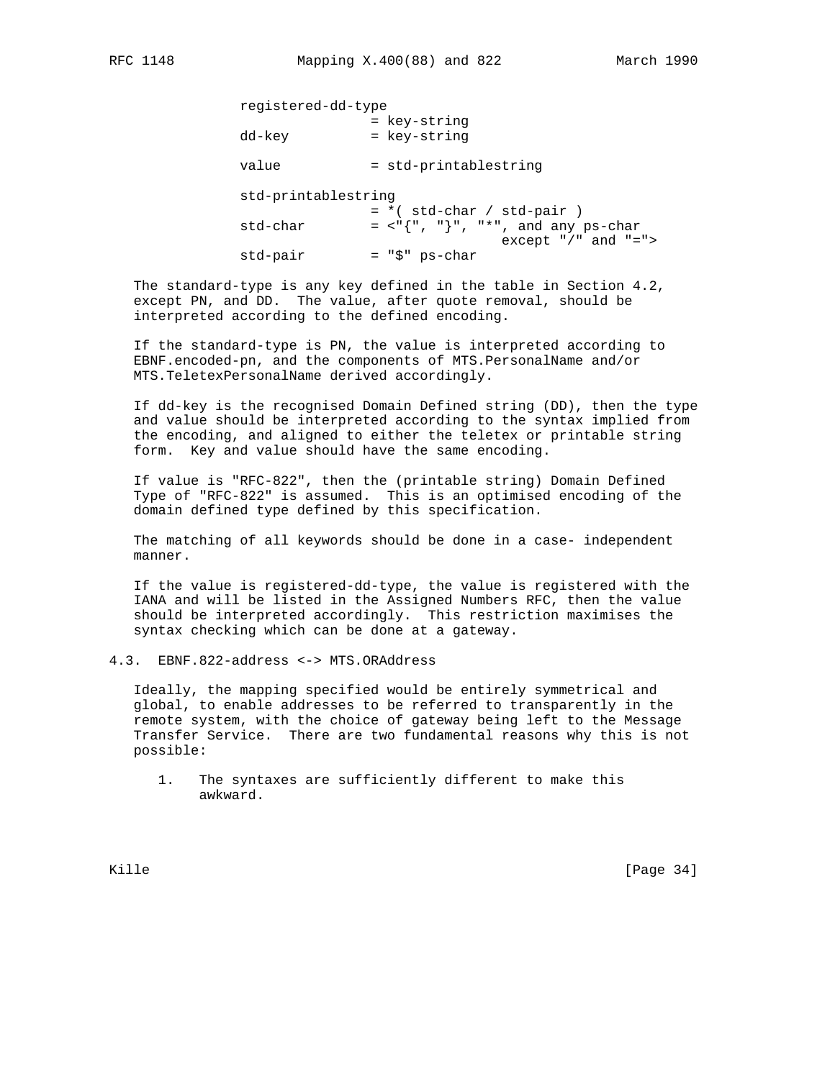| registered-dd-type  |                              |                                                               |
|---------------------|------------------------------|---------------------------------------------------------------|
| dd-key              | = key-string<br>= key-string |                                                               |
| value               | = std-printablestring        |                                                               |
| std-printablestring | $= *$ (std-char / std-pair)  |                                                               |
| std-char            |                              | $=$ <"{", "}", "*", and any ps-char<br>except $*/"$ and $"="$ |
| std-pair            | = "\$" ps-char               |                                                               |

 The standard-type is any key defined in the table in Section 4.2, except PN, and DD. The value, after quote removal, should be interpreted according to the defined encoding.

 If the standard-type is PN, the value is interpreted according to EBNF.encoded-pn, and the components of MTS.PersonalName and/or MTS.TeletexPersonalName derived accordingly.

 If dd-key is the recognised Domain Defined string (DD), then the type and value should be interpreted according to the syntax implied from the encoding, and aligned to either the teletex or printable string form. Key and value should have the same encoding.

 If value is "RFC-822", then the (printable string) Domain Defined Type of "RFC-822" is assumed. This is an optimised encoding of the domain defined type defined by this specification.

 The matching of all keywords should be done in a case- independent manner.

 If the value is registered-dd-type, the value is registered with the IANA and will be listed in the Assigned Numbers RFC, then the value should be interpreted accordingly. This restriction maximises the syntax checking which can be done at a gateway.

4.3. EBNF.822-address <-> MTS.ORAddress

 Ideally, the mapping specified would be entirely symmetrical and global, to enable addresses to be referred to transparently in the remote system, with the choice of gateway being left to the Message Transfer Service. There are two fundamental reasons why this is not possible:

 1. The syntaxes are sufficiently different to make this awkward.

Kille [Page 34]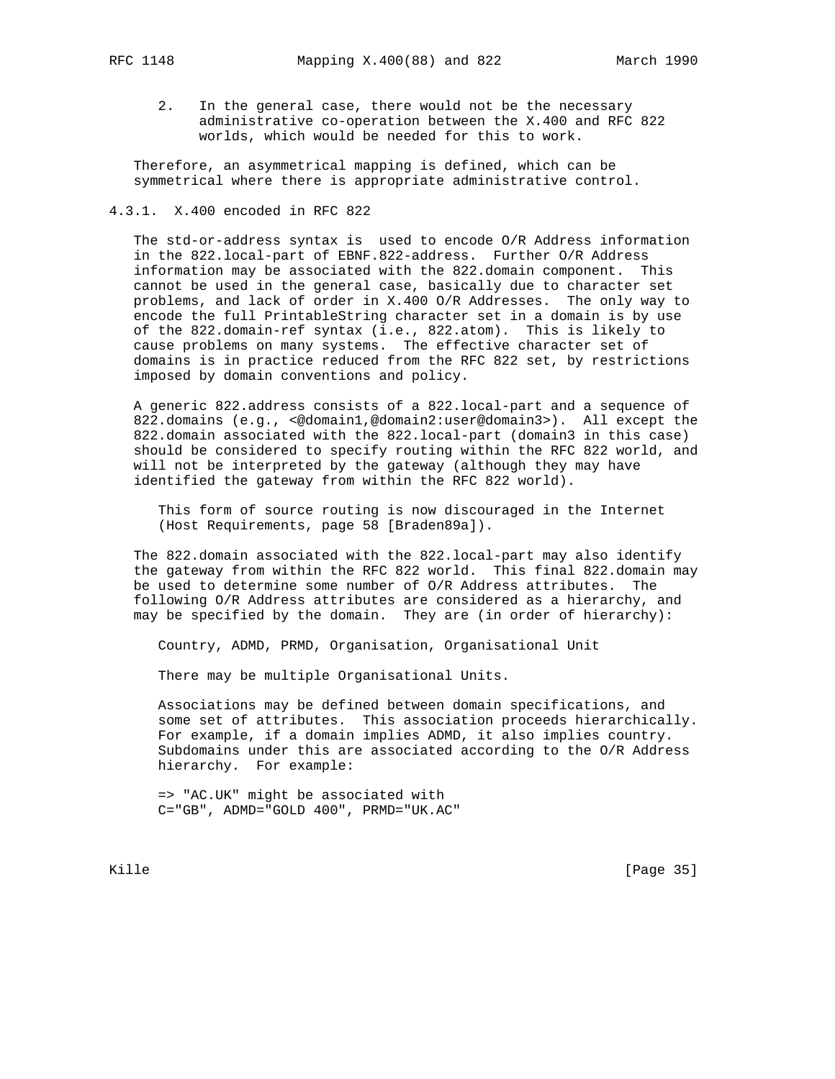- - 2. In the general case, there would not be the necessary administrative co-operation between the X.400 and RFC 822 worlds, which would be needed for this to work.

 Therefore, an asymmetrical mapping is defined, which can be symmetrical where there is appropriate administrative control.

## 4.3.1. X.400 encoded in RFC 822

 The std-or-address syntax is used to encode O/R Address information in the 822.local-part of EBNF.822-address. Further O/R Address information may be associated with the 822.domain component. This cannot be used in the general case, basically due to character set problems, and lack of order in X.400 O/R Addresses. The only way to encode the full PrintableString character set in a domain is by use of the 822.domain-ref syntax (i.e., 822.atom). This is likely to cause problems on many systems. The effective character set of domains is in practice reduced from the RFC 822 set, by restrictions imposed by domain conventions and policy.

 A generic 822.address consists of a 822.local-part and a sequence of 822.domains (e.g., <@domain1,@domain2:user@domain3>). All except the 822.domain associated with the 822.local-part (domain3 in this case) should be considered to specify routing within the RFC 822 world, and will not be interpreted by the gateway (although they may have identified the gateway from within the RFC 822 world).

 This form of source routing is now discouraged in the Internet (Host Requirements, page 58 [Braden89a]).

 The 822.domain associated with the 822.local-part may also identify the gateway from within the RFC 822 world. This final 822.domain may be used to determine some number of O/R Address attributes. The following O/R Address attributes are considered as a hierarchy, and may be specified by the domain. They are (in order of hierarchy):

Country, ADMD, PRMD, Organisation, Organisational Unit

There may be multiple Organisational Units.

 Associations may be defined between domain specifications, and some set of attributes. This association proceeds hierarchically. For example, if a domain implies ADMD, it also implies country. Subdomains under this are associated according to the O/R Address hierarchy. For example:

 => "AC.UK" might be associated with C="GB", ADMD="GOLD 400", PRMD="UK.AC"

Kille [Page 35]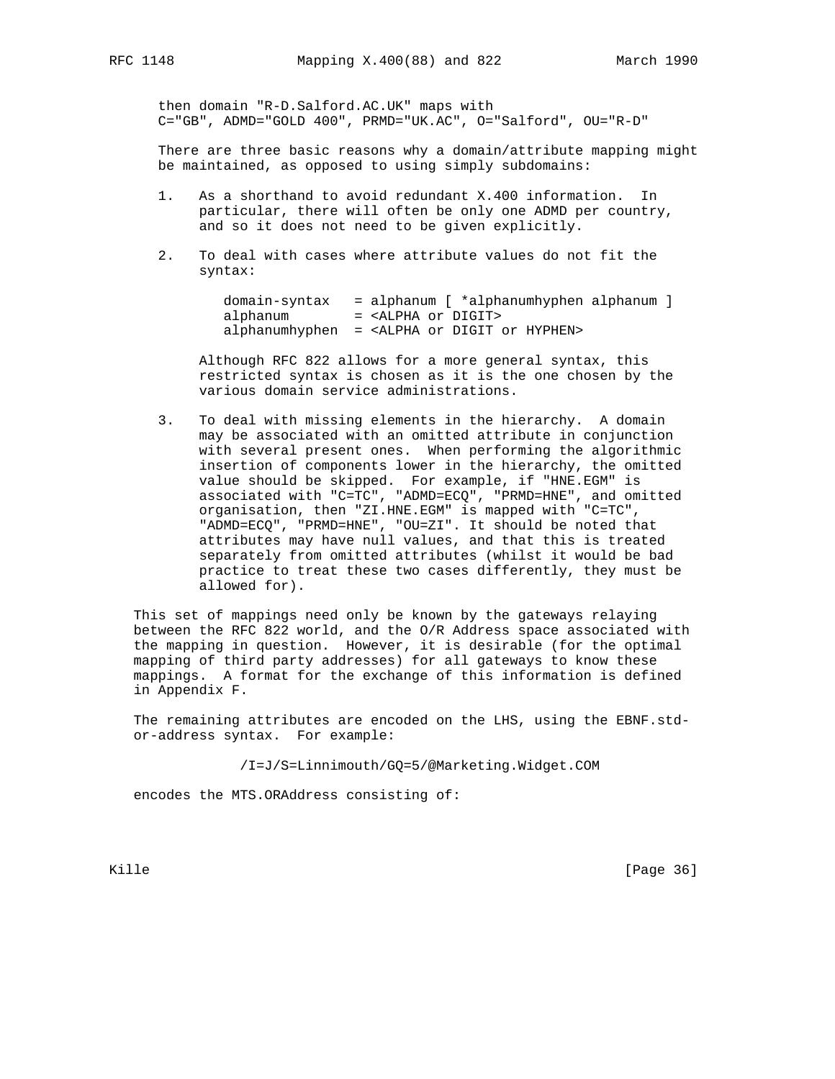then domain "R-D.Salford.AC.UK" maps with C="GB", ADMD="GOLD 400", PRMD="UK.AC", O="Salford", OU="R-D"

 There are three basic reasons why a domain/attribute mapping might be maintained, as opposed to using simply subdomains:

- 1. As a shorthand to avoid redundant X.400 information. In particular, there will often be only one ADMD per country, and so it does not need to be given explicitly.
- 2. To deal with cases where attribute values do not fit the syntax:

|          | $domain-syntax = alphanum$ $*alphanumhyphen alphanum$ ]   |
|----------|-----------------------------------------------------------|
| alphanum | = <alpha digit="" or=""></alpha>                          |
|          | alphanumhyphen = <alpha digit="" hyphen="" or=""></alpha> |

 Although RFC 822 allows for a more general syntax, this restricted syntax is chosen as it is the one chosen by the various domain service administrations.

 3. To deal with missing elements in the hierarchy. A domain may be associated with an omitted attribute in conjunction with several present ones. When performing the algorithmic insertion of components lower in the hierarchy, the omitted value should be skipped. For example, if "HNE.EGM" is associated with "C=TC", "ADMD=ECQ", "PRMD=HNE", and omitted organisation, then "ZI.HNE.EGM" is mapped with "C=TC", "ADMD=ECQ", "PRMD=HNE", "OU=ZI". It should be noted that attributes may have null values, and that this is treated separately from omitted attributes (whilst it would be bad practice to treat these two cases differently, they must be allowed for).

 This set of mappings need only be known by the gateways relaying between the RFC 822 world, and the O/R Address space associated with the mapping in question. However, it is desirable (for the optimal mapping of third party addresses) for all gateways to know these mappings. A format for the exchange of this information is defined in Appendix F.

 The remaining attributes are encoded on the LHS, using the EBNF.std or-address syntax. For example:

/I=J/S=Linnimouth/GQ=5/@Marketing.Widget.COM

encodes the MTS.ORAddress consisting of:

Kille [Page 36]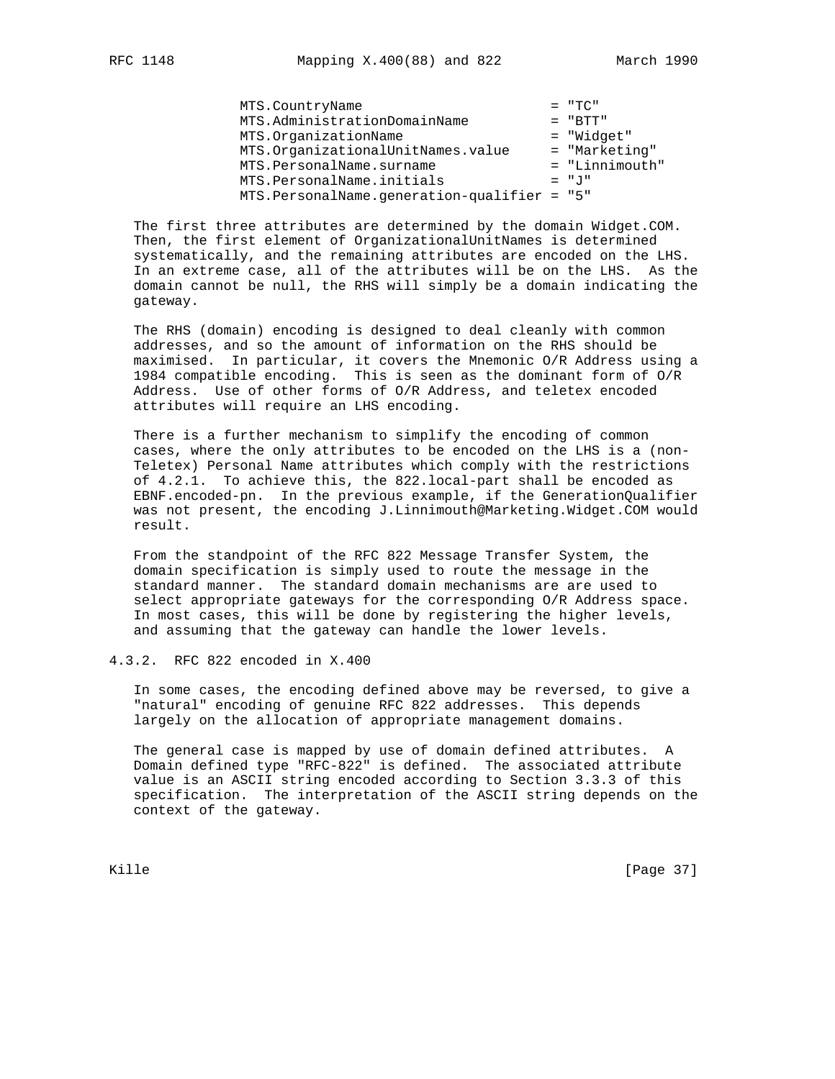MTS.CountryName<br>MTS.AdministrationDomainName = "BTT" MTS.AdministrationDomainName = "BTT"<br>MTS.OrganizationName = "Widget" MTS.OrganizationName MTS.OrganizationalUnitNames.value = "Marketing" MTS.PersonalName.surname =  $\blacksquare$  = "Linnimouth" MTS.PersonalName.initials  $= "J"$ MTS.PersonalName.generation-qualifier = "5"

 The first three attributes are determined by the domain Widget.COM. Then, the first element of OrganizationalUnitNames is determined systematically, and the remaining attributes are encoded on the LHS. In an extreme case, all of the attributes will be on the LHS. As the domain cannot be null, the RHS will simply be a domain indicating the gateway.

 The RHS (domain) encoding is designed to deal cleanly with common addresses, and so the amount of information on the RHS should be maximised. In particular, it covers the Mnemonic O/R Address using a 1984 compatible encoding. This is seen as the dominant form of O/R Address. Use of other forms of O/R Address, and teletex encoded attributes will require an LHS encoding.

 There is a further mechanism to simplify the encoding of common cases, where the only attributes to be encoded on the LHS is a (non- Teletex) Personal Name attributes which comply with the restrictions of 4.2.1. To achieve this, the 822.local-part shall be encoded as EBNF.encoded-pn. In the previous example, if the GenerationQualifier was not present, the encoding J.Linnimouth@Marketing.Widget.COM would result.

 From the standpoint of the RFC 822 Message Transfer System, the domain specification is simply used to route the message in the standard manner. The standard domain mechanisms are are used to select appropriate gateways for the corresponding O/R Address space. In most cases, this will be done by registering the higher levels, and assuming that the gateway can handle the lower levels.

## 4.3.2. RFC 822 encoded in X.400

 In some cases, the encoding defined above may be reversed, to give a "natural" encoding of genuine RFC 822 addresses. This depends largely on the allocation of appropriate management domains.

 The general case is mapped by use of domain defined attributes. A Domain defined type "RFC-822" is defined. The associated attribute value is an ASCII string encoded according to Section 3.3.3 of this specification. The interpretation of the ASCII string depends on the context of the gateway.

Kille [Page 37]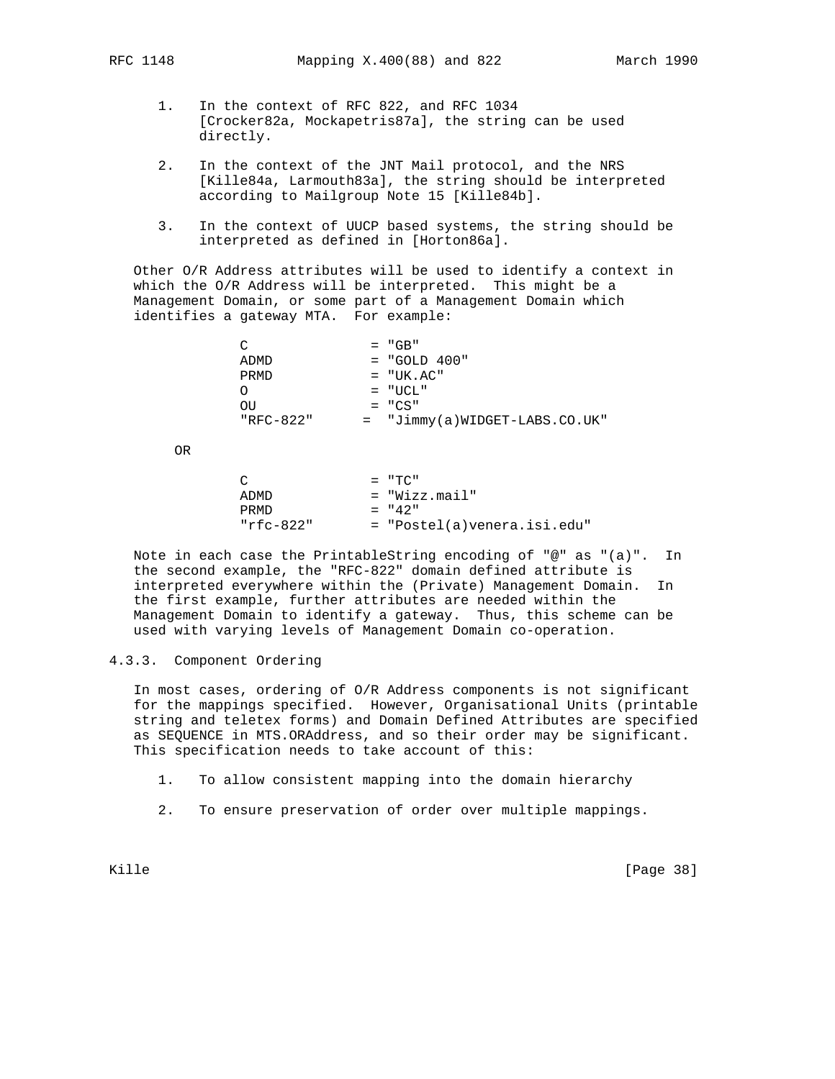- 1. In the context of RFC 822, and RFC 1034 [Crocker82a, Mockapetris87a], the string can be used directly.
- 2. In the context of the JNT Mail protocol, and the NRS [Kille84a, Larmouth83a], the string should be interpreted according to Mailgroup Note 15 [Kille84b].
- 3. In the context of UUCP based systems, the string should be interpreted as defined in [Horton86a].

 Other O/R Address attributes will be used to identify a context in which the O/R Address will be interpreted. This might be a Management Domain, or some part of a Management Domain which identifies a gateway MTA. For example:

| C         | $= "GB"$                        |
|-----------|---------------------------------|
| ADMD      | $=$ "GOLD 400"                  |
| PRMD      | $= "UK . AC"$                   |
|           | $=$ "UCL"                       |
| OU        | $= "CS"$                        |
| "RFC-822" | $=$ "Jimmy(a)WIDGET-LABS.CO.UK" |
|           |                                 |

OR

| $\cap$    | $=$ "TC"                    |
|-----------|-----------------------------|
| ADMD      | $=$ "Wizz.mail"             |
| PRMD      | $= 42$ "                    |
| "rfc-822" | = "Postel(a)venera.isi.edu" |

 Note in each case the PrintableString encoding of "@" as "(a)". In the second example, the "RFC-822" domain defined attribute is interpreted everywhere within the (Private) Management Domain. In the first example, further attributes are needed within the Management Domain to identify a gateway. Thus, this scheme can be used with varying levels of Management Domain co-operation.

## 4.3.3. Component Ordering

 In most cases, ordering of O/R Address components is not significant for the mappings specified. However, Organisational Units (printable string and teletex forms) and Domain Defined Attributes are specified as SEQUENCE in MTS.ORAddress, and so their order may be significant. This specification needs to take account of this:

1. To allow consistent mapping into the domain hierarchy

2. To ensure preservation of order over multiple mappings.

Kille [Page 38]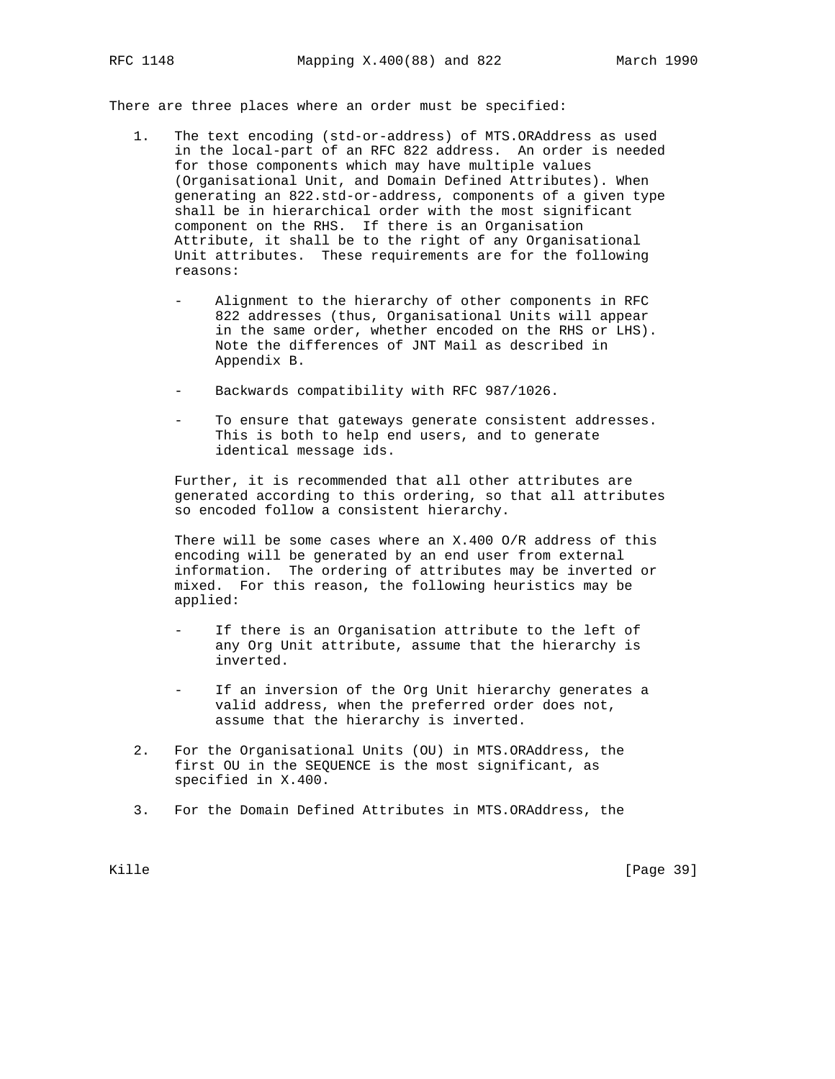There are three places where an order must be specified:

- 1. The text encoding (std-or-address) of MTS.ORAddress as used in the local-part of an RFC 822 address. An order is needed for those components which may have multiple values (Organisational Unit, and Domain Defined Attributes). When generating an 822.std-or-address, components of a given type shall be in hierarchical order with the most significant component on the RHS. If there is an Organisation Attribute, it shall be to the right of any Organisational Unit attributes. These requirements are for the following reasons:
	- Alignment to the hierarchy of other components in RFC 822 addresses (thus, Organisational Units will appear in the same order, whether encoded on the RHS or LHS). Note the differences of JNT Mail as described in Appendix B.
	- Backwards compatibility with RFC 987/1026.
	- To ensure that gateways generate consistent addresses. This is both to help end users, and to generate identical message ids.

 Further, it is recommended that all other attributes are generated according to this ordering, so that all attributes so encoded follow a consistent hierarchy.

 There will be some cases where an X.400 O/R address of this encoding will be generated by an end user from external information. The ordering of attributes may be inverted or mixed. For this reason, the following heuristics may be applied:

- If there is an Organisation attribute to the left of any Org Unit attribute, assume that the hierarchy is inverted.
- If an inversion of the Org Unit hierarchy generates a valid address, when the preferred order does not, assume that the hierarchy is inverted.
- 2. For the Organisational Units (OU) in MTS.ORAddress, the first OU in the SEQUENCE is the most significant, as specified in X.400.
- 3. For the Domain Defined Attributes in MTS.ORAddress, the

Kille [Page 39]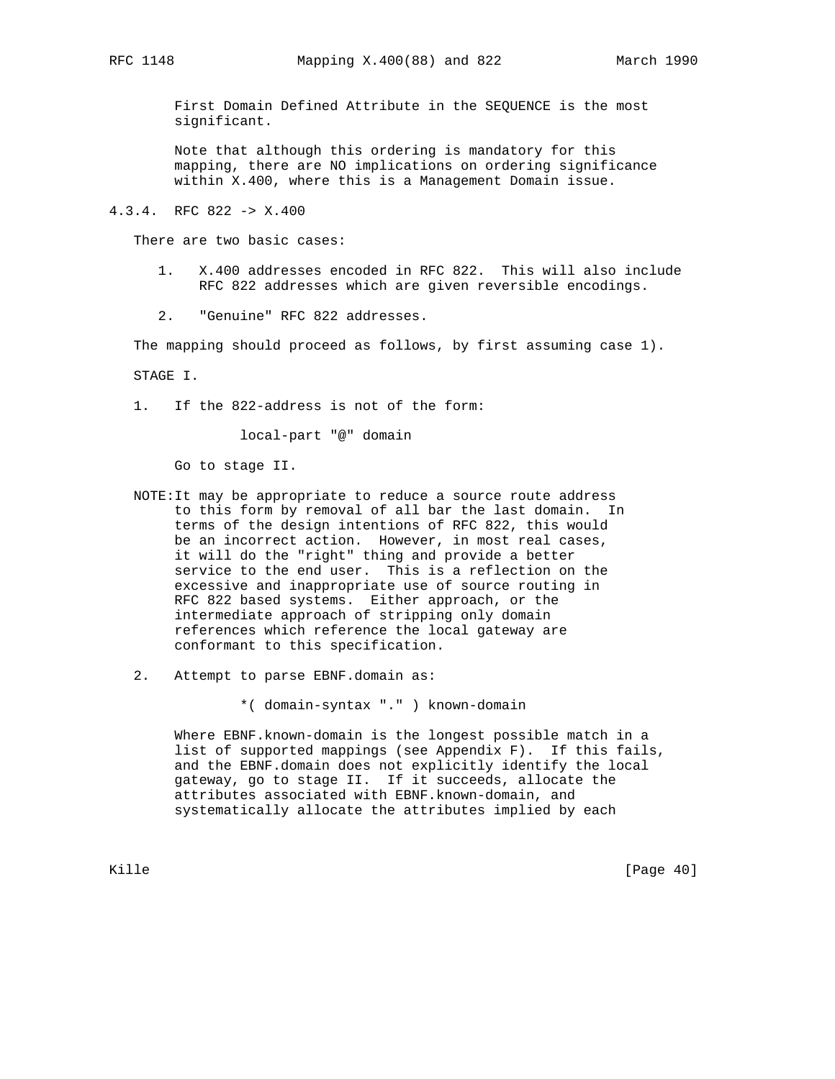First Domain Defined Attribute in the SEQUENCE is the most significant.

 Note that although this ordering is mandatory for this mapping, there are NO implications on ordering significance within X.400, where this is a Management Domain issue.

4.3.4. RFC 822 -> X.400

There are two basic cases:

- 1. X.400 addresses encoded in RFC 822. This will also include RFC 822 addresses which are given reversible encodings.
- 2. "Genuine" RFC 822 addresses.

The mapping should proceed as follows, by first assuming case 1).

STAGE I.

1. If the 822-address is not of the form:

local-part "@" domain

Go to stage II.

- NOTE:It may be appropriate to reduce a source route address to this form by removal of all bar the last domain. In terms of the design intentions of RFC 822, this would be an incorrect action. However, in most real cases, it will do the "right" thing and provide a better service to the end user. This is a reflection on the excessive and inappropriate use of source routing in RFC 822 based systems. Either approach, or the intermediate approach of stripping only domain references which reference the local gateway are conformant to this specification.
- 2. Attempt to parse EBNF.domain as:

\*( domain-syntax "." ) known-domain

 Where EBNF.known-domain is the longest possible match in a list of supported mappings (see Appendix F). If this fails, and the EBNF.domain does not explicitly identify the local gateway, go to stage II. If it succeeds, allocate the attributes associated with EBNF.known-domain, and systematically allocate the attributes implied by each

Kille [Page 40]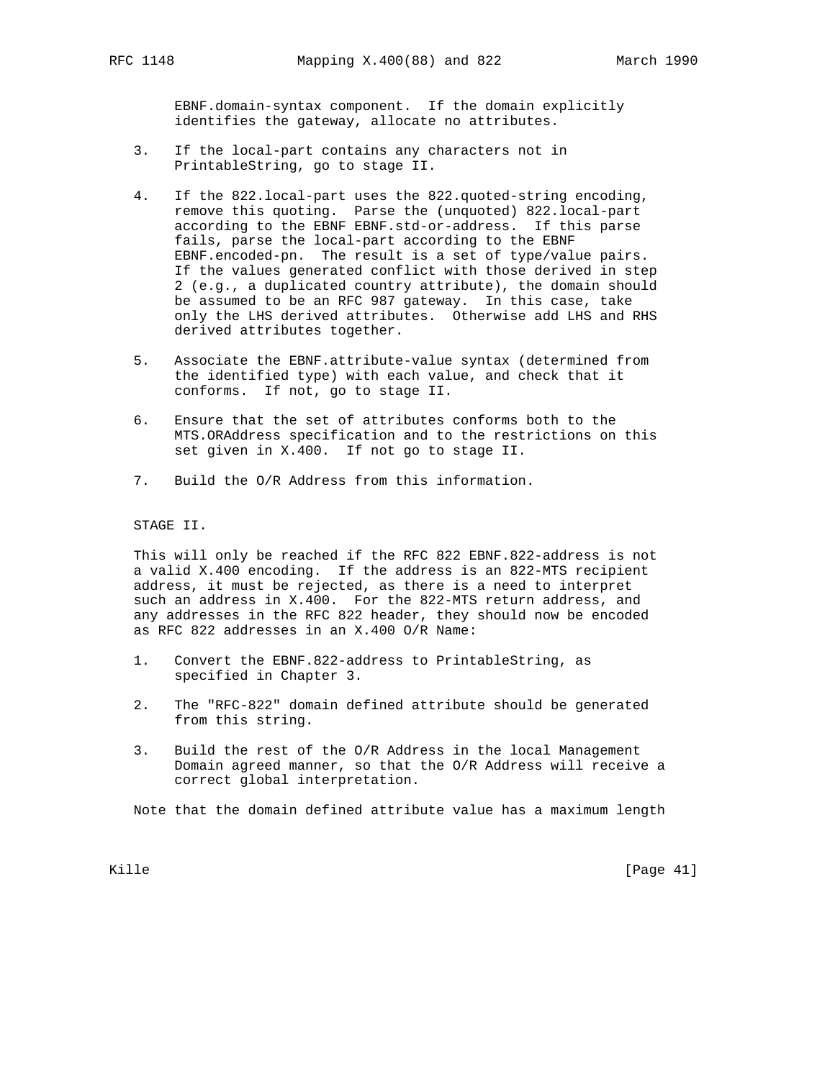EBNF.domain-syntax component. If the domain explicitly identifies the gateway, allocate no attributes.

- 3. If the local-part contains any characters not in PrintableString, go to stage II.
- 4. If the 822.local-part uses the 822.quoted-string encoding, remove this quoting. Parse the (unquoted) 822.local-part according to the EBNF EBNF.std-or-address. If this parse fails, parse the local-part according to the EBNF EBNF.encoded-pn. The result is a set of type/value pairs. If the values generated conflict with those derived in step 2 (e.g., a duplicated country attribute), the domain should be assumed to be an RFC 987 gateway. In this case, take only the LHS derived attributes. Otherwise add LHS and RHS derived attributes together.
- 5. Associate the EBNF.attribute-value syntax (determined from the identified type) with each value, and check that it conforms. If not, go to stage II.
- 6. Ensure that the set of attributes conforms both to the MTS.ORAddress specification and to the restrictions on this set given in X.400. If not go to stage II.
- 7. Build the O/R Address from this information.

STAGE II.

 This will only be reached if the RFC 822 EBNF.822-address is not a valid X.400 encoding. If the address is an 822-MTS recipient address, it must be rejected, as there is a need to interpret such an address in X.400. For the 822-MTS return address, and any addresses in the RFC 822 header, they should now be encoded as RFC 822 addresses in an X.400 O/R Name:

- 1. Convert the EBNF.822-address to PrintableString, as specified in Chapter 3.
- 2. The "RFC-822" domain defined attribute should be generated from this string.
- 3. Build the rest of the O/R Address in the local Management Domain agreed manner, so that the O/R Address will receive a correct global interpretation.

Note that the domain defined attribute value has a maximum length

Kille [Page 41]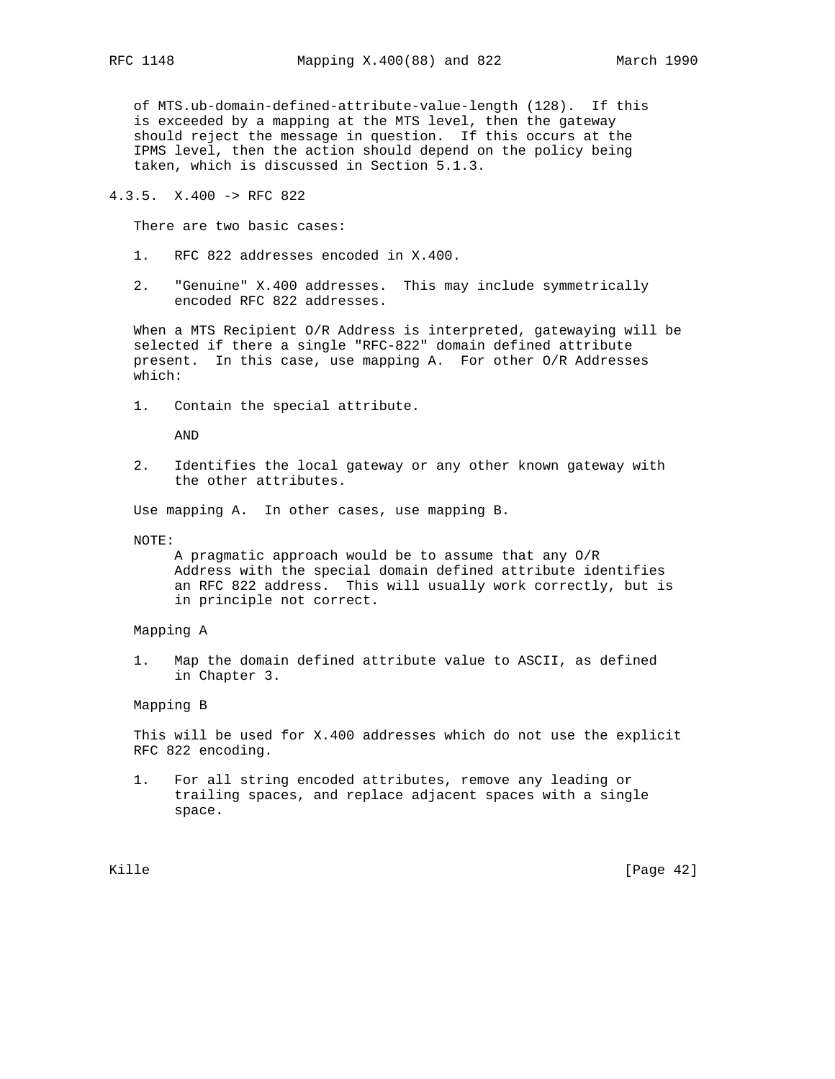of MTS.ub-domain-defined-attribute-value-length (128). If this is exceeded by a mapping at the MTS level, then the gateway should reject the message in question. If this occurs at the IPMS level, then the action should depend on the policy being taken, which is discussed in Section 5.1.3.

4.3.5. X.400 -> RFC 822

There are two basic cases:

- 1. RFC 822 addresses encoded in X.400.
- 2. "Genuine" X.400 addresses. This may include symmetrically encoded RFC 822 addresses.

 When a MTS Recipient O/R Address is interpreted, gatewaying will be selected if there a single "RFC-822" domain defined attribute present. In this case, use mapping A. For other O/R Addresses which:

1. Contain the special attribute.

AND

 2. Identifies the local gateway or any other known gateway with the other attributes.

Use mapping A. In other cases, use mapping B.

NOTE:

 A pragmatic approach would be to assume that any O/R Address with the special domain defined attribute identifies an RFC 822 address. This will usually work correctly, but is in principle not correct.

- Mapping A
- 1. Map the domain defined attribute value to ASCII, as defined in Chapter 3.

Mapping B

 This will be used for X.400 addresses which do not use the explicit RFC 822 encoding.

 1. For all string encoded attributes, remove any leading or trailing spaces, and replace adjacent spaces with a single space.

Kille [Page 42]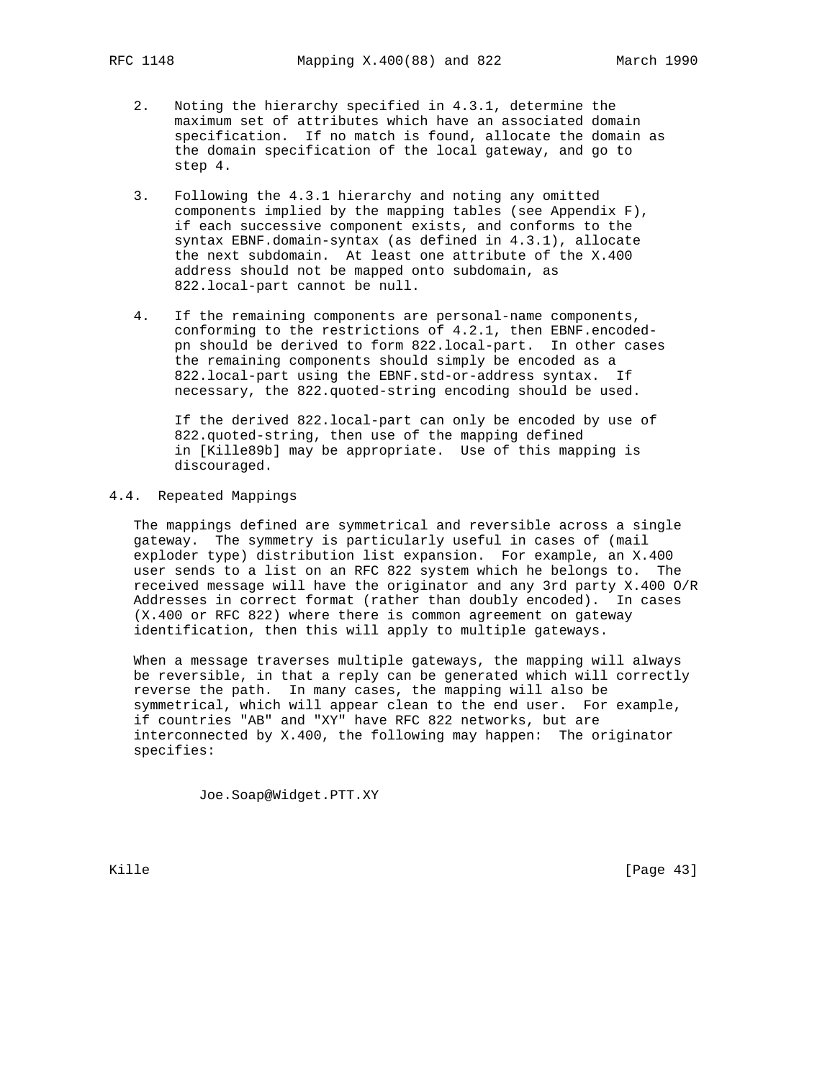- 2. Noting the hierarchy specified in 4.3.1, determine the maximum set of attributes which have an associated domain specification. If no match is found, allocate the domain as the domain specification of the local gateway, and go to step 4.
- 3. Following the 4.3.1 hierarchy and noting any omitted components implied by the mapping tables (see Appendix F), if each successive component exists, and conforms to the syntax EBNF.domain-syntax (as defined in 4.3.1), allocate the next subdomain. At least one attribute of the X.400 address should not be mapped onto subdomain, as 822.local-part cannot be null.
- 4. If the remaining components are personal-name components, conforming to the restrictions of 4.2.1, then EBNF.encoded pn should be derived to form 822.local-part. In other cases the remaining components should simply be encoded as a 822.local-part using the EBNF.std-or-address syntax. If necessary, the 822.quoted-string encoding should be used.

 If the derived 822.local-part can only be encoded by use of 822.quoted-string, then use of the mapping defined in [Kille89b] may be appropriate. Use of this mapping is discouraged.

## 4.4. Repeated Mappings

 The mappings defined are symmetrical and reversible across a single gateway. The symmetry is particularly useful in cases of (mail exploder type) distribution list expansion. For example, an X.400 user sends to a list on an RFC 822 system which he belongs to. The received message will have the originator and any 3rd party X.400 O/R Addresses in correct format (rather than doubly encoded). In cases (X.400 or RFC 822) where there is common agreement on gateway identification, then this will apply to multiple gateways.

 When a message traverses multiple gateways, the mapping will always be reversible, in that a reply can be generated which will correctly reverse the path. In many cases, the mapping will also be symmetrical, which will appear clean to the end user. For example, if countries "AB" and "XY" have RFC 822 networks, but are interconnected by X.400, the following may happen: The originator specifies:

Joe.Soap@Widget.PTT.XY

Kille [Page 43]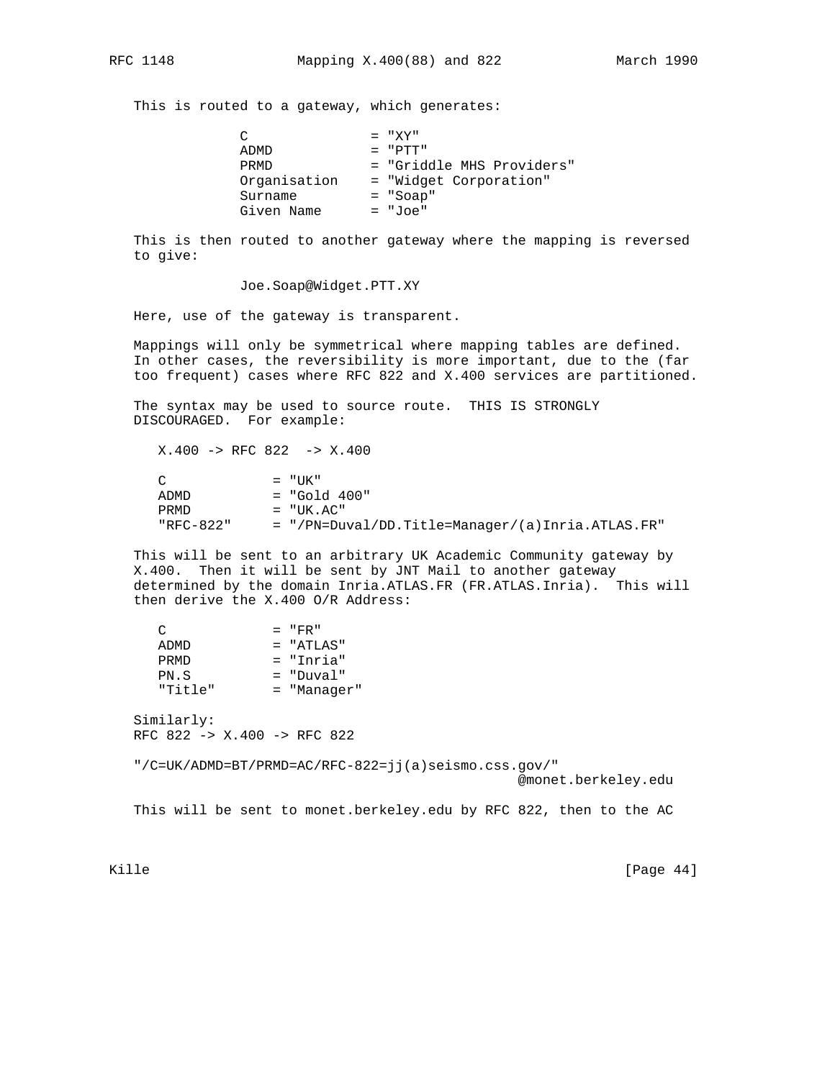This is routed to a gateway, which generates:

| $\cap$       | $= "XY"$                  |
|--------------|---------------------------|
| ADMD         | $=$ "PTT"                 |
| PRMD         | = "Griddle MHS Providers" |
| Organisation | = "Widget Corporation"    |
| Surname      | $= "Soap"$                |
| Given Name   | = "Joe"                   |

 This is then routed to another gateway where the mapping is reversed to give:

Joe.Soap@Widget.PTT.XY

Here, use of the gateway is transparent.

 Mappings will only be symmetrical where mapping tables are defined. In other cases, the reversibility is more important, due to the (far too frequent) cases where RFC 822 and X.400 services are partitioned.

 The syntax may be used to source route. THIS IS STRONGLY DISCOURAGED. For example:

 X.400 -> RFC 822 -> X.400  $\begin{array}{lll}\n\text{C} & = & "UK" \\
\text{ADMD} & = & "Gol'\n\end{array}$  $=$  "Gold  $400"$  PRMD = "UK.AC" "RFC-822" = "/PN=Duval/DD.Title=Manager/(a)Inria.ATLAS.FR"

 This will be sent to an arbitrary UK Academic Community gateway by X.400. Then it will be sent by JNT Mail to another gateway determined by the domain Inria.ATLAS.FR (FR.ATLAS.Inria). This will then derive the X.400 O/R Address:

| ◠       | $=$ "FR"      |
|---------|---------------|
| ADMD    | $=$ "ATIAS"   |
| PRMD    | = "Inria"     |
| PN.S    | $=$ "Duval"   |
| "Title" | $=$ "Manager" |

 Similarly: RFC 822 -> X.400 -> RFC 822

"/C=UK/ADMD=BT/PRMD=AC/RFC-822=jj(a)seismo.css.gov/"

@monet.berkeley.edu

This will be sent to monet.berkeley.edu by RFC 822, then to the AC

Kille [Page 44]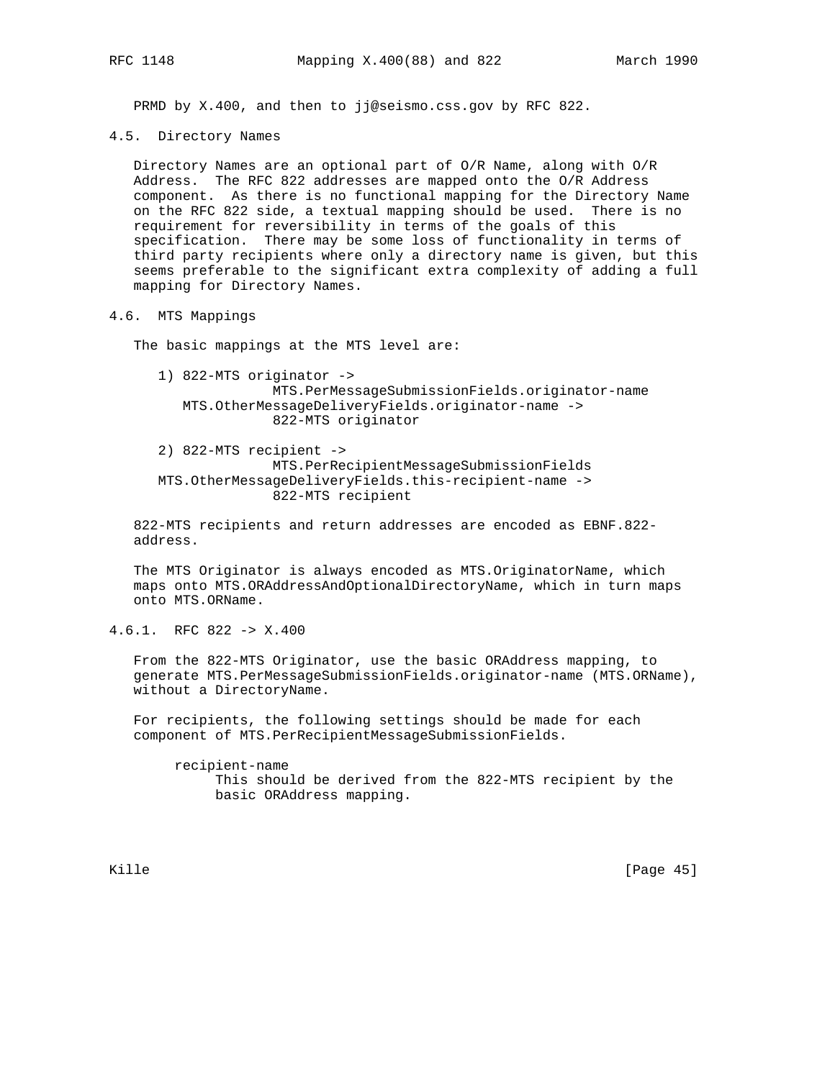PRMD by X.400, and then to jj@seismo.css.gov by RFC 822.

4.5. Directory Names

 Directory Names are an optional part of O/R Name, along with O/R Address. The RFC 822 addresses are mapped onto the O/R Address component. As there is no functional mapping for the Directory Name on the RFC 822 side, a textual mapping should be used. There is no requirement for reversibility in terms of the goals of this specification. There may be some loss of functionality in terms of third party recipients where only a directory name is given, but this seems preferable to the significant extra complexity of adding a full mapping for Directory Names.

4.6. MTS Mappings

The basic mappings at the MTS level are:

- 1) 822-MTS originator -> MTS.PerMessageSubmissionFields.originator-name MTS.OtherMessageDeliveryFields.originator-name -> 822-MTS originator
- 2) 822-MTS recipient -> MTS.PerRecipientMessageSubmissionFields MTS.OtherMessageDeliveryFields.this-recipient-name -> 822-MTS recipient

 822-MTS recipients and return addresses are encoded as EBNF.822 address.

 The MTS Originator is always encoded as MTS.OriginatorName, which maps onto MTS.ORAddressAndOptionalDirectoryName, which in turn maps onto MTS.ORName.

4.6.1. RFC 822 -> X.400

 From the 822-MTS Originator, use the basic ORAddress mapping, to generate MTS.PerMessageSubmissionFields.originator-name (MTS.ORName), without a DirectoryName.

 For recipients, the following settings should be made for each component of MTS.PerRecipientMessageSubmissionFields.

 recipient-name This should be derived from the 822-MTS recipient by the basic ORAddress mapping.

Kille [Page 45]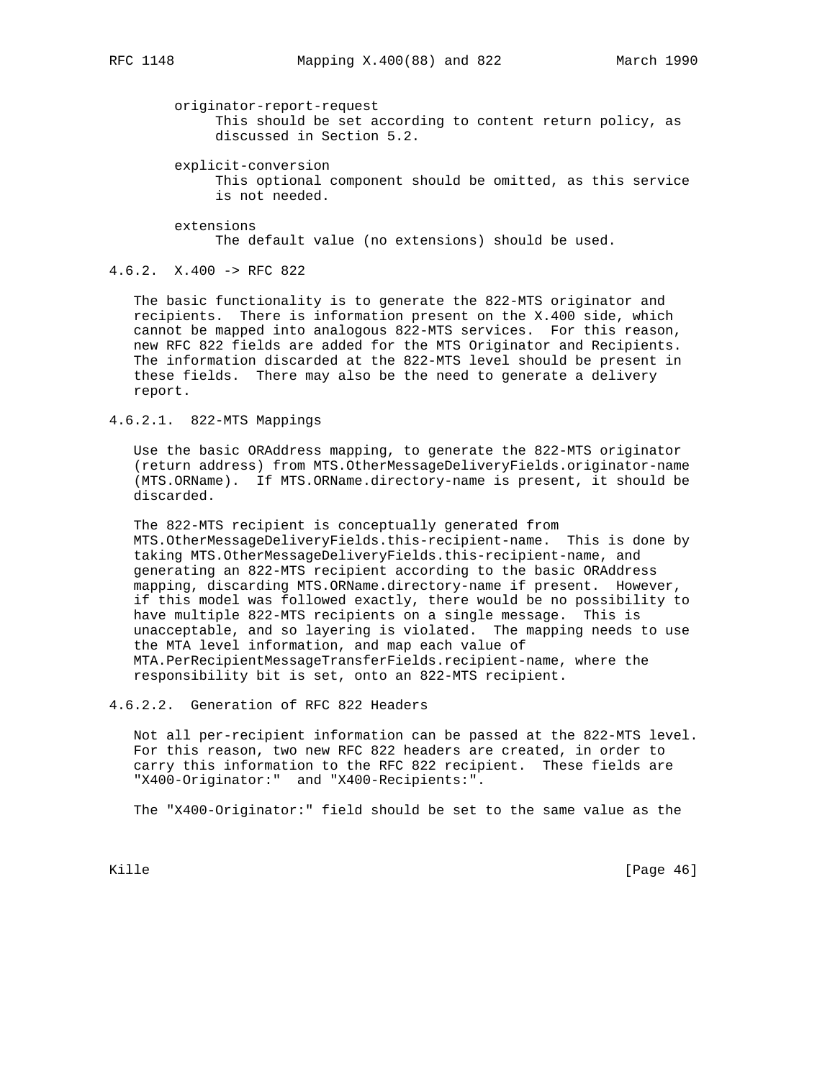#### originator-report-request

 This should be set according to content return policy, as discussed in Section 5.2.

explicit-conversion

 This optional component should be omitted, as this service is not needed.

 extensions The default value (no extensions) should be used.

# 4.6.2. X.400 -> RFC 822

 The basic functionality is to generate the 822-MTS originator and recipients. There is information present on the X.400 side, which cannot be mapped into analogous 822-MTS services. For this reason, new RFC 822 fields are added for the MTS Originator and Recipients. The information discarded at the 822-MTS level should be present in these fields. There may also be the need to generate a delivery report.

## 4.6.2.1. 822-MTS Mappings

 Use the basic ORAddress mapping, to generate the 822-MTS originator (return address) from MTS.OtherMessageDeliveryFields.originator-name (MTS.ORName). If MTS.ORName.directory-name is present, it should be discarded.

 The 822-MTS recipient is conceptually generated from MTS.OtherMessageDeliveryFields.this-recipient-name. This is done by taking MTS.OtherMessageDeliveryFields.this-recipient-name, and generating an 822-MTS recipient according to the basic ORAddress mapping, discarding MTS.ORName.directory-name if present. However, if this model was followed exactly, there would be no possibility to have multiple 822-MTS recipients on a single message. This is unacceptable, and so layering is violated. The mapping needs to use the MTA level information, and map each value of MTA.PerRecipientMessageTransferFields.recipient-name, where the responsibility bit is set, onto an 822-MTS recipient.

4.6.2.2. Generation of RFC 822 Headers

 Not all per-recipient information can be passed at the 822-MTS level. For this reason, two new RFC 822 headers are created, in order to carry this information to the RFC 822 recipient. These fields are "X400-Originator:" and "X400-Recipients:".

The "X400-Originator:" field should be set to the same value as the

Kille [Page 46]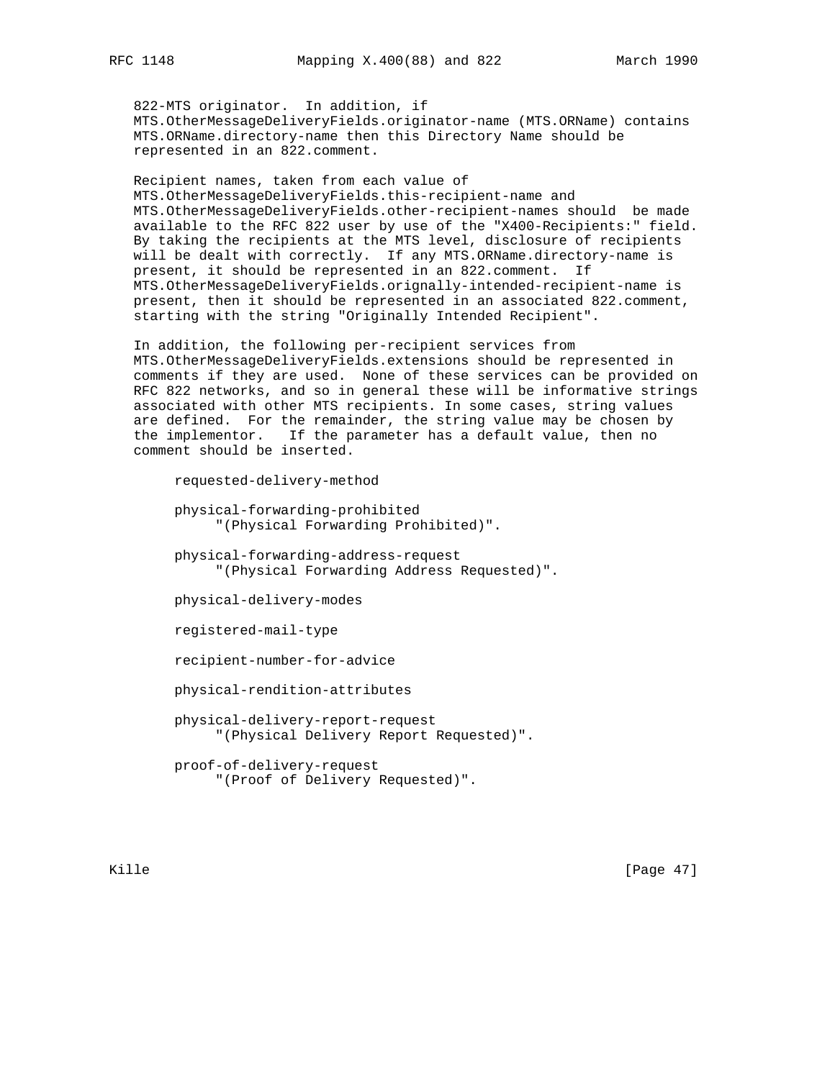822-MTS originator. In addition, if MTS.OtherMessageDeliveryFields.originator-name (MTS.ORName) contains MTS.ORName.directory-name then this Directory Name should be represented in an 822.comment.

 Recipient names, taken from each value of MTS.OtherMessageDeliveryFields.this-recipient-name and MTS.OtherMessageDeliveryFields.other-recipient-names should be made available to the RFC 822 user by use of the "X400-Recipients:" field. By taking the recipients at the MTS level, disclosure of recipients will be dealt with correctly. If any MTS.ORName.directory-name is present, it should be represented in an 822.comment. If MTS.OtherMessageDeliveryFields.orignally-intended-recipient-name is present, then it should be represented in an associated 822.comment, starting with the string "Originally Intended Recipient".

 In addition, the following per-recipient services from MTS.OtherMessageDeliveryFields.extensions should be represented in comments if they are used. None of these services can be provided on RFC 822 networks, and so in general these will be informative strings associated with other MTS recipients. In some cases, string values are defined. For the remainder, the string value may be chosen by the implementor. If the parameter has a default value, then no comment should be inserted.

```
 requested-delivery-method
 physical-forwarding-prohibited
      "(Physical Forwarding Prohibited)".
 physical-forwarding-address-request
      "(Physical Forwarding Address Requested)".
 physical-delivery-modes
 registered-mail-type
 recipient-number-for-advice
 physical-rendition-attributes
 physical-delivery-report-request
      "(Physical Delivery Report Requested)".
 proof-of-delivery-request
      "(Proof of Delivery Requested)".
```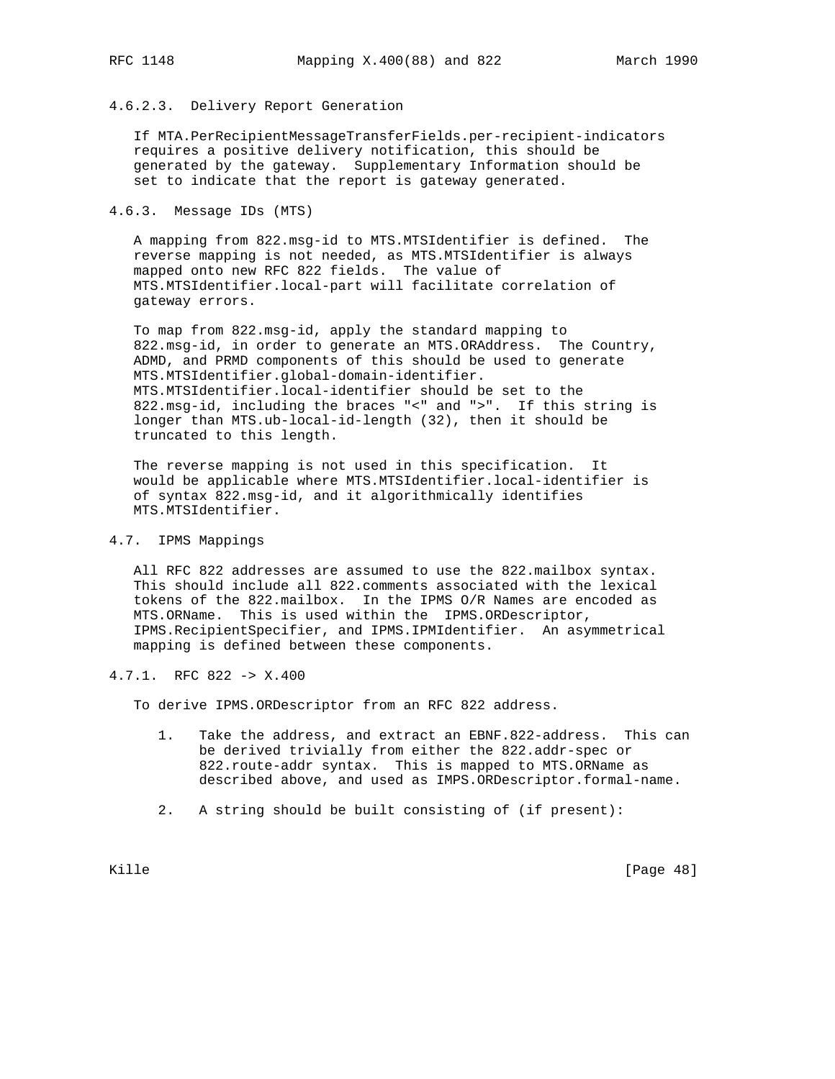# 4.6.2.3. Delivery Report Generation

 If MTA.PerRecipientMessageTransferFields.per-recipient-indicators requires a positive delivery notification, this should be generated by the gateway. Supplementary Information should be set to indicate that the report is gateway generated.

## 4.6.3. Message IDs (MTS)

 A mapping from 822.msg-id to MTS.MTSIdentifier is defined. The reverse mapping is not needed, as MTS.MTSIdentifier is always mapped onto new RFC 822 fields. The value of MTS.MTSIdentifier.local-part will facilitate correlation of gateway errors.

 To map from 822.msg-id, apply the standard mapping to 822.msg-id, in order to generate an MTS.ORAddress. The Country, ADMD, and PRMD components of this should be used to generate MTS.MTSIdentifier.global-domain-identifier. MTS.MTSIdentifier.local-identifier should be set to the 822.msg-id, including the braces "<" and ">". If this string is longer than MTS.ub-local-id-length (32), then it should be truncated to this length.

 The reverse mapping is not used in this specification. It would be applicable where MTS.MTSIdentifier.local-identifier is of syntax 822.msg-id, and it algorithmically identifies MTS.MTSIdentifier.

## 4.7. IPMS Mappings

 All RFC 822 addresses are assumed to use the 822.mailbox syntax. This should include all 822.comments associated with the lexical tokens of the 822.mailbox. In the IPMS O/R Names are encoded as MTS.ORName. This is used within the IPMS.ORDescriptor, IPMS.RecipientSpecifier, and IPMS.IPMIdentifier. An asymmetrical mapping is defined between these components.

# 4.7.1. RFC 822 -> X.400

To derive IPMS.ORDescriptor from an RFC 822 address.

- 1. Take the address, and extract an EBNF.822-address. This can be derived trivially from either the 822.addr-spec or 822.route-addr syntax. This is mapped to MTS.ORName as described above, and used as IMPS.ORDescriptor.formal-name.
- 2. A string should be built consisting of (if present):

Kille [Page 48]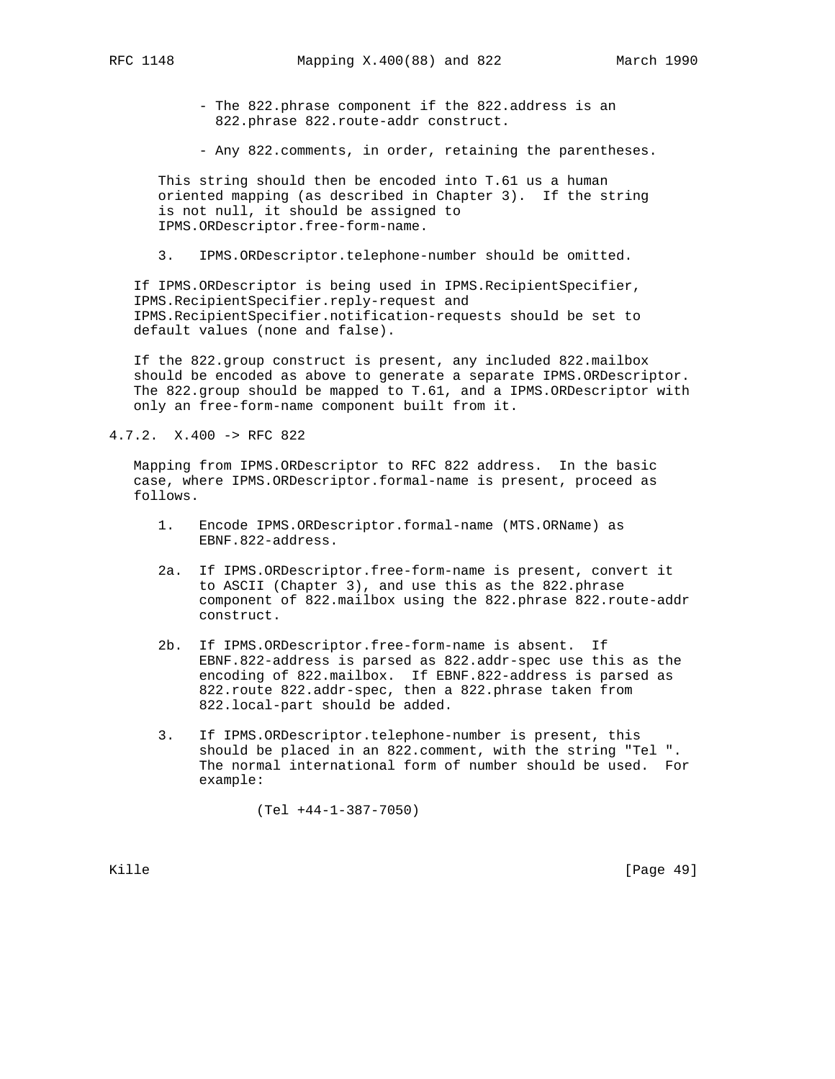- The 822.phrase component if the 822.address is an 822.phrase 822.route-addr construct.

- Any 822.comments, in order, retaining the parentheses.

 This string should then be encoded into T.61 us a human oriented mapping (as described in Chapter 3). If the string is not null, it should be assigned to IPMS.ORDescriptor.free-form-name.

3. IPMS.ORDescriptor.telephone-number should be omitted.

 If IPMS.ORDescriptor is being used in IPMS.RecipientSpecifier, IPMS.RecipientSpecifier.reply-request and IPMS.RecipientSpecifier.notification-requests should be set to default values (none and false).

 If the 822.group construct is present, any included 822.mailbox should be encoded as above to generate a separate IPMS.ORDescriptor. The 822.group should be mapped to T.61, and a IPMS.ORDescriptor with only an free-form-name component built from it.

4.7.2. X.400 -> RFC 822

 Mapping from IPMS.ORDescriptor to RFC 822 address. In the basic case, where IPMS.ORDescriptor.formal-name is present, proceed as follows.

- 1. Encode IPMS.ORDescriptor.formal-name (MTS.ORName) as EBNF.822-address.
- 2a. If IPMS.ORDescriptor.free-form-name is present, convert it to ASCII (Chapter 3), and use this as the 822.phrase component of 822.mailbox using the 822.phrase 822.route-addr construct.
- 2b. If IPMS.ORDescriptor.free-form-name is absent. If EBNF.822-address is parsed as 822.addr-spec use this as the encoding of 822.mailbox. If EBNF.822-address is parsed as 822.route 822.addr-spec, then a 822.phrase taken from 822.local-part should be added.
- 3. If IPMS.ORDescriptor.telephone-number is present, this should be placed in an 822.comment, with the string "Tel ". The normal international form of number should be used. For example:

(Tel +44-1-387-7050)

Kille [Page 49]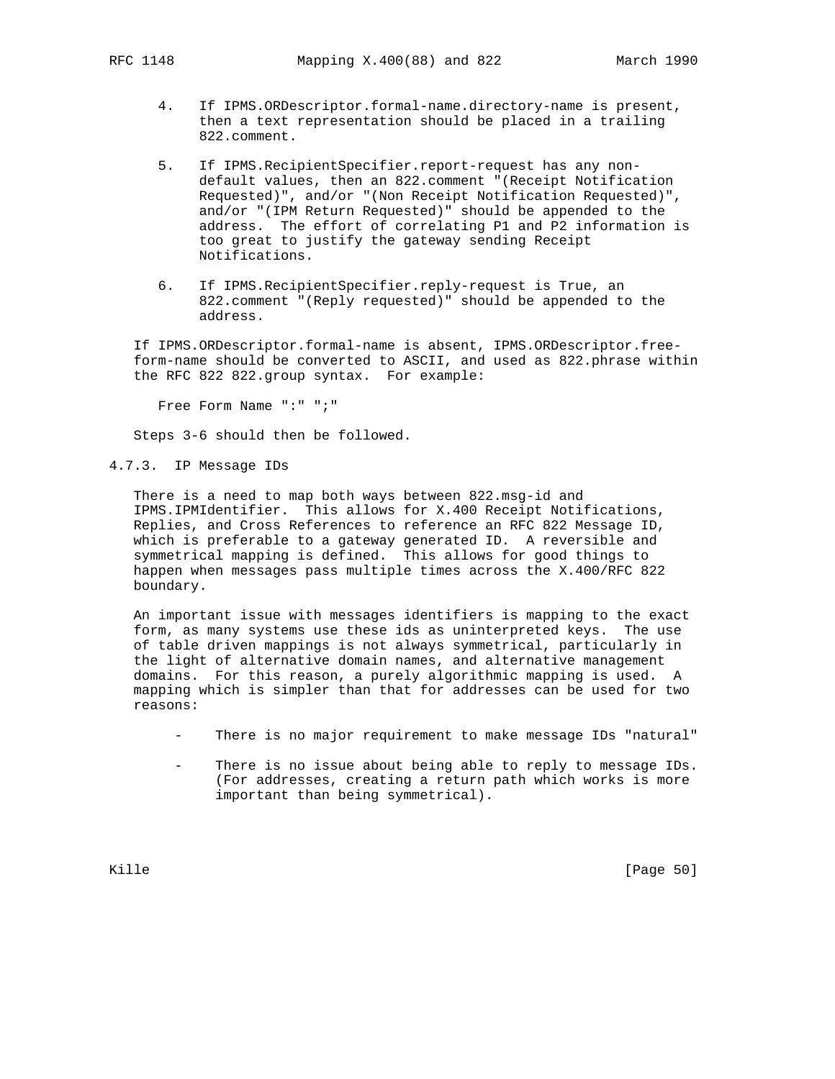- 4. If IPMS.ORDescriptor.formal-name.directory-name is present, then a text representation should be placed in a trailing 822.comment.
- 5. If IPMS.RecipientSpecifier.report-request has any non default values, then an 822.comment "(Receipt Notification Requested)", and/or "(Non Receipt Notification Requested)", and/or "(IPM Return Requested)" should be appended to the address. The effort of correlating P1 and P2 information is too great to justify the gateway sending Receipt Notifications.
- 6. If IPMS.RecipientSpecifier.reply-request is True, an 822.comment "(Reply requested)" should be appended to the address.

 If IPMS.ORDescriptor.formal-name is absent, IPMS.ORDescriptor.free form-name should be converted to ASCII, and used as 822.phrase within the RFC 822 822.group syntax. For example:

Free Form Name ":" ";"

Steps 3-6 should then be followed.

4.7.3. IP Message IDs

 There is a need to map both ways between 822.msg-id and IPMS.IPMIdentifier. This allows for X.400 Receipt Notifications, Replies, and Cross References to reference an RFC 822 Message ID, which is preferable to a gateway generated ID. A reversible and symmetrical mapping is defined. This allows for good things to happen when messages pass multiple times across the X.400/RFC 822 boundary.

 An important issue with messages identifiers is mapping to the exact form, as many systems use these ids as uninterpreted keys. The use of table driven mappings is not always symmetrical, particularly in the light of alternative domain names, and alternative management domains. For this reason, a purely algorithmic mapping is used. A mapping which is simpler than that for addresses can be used for two reasons:

- There is no major requirement to make message IDs "natural"
- There is no issue about being able to reply to message IDs. (For addresses, creating a return path which works is more important than being symmetrical).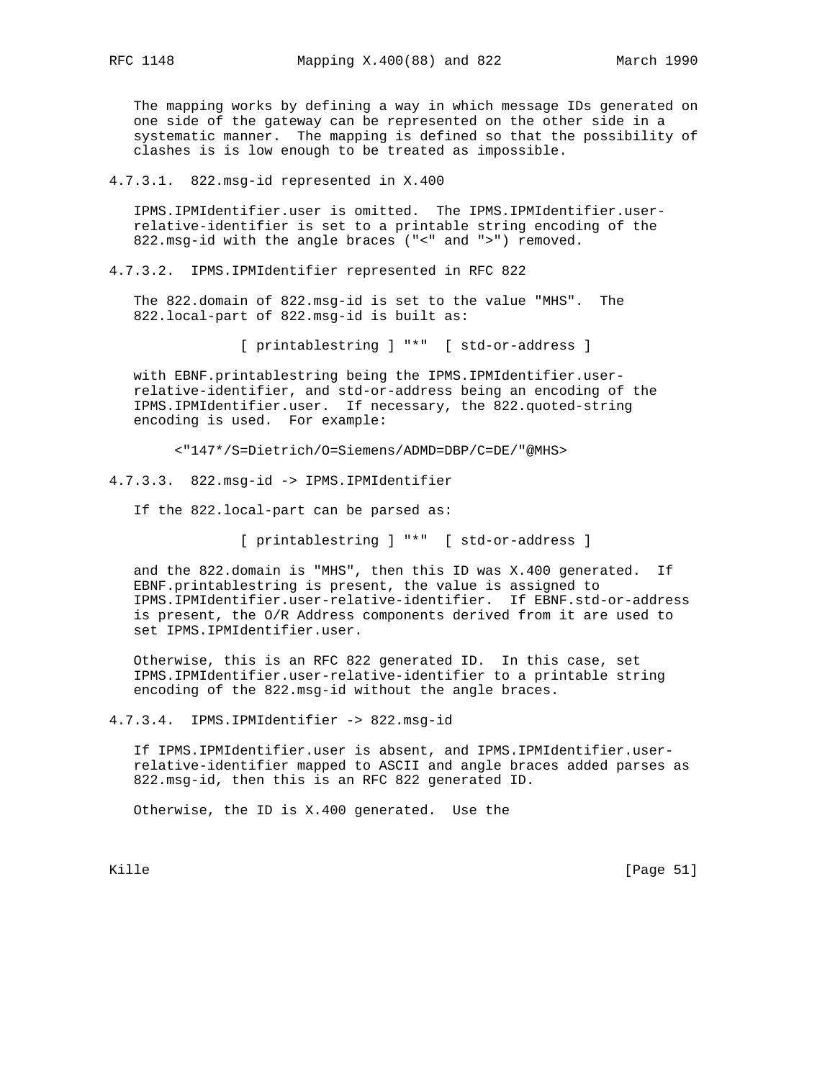The mapping works by defining a way in which message IDs generated on one side of the gateway can be represented on the other side in a systematic manner. The mapping is defined so that the possibility of clashes is is low enough to be treated as impossible.

4.7.3.1. 822.msg-id represented in X.400

 IPMS.IPMIdentifier.user is omitted. The IPMS.IPMIdentifier.user relative-identifier is set to a printable string encoding of the 822.msg-id with the angle braces ("<" and ">") removed.

4.7.3.2. IPMS.IPMIdentifier represented in RFC 822

 The 822.domain of 822.msg-id is set to the value "MHS". The 822.local-part of 822.msg-id is built as:

[ printablestring ] "\*" [ std-or-address ]

 with EBNF.printablestring being the IPMS.IPMIdentifier.user relative-identifier, and std-or-address being an encoding of the IPMS.IPMIdentifier.user. If necessary, the 822.quoted-string encoding is used. For example:

<"147\*/S=Dietrich/O=Siemens/ADMD=DBP/C=DE/"@MHS>

4.7.3.3. 822.msg-id -> IPMS.IPMIdentifier

If the 822.local-part can be parsed as:

[ printablestring ] "\*" [ std-or-address ]

 and the 822.domain is "MHS", then this ID was X.400 generated. If EBNF.printablestring is present, the value is assigned to IPMS.IPMIdentifier.user-relative-identifier. If EBNF.std-or-address is present, the O/R Address components derived from it are used to set IPMS.IPMIdentifier.user.

 Otherwise, this is an RFC 822 generated ID. In this case, set IPMS.IPMIdentifier.user-relative-identifier to a printable string encoding of the 822.msg-id without the angle braces.

4.7.3.4. IPMS.IPMIdentifier -> 822.msg-id

 If IPMS.IPMIdentifier.user is absent, and IPMS.IPMIdentifier.user relative-identifier mapped to ASCII and angle braces added parses as 822.msg-id, then this is an RFC 822 generated ID.

Otherwise, the ID is X.400 generated. Use the

Kille [Page 51]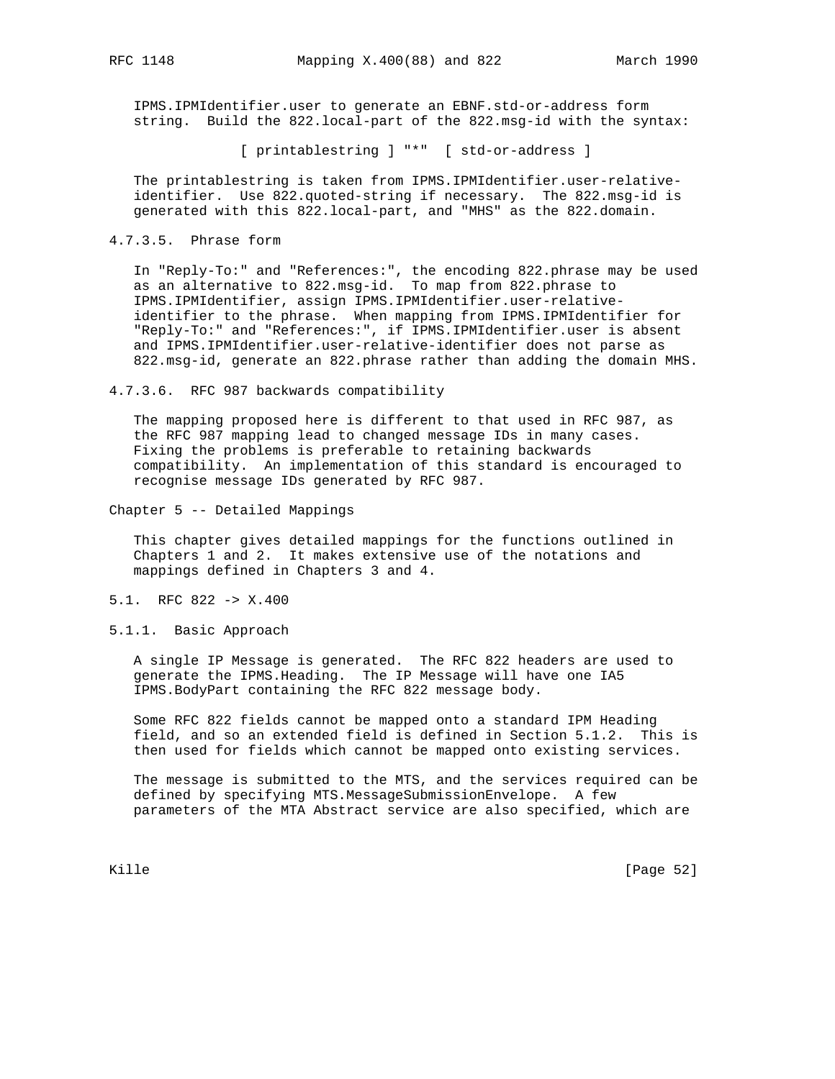IPMS.IPMIdentifier.user to generate an EBNF.std-or-address form string. Build the 822.local-part of the 822.msg-id with the syntax:

[ printablestring ] "\*" [ std-or-address ]

 The printablestring is taken from IPMS.IPMIdentifier.user-relative identifier. Use 822.quoted-string if necessary. The 822.msg-id is generated with this 822.local-part, and "MHS" as the 822.domain.

4.7.3.5. Phrase form

 In "Reply-To:" and "References:", the encoding 822.phrase may be used as an alternative to 822.msg-id. To map from 822.phrase to IPMS.IPMIdentifier, assign IPMS.IPMIdentifier.user-relative identifier to the phrase. When mapping from IPMS.IPMIdentifier for "Reply-To:" and "References:", if IPMS.IPMIdentifier.user is absent and IPMS.IPMIdentifier.user-relative-identifier does not parse as 822.msg-id, generate an 822.phrase rather than adding the domain MHS.

4.7.3.6. RFC 987 backwards compatibility

 The mapping proposed here is different to that used in RFC 987, as the RFC 987 mapping lead to changed message IDs in many cases. Fixing the problems is preferable to retaining backwards compatibility. An implementation of this standard is encouraged to recognise message IDs generated by RFC 987.

Chapter 5 -- Detailed Mappings

 This chapter gives detailed mappings for the functions outlined in Chapters 1 and 2. It makes extensive use of the notations and mappings defined in Chapters 3 and 4.

- 5.1. RFC 822 -> X.400
- 5.1.1. Basic Approach

 A single IP Message is generated. The RFC 822 headers are used to generate the IPMS.Heading. The IP Message will have one IA5 IPMS.BodyPart containing the RFC 822 message body.

 Some RFC 822 fields cannot be mapped onto a standard IPM Heading field, and so an extended field is defined in Section 5.1.2. This is then used for fields which cannot be mapped onto existing services.

 The message is submitted to the MTS, and the services required can be defined by specifying MTS.MessageSubmissionEnvelope. A few parameters of the MTA Abstract service are also specified, which are

Kille [Page 52]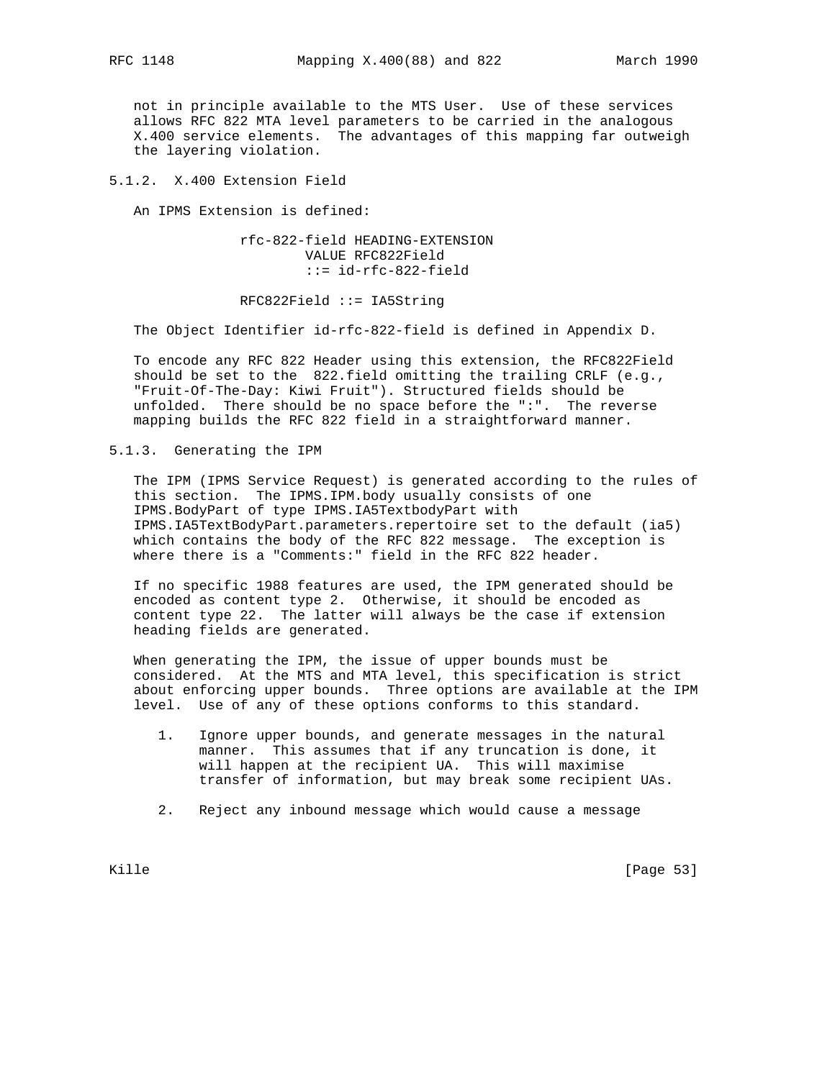not in principle available to the MTS User. Use of these services allows RFC 822 MTA level parameters to be carried in the analogous X.400 service elements. The advantages of this mapping far outweigh

5.1.2. X.400 Extension Field

the layering violation.

An IPMS Extension is defined:

 rfc-822-field HEADING-EXTENSION VALUE RFC822Field ::= id-rfc-822-field

RFC822Field ::= IA5String

The Object Identifier id-rfc-822-field is defined in Appendix D.

 To encode any RFC 822 Header using this extension, the RFC822Field should be set to the 822.field omitting the trailing CRLF (e.g., "Fruit-Of-The-Day: Kiwi Fruit"). Structured fields should be unfolded. There should be no space before the ":". The reverse mapping builds the RFC 822 field in a straightforward manner.

5.1.3. Generating the IPM

 The IPM (IPMS Service Request) is generated according to the rules of this section. The IPMS.IPM.body usually consists of one IPMS.BodyPart of type IPMS.IA5TextbodyPart with IPMS.IA5TextBodyPart.parameters.repertoire set to the default (ia5) which contains the body of the RFC 822 message. The exception is where there is a "Comments:" field in the RFC 822 header.

 If no specific 1988 features are used, the IPM generated should be encoded as content type 2. Otherwise, it should be encoded as content type 22. The latter will always be the case if extension heading fields are generated.

 When generating the IPM, the issue of upper bounds must be considered. At the MTS and MTA level, this specification is strict about enforcing upper bounds. Three options are available at the IPM level. Use of any of these options conforms to this standard.

- 1. Ignore upper bounds, and generate messages in the natural manner. This assumes that if any truncation is done, it will happen at the recipient UA. This will maximise transfer of information, but may break some recipient UAs.
- 2. Reject any inbound message which would cause a message

Kille [Page 53]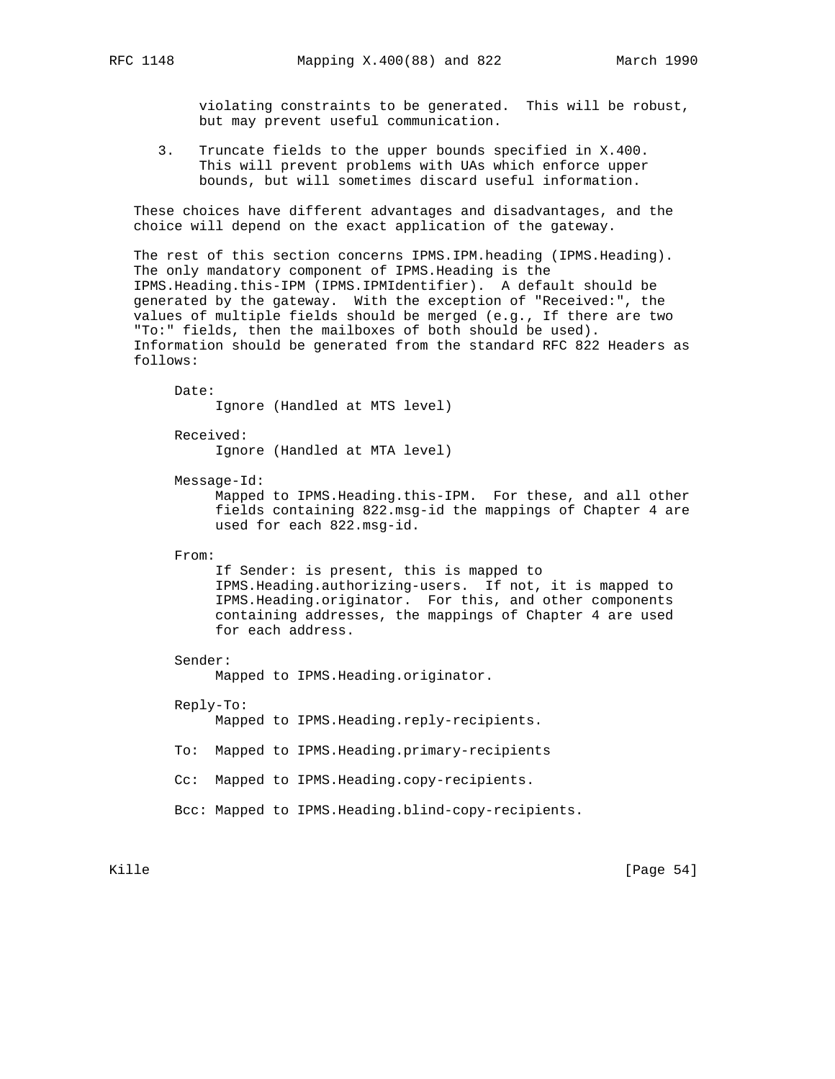violating constraints to be generated. This will be robust, but may prevent useful communication.

 3. Truncate fields to the upper bounds specified in X.400. This will prevent problems with UAs which enforce upper bounds, but will sometimes discard useful information.

 These choices have different advantages and disadvantages, and the choice will depend on the exact application of the gateway.

 The rest of this section concerns IPMS.IPM.heading (IPMS.Heading). The only mandatory component of IPMS.Heading is the IPMS.Heading.this-IPM (IPMS.IPMIdentifier). A default should be generated by the gateway. With the exception of "Received:", the values of multiple fields should be merged (e.g., If there are two "To:" fields, then the mailboxes of both should be used). Information should be generated from the standard RFC 822 Headers as follows:

 Date: Ignore (Handled at MTS level) Received: Ignore (Handled at MTA level) Message-Id: Mapped to IPMS.Heading.this-IPM. For these, and all other fields containing 822.msg-id the mappings of Chapter 4 are used for each 822.msg-id. From: If Sender: is present, this is mapped to IPMS.Heading.authorizing-users. If not, it is mapped to IPMS.Heading.originator. For this, and other components containing addresses, the mappings of Chapter 4 are used for each address. Sender: Mapped to IPMS.Heading.originator. Reply-To: Mapped to IPMS.Heading.reply-recipients. To: Mapped to IPMS.Heading.primary-recipients Cc: Mapped to IPMS.Heading.copy-recipients. Bcc: Mapped to IPMS.Heading.blind-copy-recipients.

Kille [Page 54]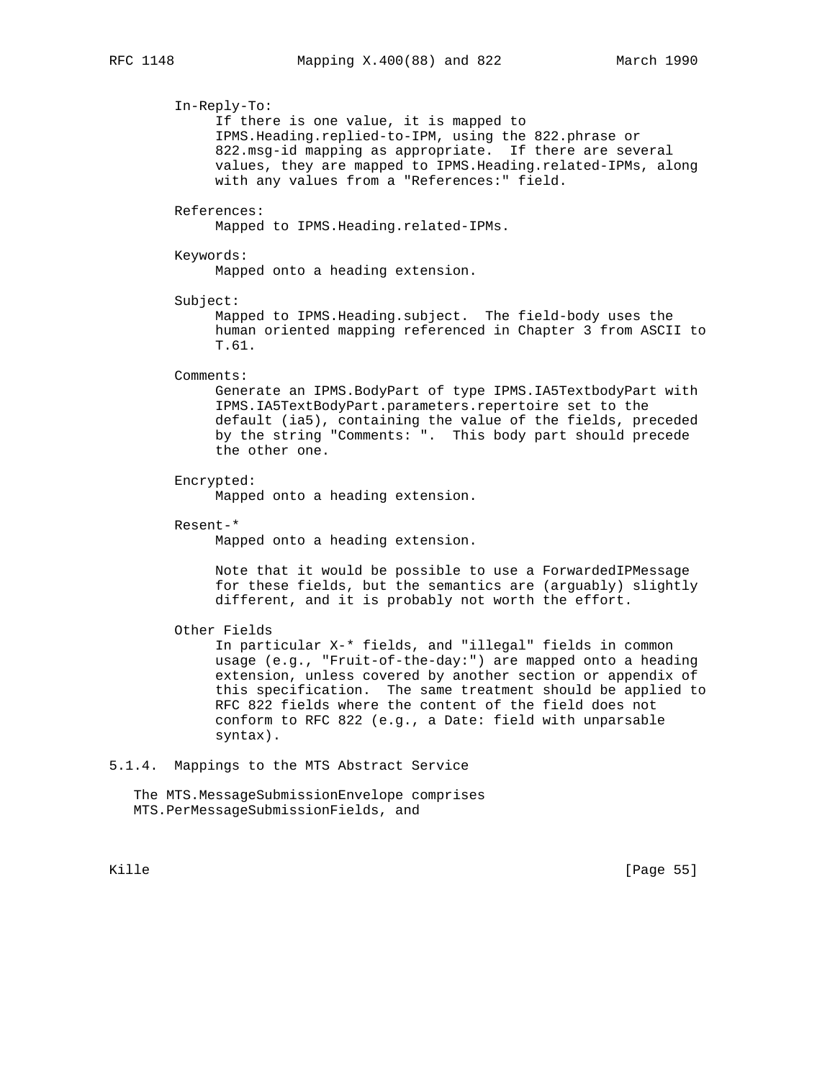In-Reply-To: If there is one value, it is mapped to IPMS.Heading.replied-to-IPM, using the 822.phrase or 822.msg-id mapping as appropriate. If there are several values, they are mapped to IPMS.Heading.related-IPMs, along with any values from a "References:" field. References: Mapped to IPMS.Heading.related-IPMs. Keywords: Mapped onto a heading extension. Subject: Mapped to IPMS.Heading.subject. The field-body uses the human oriented mapping referenced in Chapter 3 from ASCII to T.61. Comments: Generate an IPMS.BodyPart of type IPMS.IA5TextbodyPart with IPMS.IA5TextBodyPart.parameters.repertoire set to the default (ia5), containing the value of the fields, preceded by the string "Comments: ". This body part should precede the other one. Encrypted: Mapped onto a heading extension. Resent-\* Mapped onto a heading extension. Note that it would be possible to use a ForwardedIPMessage for these fields, but the semantics are (arguably) slightly different, and it is probably not worth the effort. Other Fields In particular X-\* fields, and "illegal" fields in common usage (e.g., "Fruit-of-the-day:") are mapped onto a heading extension, unless covered by another section or appendix of this specification. The same treatment should be applied to RFC 822 fields where the content of the field does not conform to RFC 822 (e.g., a Date: field with unparsable syntax). 5.1.4. Mappings to the MTS Abstract Service The MTS.MessageSubmissionEnvelope comprises MTS.PerMessageSubmissionFields, and Kille [Page 55]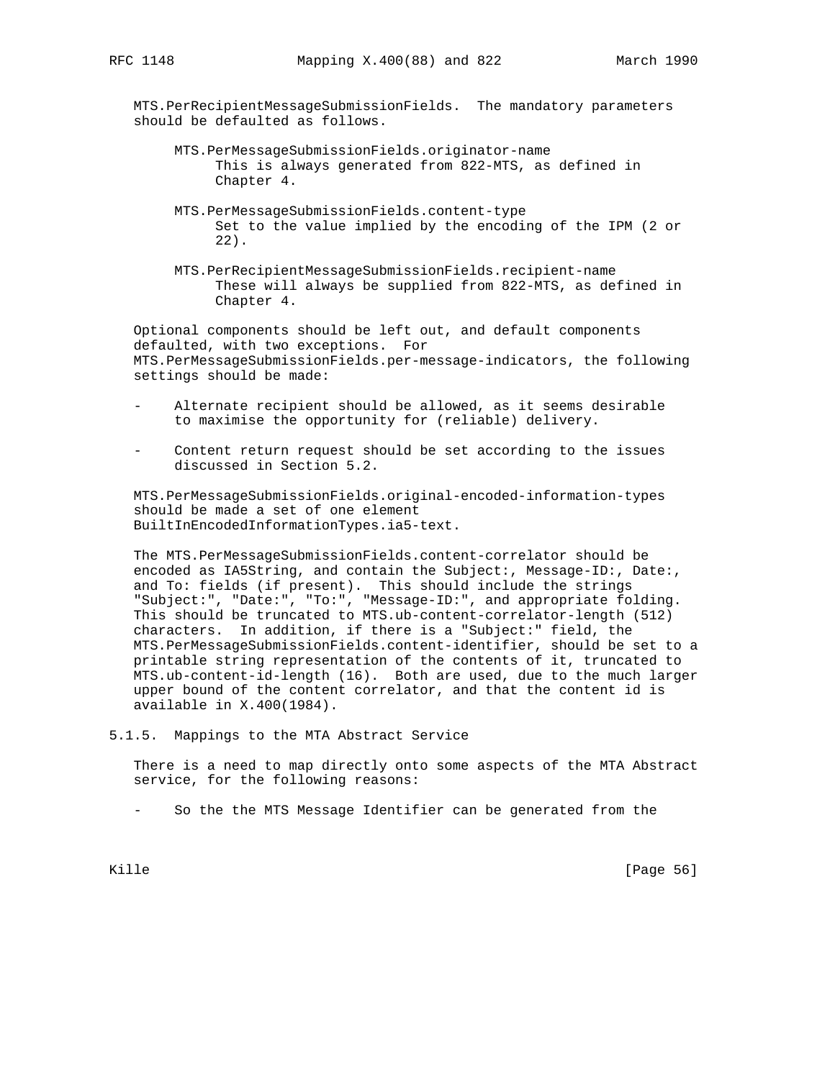MTS.PerRecipientMessageSubmissionFields. The mandatory parameters should be defaulted as follows.

- MTS.PerMessageSubmissionFields.originator-name This is always generated from 822-MTS, as defined in Chapter 4.
- MTS.PerMessageSubmissionFields.content-type Set to the value implied by the encoding of the IPM (2 or 22).
- MTS.PerRecipientMessageSubmissionFields.recipient-name These will always be supplied from 822-MTS, as defined in Chapter 4.

 Optional components should be left out, and default components defaulted, with two exceptions. For MTS.PerMessageSubmissionFields.per-message-indicators, the following settings should be made:

- Alternate recipient should be allowed, as it seems desirable to maximise the opportunity for (reliable) delivery.
- Content return request should be set according to the issues discussed in Section 5.2.

 MTS.PerMessageSubmissionFields.original-encoded-information-types should be made a set of one element BuiltInEncodedInformationTypes.ia5-text.

 The MTS.PerMessageSubmissionFields.content-correlator should be encoded as IA5String, and contain the Subject:, Message-ID:, Date:, and To: fields (if present). This should include the strings "Subject:", "Date:", "To:", "Message-ID:", and appropriate folding. This should be truncated to MTS.ub-content-correlator-length (512) characters. In addition, if there is a "Subject:" field, the MTS.PerMessageSubmissionFields.content-identifier, should be set to a printable string representation of the contents of it, truncated to MTS.ub-content-id-length (16). Both are used, due to the much larger upper bound of the content correlator, and that the content id is available in X.400(1984).

5.1.5. Mappings to the MTA Abstract Service

 There is a need to map directly onto some aspects of the MTA Abstract service, for the following reasons:

- So the the MTS Message Identifier can be generated from the

Kille [Page 56]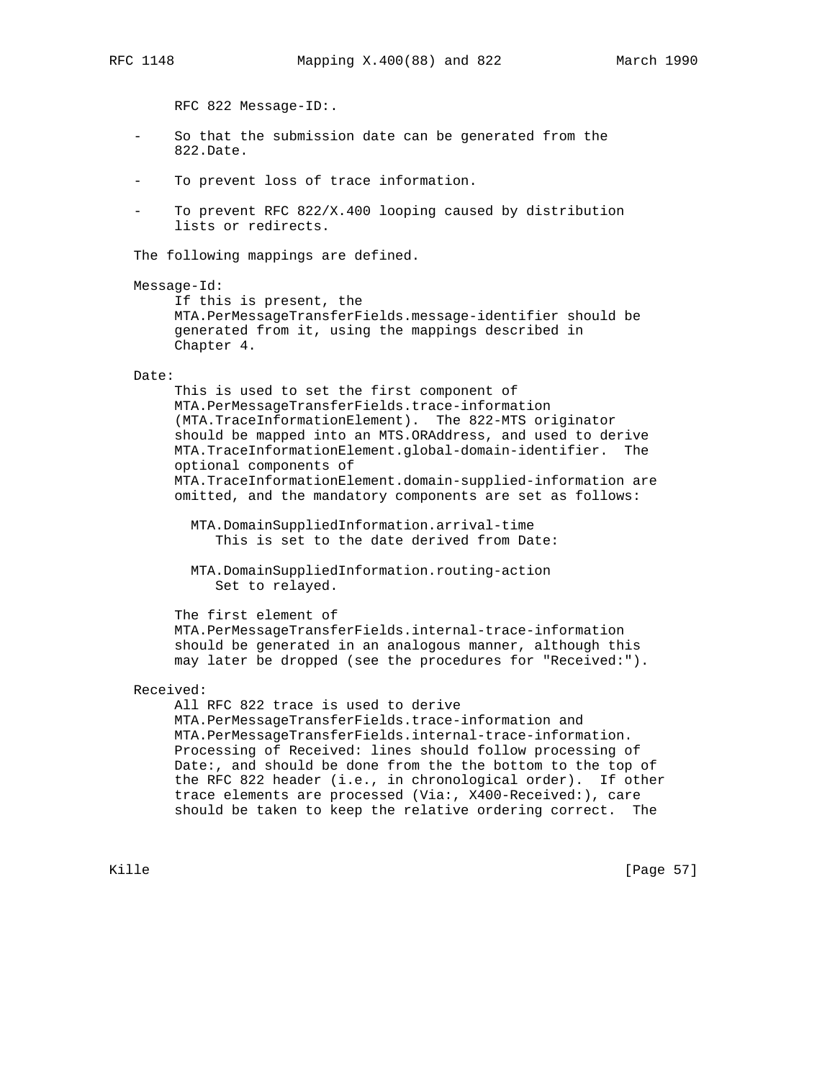RFC 822 Message-ID:.

- So that the submission date can be generated from the 822.Date.
- To prevent loss of trace information.
- To prevent RFC  $822/X.400$  looping caused by distribution lists or redirects.

The following mappings are defined.

```
 Message-Id:
```
 If this is present, the MTA.PerMessageTransferFields.message-identifier should be generated from it, using the mappings described in Chapter 4.

#### Date:

 This is used to set the first component of MTA.PerMessageTransferFields.trace-information (MTA.TraceInformationElement). The 822-MTS originator should be mapped into an MTS.ORAddress, and used to derive MTA.TraceInformationElement.global-domain-identifier. The optional components of MTA.TraceInformationElement.domain-supplied-information are omitted, and the mandatory components are set as follows:

 MTA.DomainSuppliedInformation.arrival-time This is set to the date derived from Date:

 MTA.DomainSuppliedInformation.routing-action Set to relayed.

The first element of

 MTA.PerMessageTransferFields.internal-trace-information should be generated in an analogous manner, although this may later be dropped (see the procedures for "Received:").

## Received:

 All RFC 822 trace is used to derive MTA.PerMessageTransferFields.trace-information and MTA.PerMessageTransferFields.internal-trace-information. Processing of Received: lines should follow processing of Date:, and should be done from the the bottom to the top of the RFC 822 header (i.e., in chronological order). If other trace elements are processed (Via:, X400-Received:), care should be taken to keep the relative ordering correct. The

Kille [Page 57]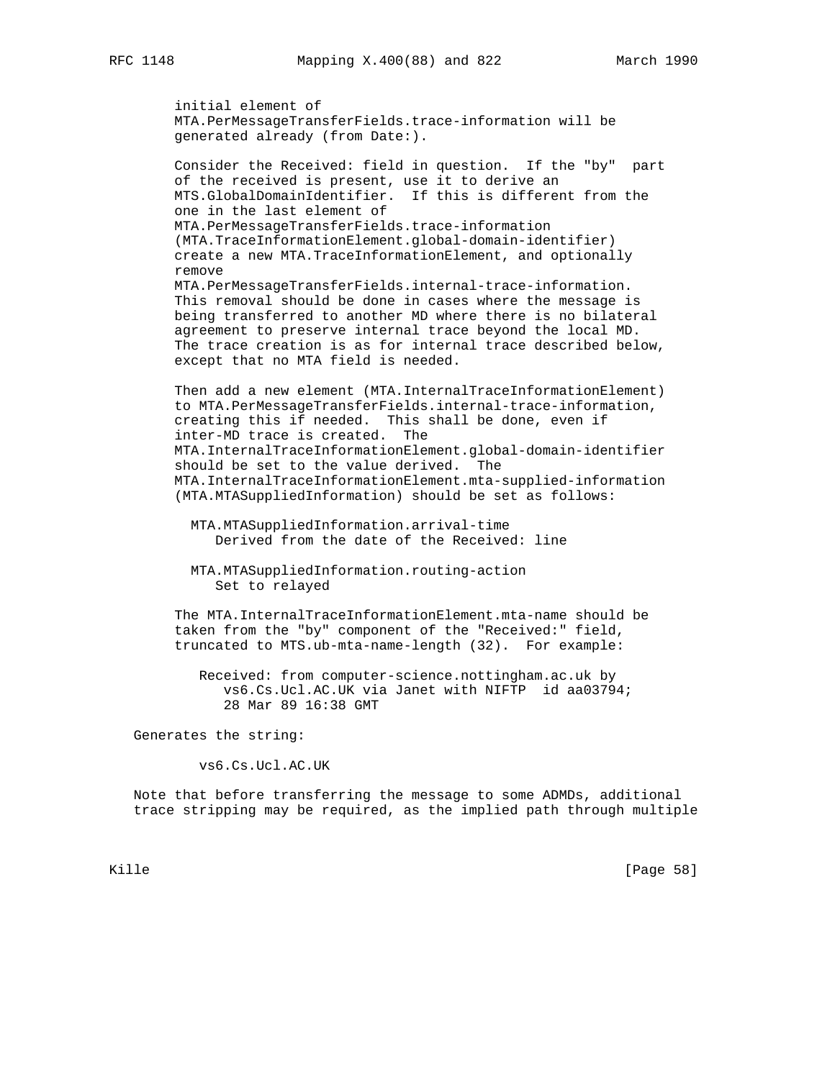```
 initial element of
 MTA.PerMessageTransferFields.trace-information will be
 generated already (from Date:).
```
 Consider the Received: field in question. If the "by" part of the received is present, use it to derive an MTS.GlobalDomainIdentifier. If this is different from the one in the last element of MTA.PerMessageTransferFields.trace-information (MTA.TraceInformationElement.global-domain-identifier) create a new MTA.TraceInformationElement, and optionally remove MTA.PerMessageTransferFields.internal-trace-information. This removal should be done in cases where the message is being transferred to another MD where there is no bilateral agreement to preserve internal trace beyond the local MD. The trace creation is as for internal trace described below, except that no MTA field is needed.

 Then add a new element (MTA.InternalTraceInformationElement) to MTA.PerMessageTransferFields.internal-trace-information, creating this if needed. This shall be done, even if inter-MD trace is created. The MTA.InternalTraceInformationElement.global-domain-identifier should be set to the value derived. The MTA.InternalTraceInformationElement.mta-supplied-information (MTA.MTASuppliedInformation) should be set as follows:

 MTA.MTASuppliedInformation.arrival-time Derived from the date of the Received: line

 MTA.MTASuppliedInformation.routing-action Set to relayed

 The MTA.InternalTraceInformationElement.mta-name should be taken from the "by" component of the "Received:" field, truncated to MTS.ub-mta-name-length (32). For example:

 Received: from computer-science.nottingham.ac.uk by vs6.Cs.Ucl.AC.UK via Janet with NIFTP id aa03794; 28 Mar 89 16:38 GMT

Generates the string:

vs6.Cs.Ucl.AC.UK

 Note that before transferring the message to some ADMDs, additional trace stripping may be required, as the implied path through multiple

Kille [Page 58]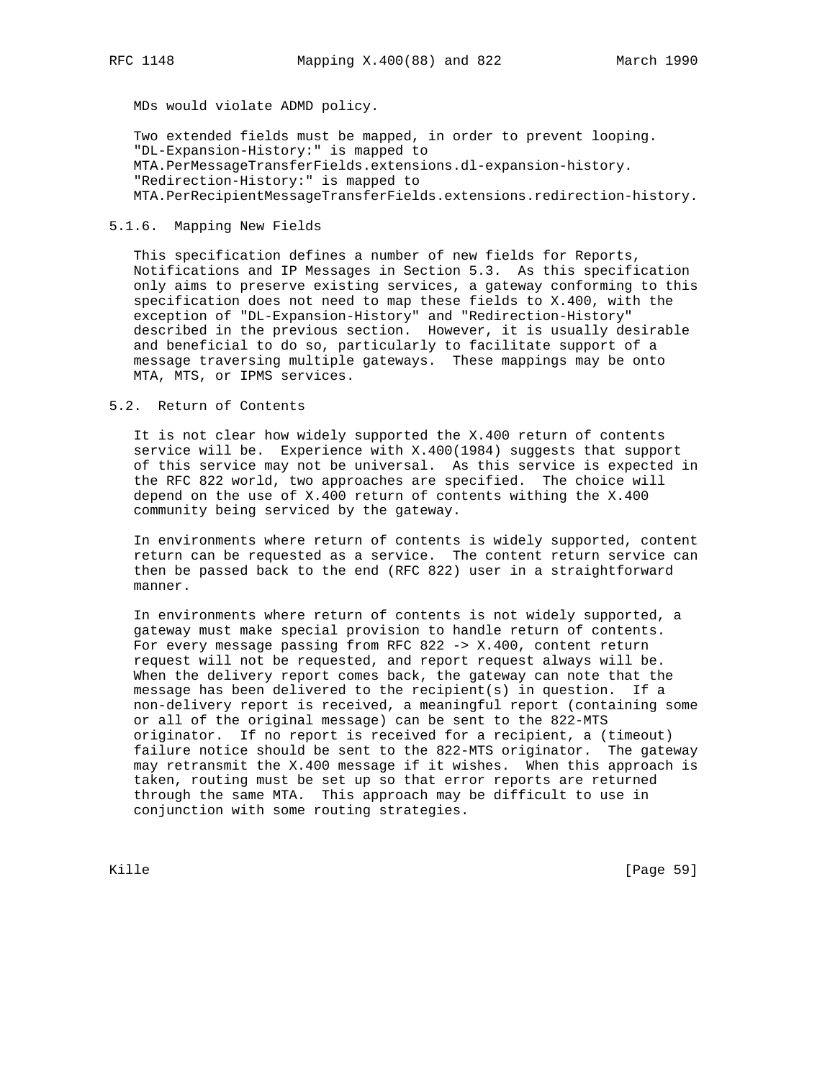MDs would violate ADMD policy.

 Two extended fields must be mapped, in order to prevent looping. "DL-Expansion-History:" is mapped to MTA.PerMessageTransferFields.extensions.dl-expansion-history. "Redirection-History:" is mapped to MTA.PerRecipientMessageTransferFields.extensions.redirection-history.

## 5.1.6. Mapping New Fields

 This specification defines a number of new fields for Reports, Notifications and IP Messages in Section 5.3. As this specification only aims to preserve existing services, a gateway conforming to this specification does not need to map these fields to X.400, with the exception of "DL-Expansion-History" and "Redirection-History" described in the previous section. However, it is usually desirable and beneficial to do so, particularly to facilitate support of a message traversing multiple gateways. These mappings may be onto MTA, MTS, or IPMS services.

## 5.2. Return of Contents

 It is not clear how widely supported the X.400 return of contents service will be. Experience with X.400(1984) suggests that support of this service may not be universal. As this service is expected in the RFC 822 world, two approaches are specified. The choice will depend on the use of X.400 return of contents withing the X.400 community being serviced by the gateway.

 In environments where return of contents is widely supported, content return can be requested as a service. The content return service can then be passed back to the end (RFC 822) user in a straightforward manner.

 In environments where return of contents is not widely supported, a gateway must make special provision to handle return of contents. For every message passing from RFC 822 -> X.400, content return request will not be requested, and report request always will be. When the delivery report comes back, the gateway can note that the message has been delivered to the recipient(s) in question. If a non-delivery report is received, a meaningful report (containing some or all of the original message) can be sent to the 822-MTS originator. If no report is received for a recipient, a (timeout) failure notice should be sent to the 822-MTS originator. The gateway may retransmit the X.400 message if it wishes. When this approach is taken, routing must be set up so that error reports are returned through the same MTA. This approach may be difficult to use in conjunction with some routing strategies.

Kille [Page 59]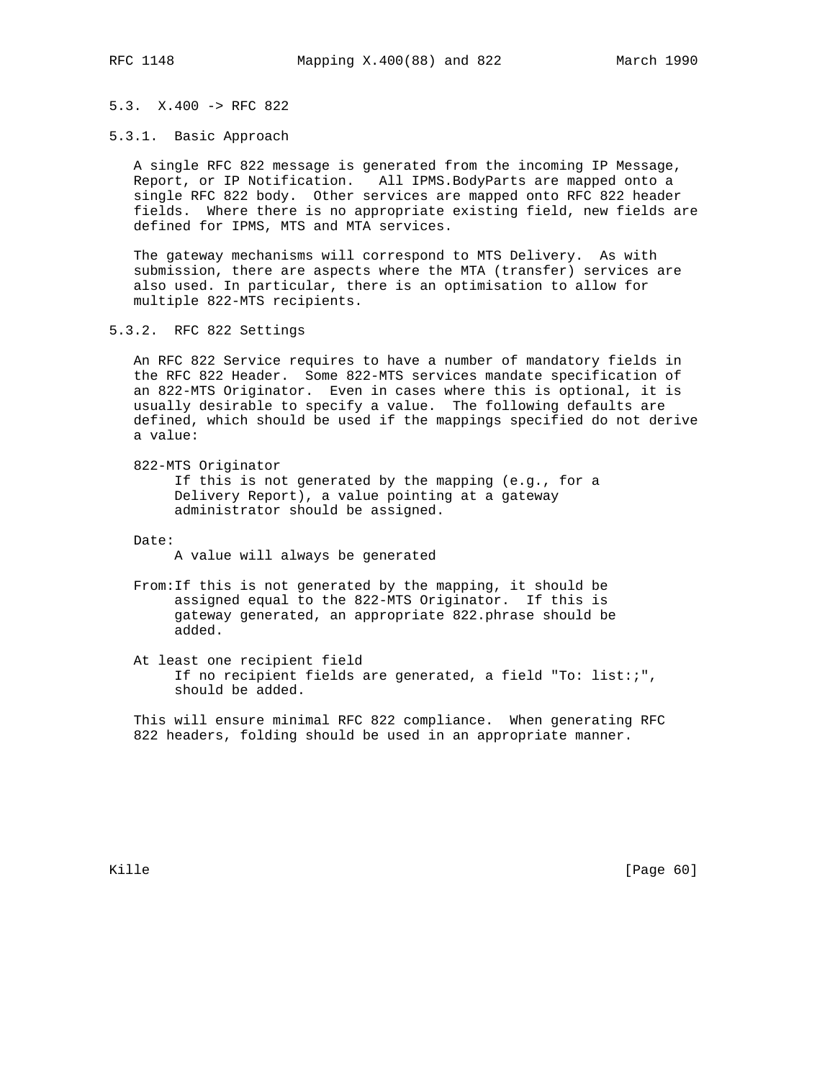## 5.3. X.400 -> RFC 822

5.3.1. Basic Approach

 A single RFC 822 message is generated from the incoming IP Message, Report, or IP Notification. All IPMS.BodyParts are mapped onto a single RFC 822 body. Other services are mapped onto RFC 822 header fields. Where there is no appropriate existing field, new fields are defined for IPMS, MTS and MTA services.

 The gateway mechanisms will correspond to MTS Delivery. As with submission, there are aspects where the MTA (transfer) services are also used. In particular, there is an optimisation to allow for multiple 822-MTS recipients.

5.3.2. RFC 822 Settings

 An RFC 822 Service requires to have a number of mandatory fields in the RFC 822 Header. Some 822-MTS services mandate specification of an 822-MTS Originator. Even in cases where this is optional, it is usually desirable to specify a value. The following defaults are defined, which should be used if the mappings specified do not derive a value:

822-MTS Originator

 If this is not generated by the mapping (e.g., for a Delivery Report), a value pointing at a gateway administrator should be assigned.

Date:

A value will always be generated

 From:If this is not generated by the mapping, it should be assigned equal to the 822-MTS Originator. If this is gateway generated, an appropriate 822.phrase should be added.

 At least one recipient field If no recipient fields are generated, a field "To: list:;", should be added.

 This will ensure minimal RFC 822 compliance. When generating RFC 822 headers, folding should be used in an appropriate manner.

Kille [Page 60]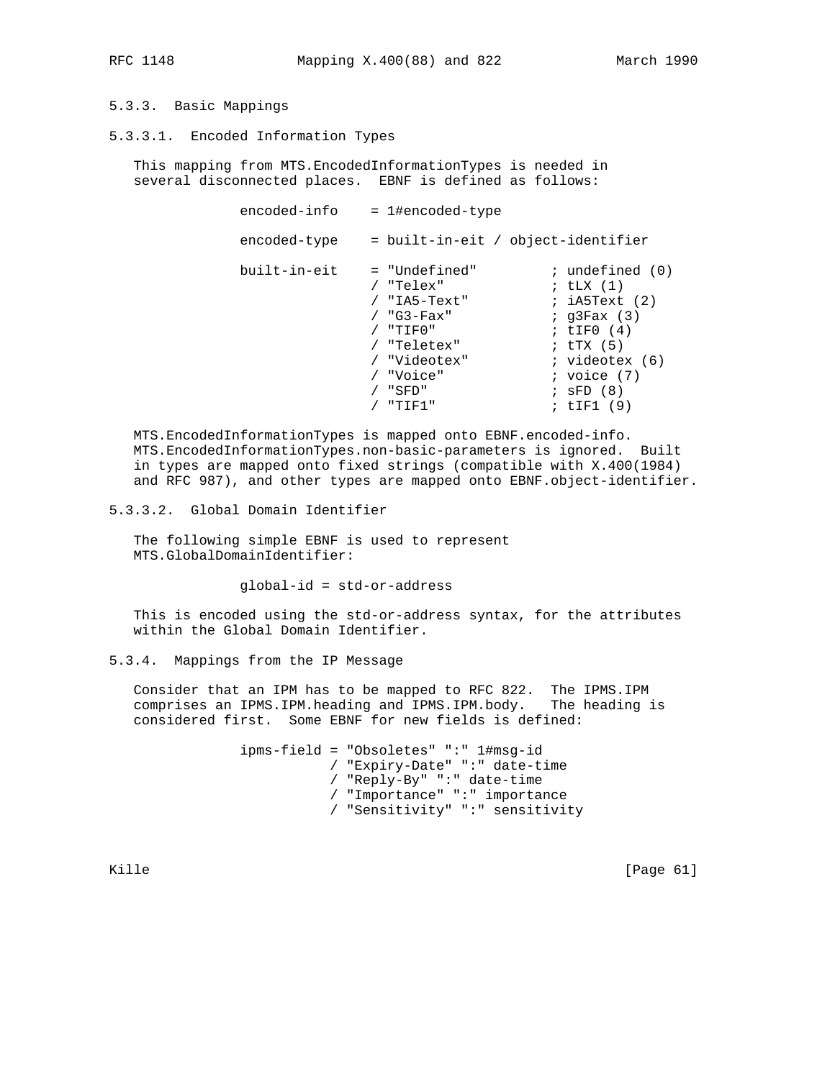# 5.3.3. Basic Mappings

5.3.3.1. Encoded Information Types

 This mapping from MTS.EncodedInformationTypes is needed in several disconnected places. EBNF is defined as follows:

| encoded-info | = 1#encoded-type                   |                          |
|--------------|------------------------------------|--------------------------|
| encoded-type | = built-in-eit / object-identifier |                          |
| built-in-eit | = "Undefined"                      | $:$ undefined $(0)$      |
|              | "Telex"                            | ; $t\text{LX}$ $(1)$     |
|              | / "IA5-Text"                       | ; iA5Text (2)            |
|              | $/$ "G3-Fax"                       | $;$ q $3$ Fax $(3)$      |
|              | "TIFO"                             | ; $LTF0(4)$              |
|              | / "Teletex"                        | ; $\text{tr} \times (5)$ |
|              | "Videotex"                         | $;$ videotex $(6)$       |
|              | "Voice"                            | ; voice $(7)$            |
|              | "SFD"                              | $;$ SFD $(8)$            |
|              | "TIF1"                             | ; $tIF1(9)$              |
|              |                                    |                          |

 MTS.EncodedInformationTypes is mapped onto EBNF.encoded-info. MTS.EncodedInformationTypes.non-basic-parameters is ignored. Built in types are mapped onto fixed strings (compatible with X.400(1984) and RFC 987), and other types are mapped onto EBNF.object-identifier.

5.3.3.2. Global Domain Identifier

 The following simple EBNF is used to represent MTS.GlobalDomainIdentifier:

global-id = std-or-address

 This is encoded using the std-or-address syntax, for the attributes within the Global Domain Identifier.

## 5.3.4. Mappings from the IP Message

 Consider that an IPM has to be mapped to RFC 822. The IPMS.IPM comprises an IPMS.IPM.heading and IPMS.IPM.body. The heading is considered first. Some EBNF for new fields is defined:

> ipms-field = "Obsoletes" ":" 1#msg-id / "Expiry-Date" ":" date-time / "Reply-By" ":" date-time / "Importance" ":" importance / "Sensitivity" ":" sensitivity

Kille [Page 61]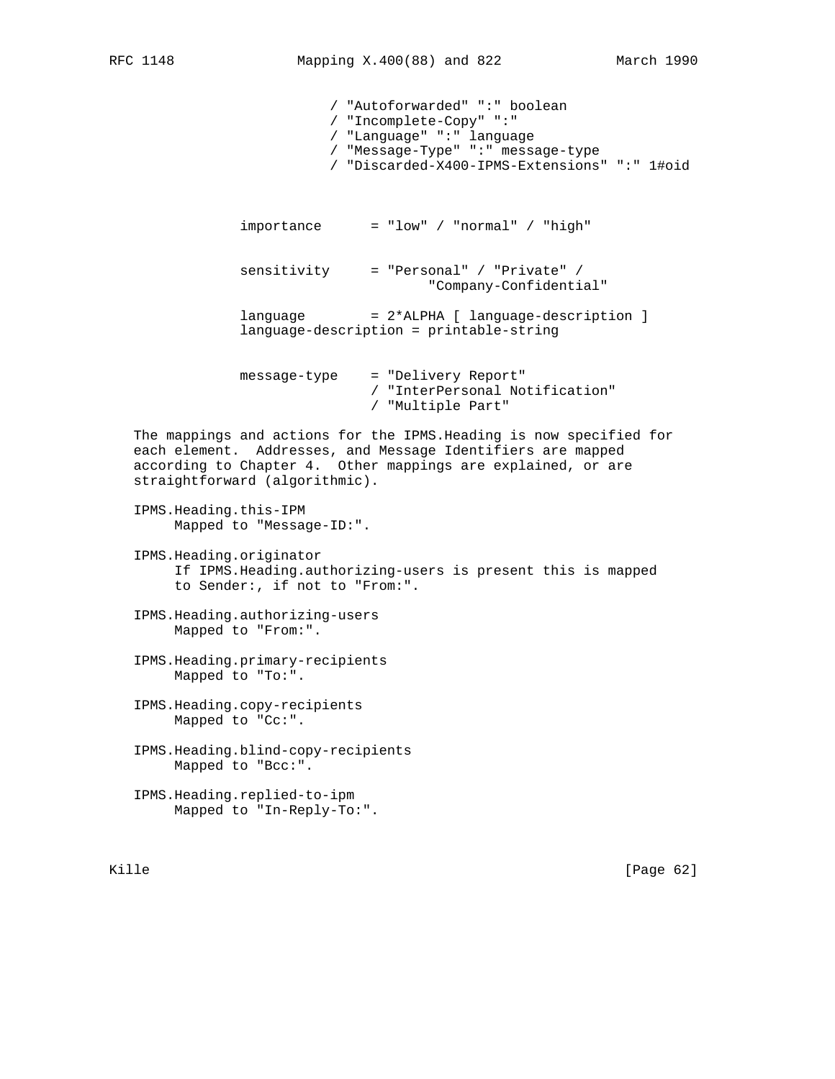/ "Autoforwarded" ":" boolean / "Incomplete-Copy" ":" / "Language" ":" language / "Message-Type" ":" message-type / "Discarded-X400-IPMS-Extensions" ":" 1#oid  $importance = "low" / "normal" / "high"$  sensitivity = "Personal" / "Private" / "Company-Confidential" language = 2\*ALPHA [ language-description ] language-description = printable-string message-type = "Delivery Report" / "InterPersonal Notification" / "Multiple Part" The mappings and actions for the IPMS.Heading is now specified for each element. Addresses, and Message Identifiers are mapped according to Chapter 4. Other mappings are explained, or are straightforward (algorithmic). IPMS.Heading.this-IPM Mapped to "Message-ID:". IPMS.Heading.originator If IPMS.Heading.authorizing-users is present this is mapped to Sender:, if not to "From:". IPMS.Heading.authorizing-users Mapped to "From:". IPMS.Heading.primary-recipients Mapped to "To:". IPMS.Heading.copy-recipients Mapped to "Cc:". IPMS.Heading.blind-copy-recipients Mapped to "Bcc:". IPMS.Heading.replied-to-ipm Mapped to "In-Reply-To:".

Kille [Page 62]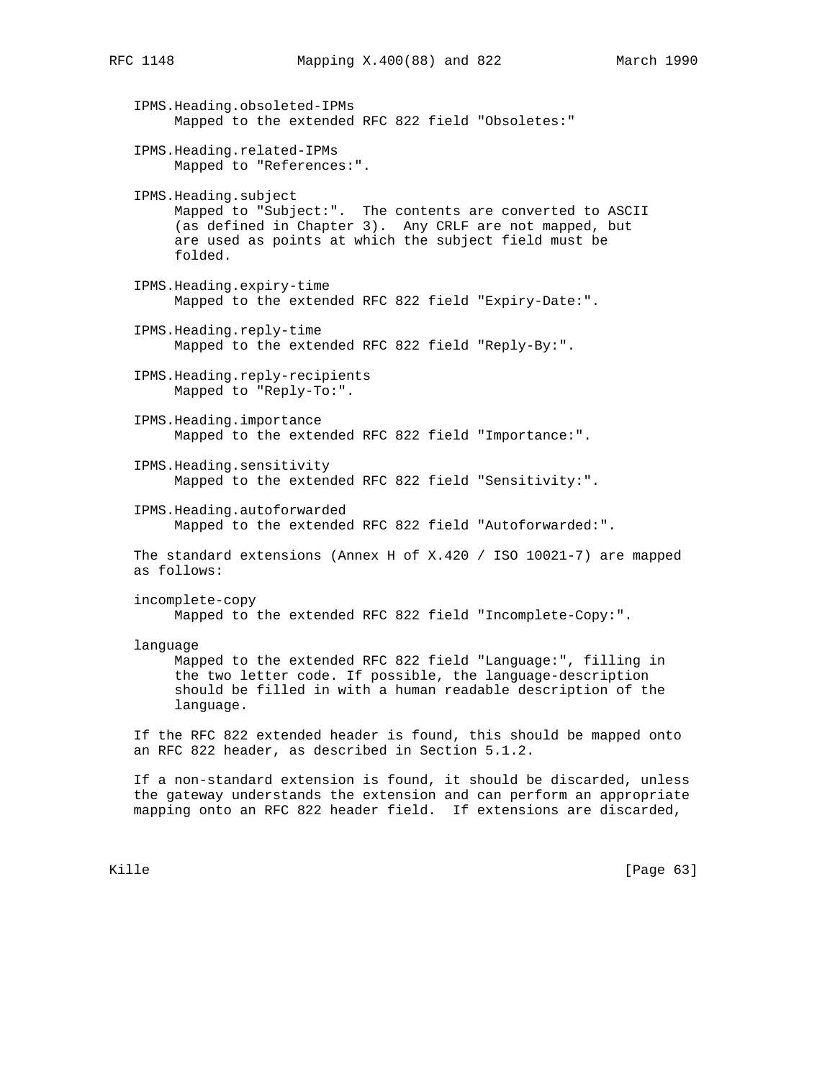IPMS.Heading.obsoleted-IPMs Mapped to the extended RFC 822 field "Obsoletes:" IPMS.Heading.related-IPMs Mapped to "References:". IPMS.Heading.subject Mapped to "Subject:". The contents are converted to ASCII (as defined in Chapter 3). Any CRLF are not mapped, but are used as points at which the subject field must be folded. IPMS.Heading.expiry-time Mapped to the extended RFC 822 field "Expiry-Date:". IPMS.Heading.reply-time Mapped to the extended RFC 822 field "Reply-By:". IPMS.Heading.reply-recipients Mapped to "Reply-To:". IPMS.Heading.importance Mapped to the extended RFC 822 field "Importance:". IPMS.Heading.sensitivity Mapped to the extended RFC 822 field "Sensitivity:". IPMS.Heading.autoforwarded Mapped to the extended RFC 822 field "Autoforwarded:". The standard extensions (Annex H of X.420 / ISO 10021-7) are mapped as follows: incomplete-copy Mapped to the extended RFC 822 field "Incomplete-Copy:". language Mapped to the extended RFC 822 field "Language:", filling in the two letter code. If possible, the language-description should be filled in with a human readable description of the language. If the RFC 822 extended header is found, this should be mapped onto an RFC 822 header, as described in Section 5.1.2. If a non-standard extension is found, it should be discarded, unless

 the gateway understands the extension and can perform an appropriate mapping onto an RFC 822 header field. If extensions are discarded,

Kille [Page 63]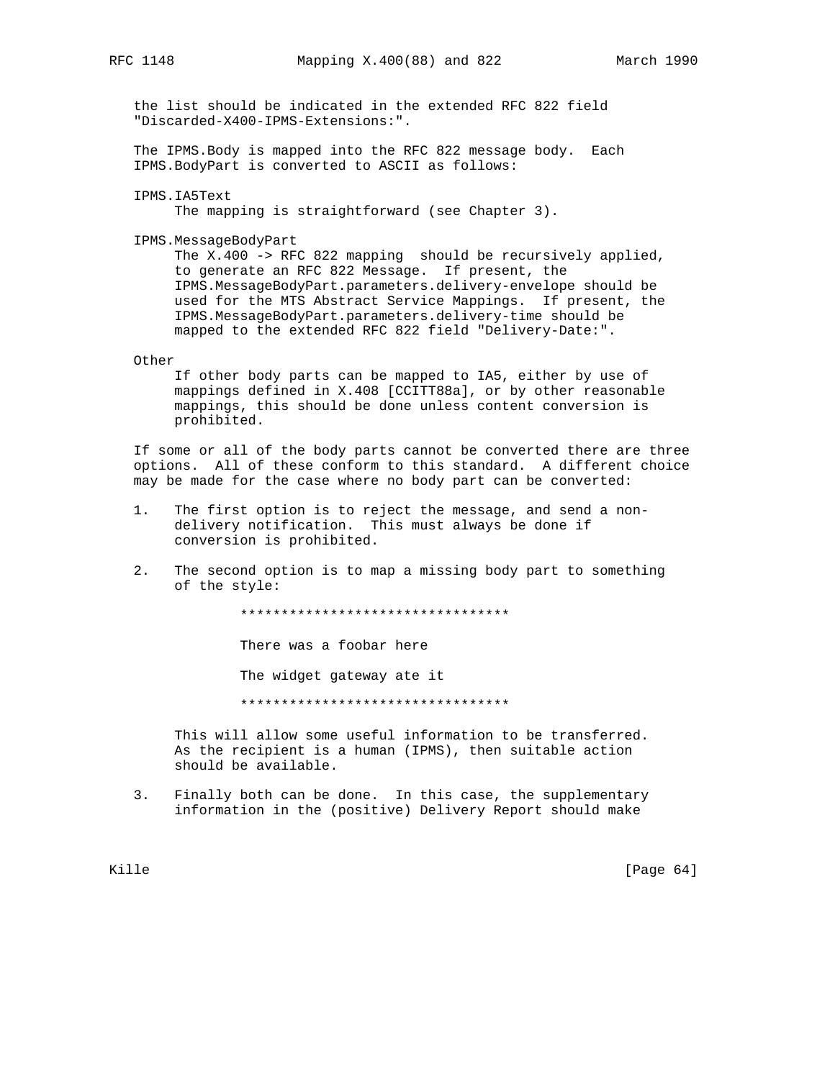the list should be indicated in the extended RFC 822 field "Discarded-X400-IPMS-Extensions:".

 The IPMS.Body is mapped into the RFC 822 message body. Each IPMS.BodyPart is converted to ASCII as follows:

IPMS.IA5Text

The mapping is straightforward (see Chapter 3).

IPMS.MessageBodyPart

The X.400 -> RFC 822 mapping should be recursively applied, to generate an RFC 822 Message. If present, the IPMS.MessageBodyPart.parameters.delivery-envelope should be used for the MTS Abstract Service Mappings. If present, the IPMS.MessageBodyPart.parameters.delivery-time should be mapped to the extended RFC 822 field "Delivery-Date:".

#### Other

 If other body parts can be mapped to IA5, either by use of mappings defined in X.408 [CCITT88a], or by other reasonable mappings, this should be done unless content conversion is prohibited.

 If some or all of the body parts cannot be converted there are three options. All of these conform to this standard. A different choice may be made for the case where no body part can be converted:

- 1. The first option is to reject the message, and send a non delivery notification. This must always be done if conversion is prohibited.
- 2. The second option is to map a missing body part to something of the style:

\*\*\*\*\*\*\*\*\*\*\*\*\*\*\*\*\*\*\*\*\*\*\*\*\*\*\*\*\*\*\*\*\*

There was a foobar here

The widget gateway ate it

\*\*\*\*\*\*\*\*\*\*\*\*\*\*\*\*\*\*\*\*\*\*\*\*\*\*\*\*\*\*\*\*\*

 This will allow some useful information to be transferred. As the recipient is a human (IPMS), then suitable action should be available.

 3. Finally both can be done. In this case, the supplementary information in the (positive) Delivery Report should make

Kille [Page 64]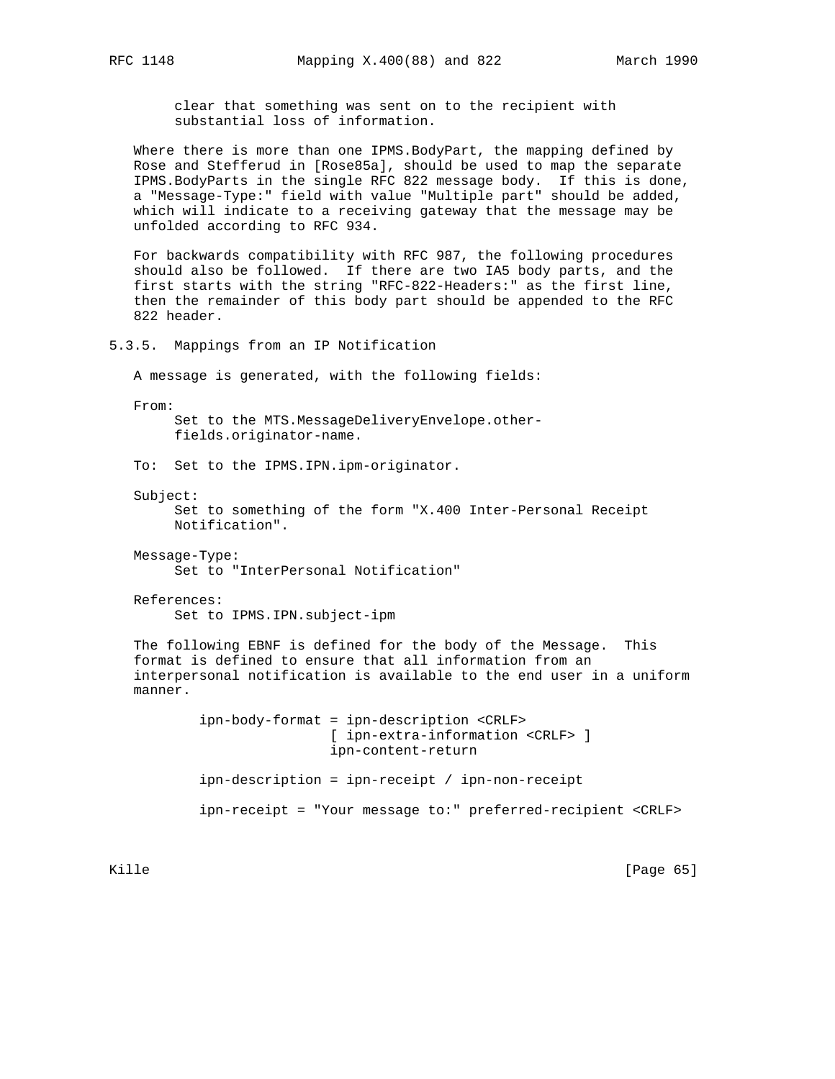clear that something was sent on to the recipient with substantial loss of information.

 Where there is more than one IPMS.BodyPart, the mapping defined by Rose and Stefferud in [Rose85a], should be used to map the separate IPMS.BodyParts in the single RFC 822 message body. If this is done, a "Message-Type:" field with value "Multiple part" should be added, which will indicate to a receiving gateway that the message may be unfolded according to RFC 934.

 For backwards compatibility with RFC 987, the following procedures should also be followed. If there are two IA5 body parts, and the first starts with the string "RFC-822-Headers:" as the first line, then the remainder of this body part should be appended to the RFC 822 header.

5.3.5. Mappings from an IP Notification

A message is generated, with the following fields:

From:

 Set to the MTS.MessageDeliveryEnvelope.other fields.originator-name.

To: Set to the IPMS.IPN.ipm-originator.

Subject:

 Set to something of the form "X.400 Inter-Personal Receipt Notification".

 Message-Type: Set to "InterPersonal Notification"

 References: Set to IPMS.IPN.subject-ipm

 The following EBNF is defined for the body of the Message. This format is defined to ensure that all information from an interpersonal notification is available to the end user in a uniform manner.

> ipn-body-format = ipn-description <CRLF> [ ipn-extra-information <CRLF> ] ipn-content-return ipn-description = ipn-receipt / ipn-non-receipt ipn-receipt = "Your message to:" preferred-recipient <CRLF>

Kille [Page 65]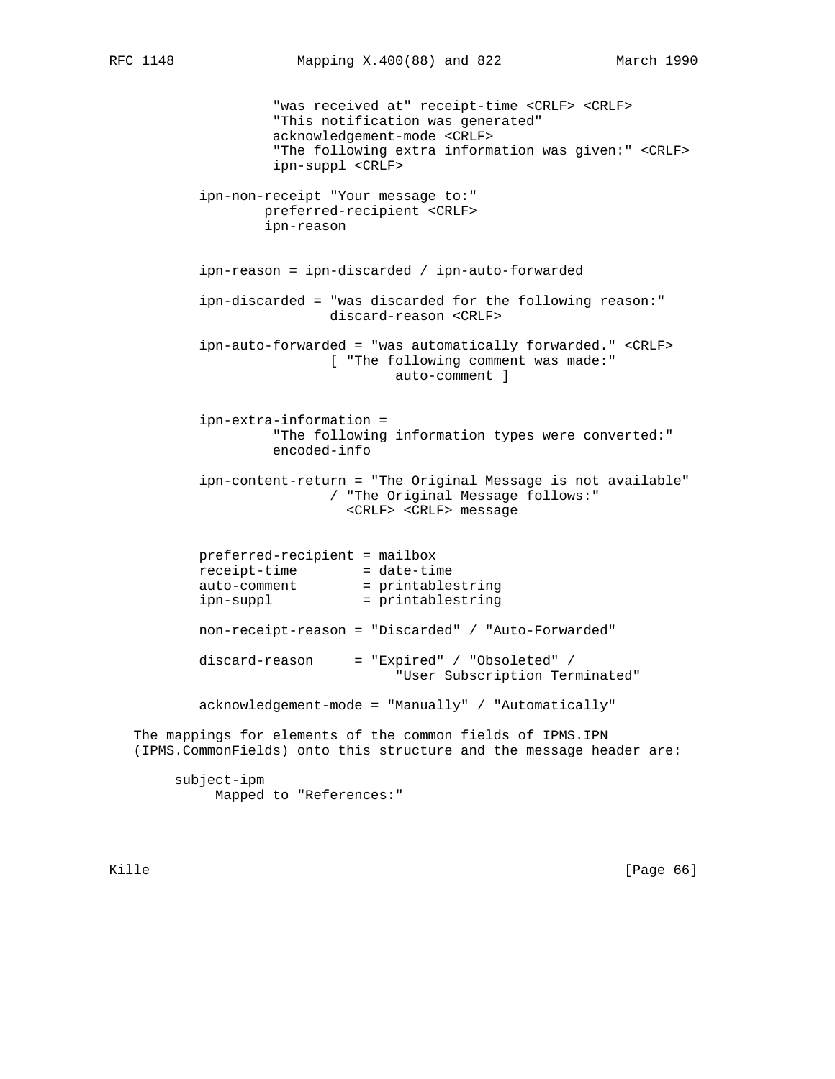"was received at" receipt-time <CRLF> <CRLF> "This notification was generated" acknowledgement-mode <CRLF> "The following extra information was given:" <CRLF> ipn-suppl <CRLF> ipn-non-receipt "Your message to:" preferred-recipient <CRLF> ipn-reason ipn-reason = ipn-discarded / ipn-auto-forwarded ipn-discarded = "was discarded for the following reason:" discard-reason <CRLF> ipn-auto-forwarded = "was automatically forwarded." <CRLF> [ "The following comment was made:" auto-comment ] ipn-extra-information = "The following information types were converted:" encoded-info ipn-content-return = "The Original Message is not available" / "The Original Message follows:" <CRLF> <CRLF> message preferred-recipient = mailbox receipt-time = date-time auto-comment = printablestring ipn-suppl = printablestring non-receipt-reason = "Discarded" / "Auto-Forwarded" discard-reason = "Expired" / "Obsoleted" / "User Subscription Terminated" acknowledgement-mode = "Manually" / "Automatically" The mappings for elements of the common fields of IPMS.IPN (IPMS.CommonFields) onto this structure and the message header are: subject-ipm Mapped to "References:"

Kille [Page 66]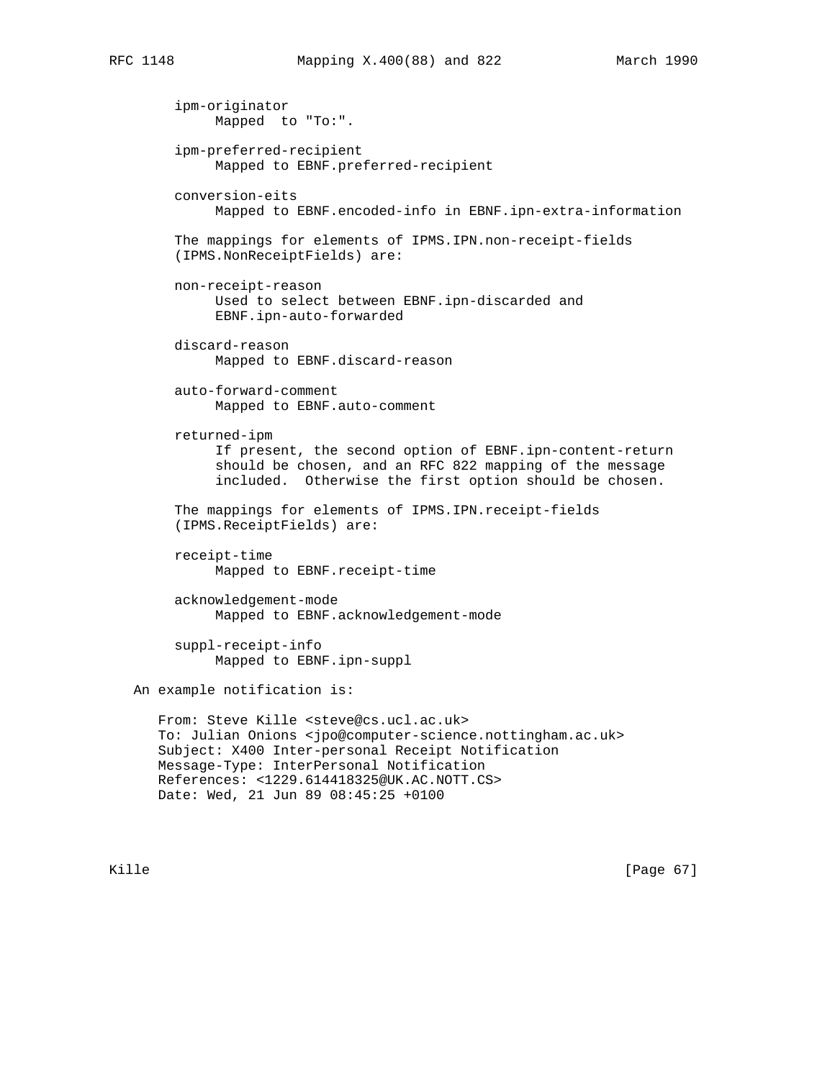ipm-originator Mapped to "To:". ipm-preferred-recipient Mapped to EBNF.preferred-recipient conversion-eits Mapped to EBNF.encoded-info in EBNF.ipn-extra-information The mappings for elements of IPMS.IPN.non-receipt-fields (IPMS.NonReceiptFields) are: non-receipt-reason Used to select between EBNF.ipn-discarded and EBNF.ipn-auto-forwarded discard-reason Mapped to EBNF.discard-reason auto-forward-comment Mapped to EBNF.auto-comment returned-ipm If present, the second option of EBNF.ipn-content-return should be chosen, and an RFC 822 mapping of the message included. Otherwise the first option should be chosen. The mappings for elements of IPMS.IPN.receipt-fields (IPMS.ReceiptFields) are: receipt-time Mapped to EBNF.receipt-time acknowledgement-mode Mapped to EBNF.acknowledgement-mode suppl-receipt-info Mapped to EBNF.ipn-suppl An example notification is: From: Steve Kille <steve@cs.ucl.ac.uk> To: Julian Onions <jpo@computer-science.nottingham.ac.uk> Subject: X400 Inter-personal Receipt Notification Message-Type: InterPersonal Notification References: <1229.614418325@UK.AC.NOTT.CS> Date: Wed, 21 Jun 89 08:45:25 +0100

Kille [Page 67]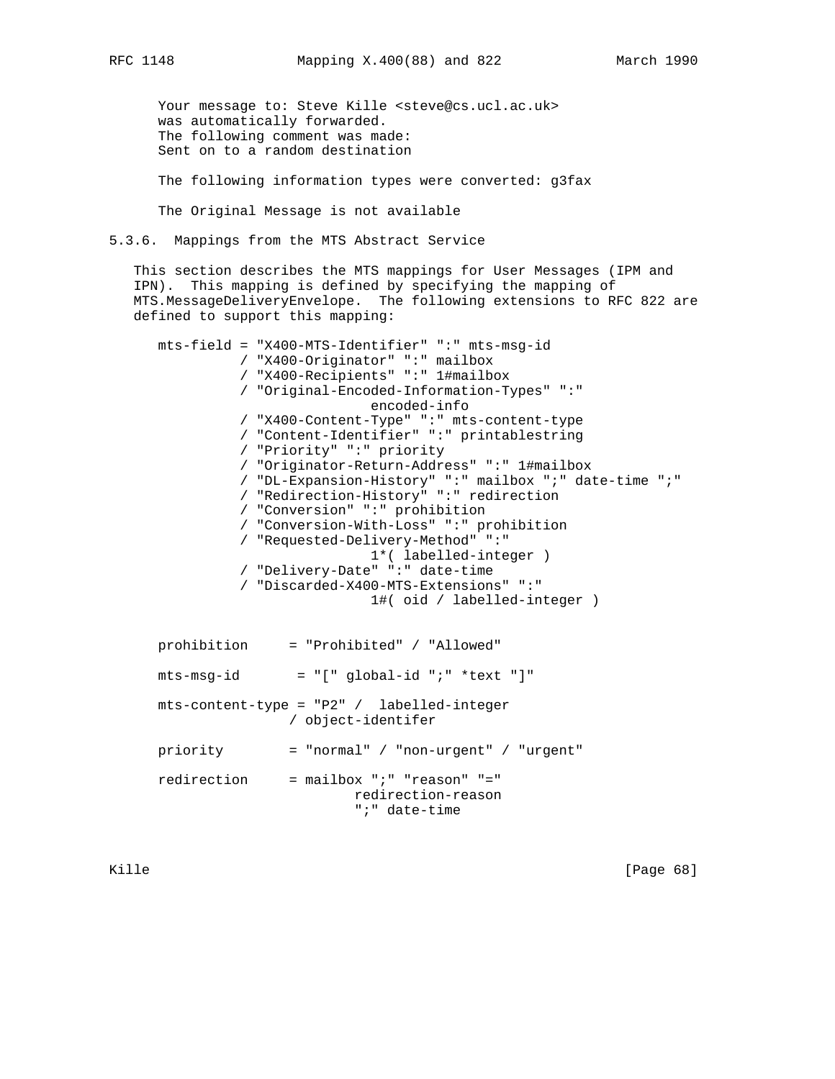Your message to: Steve Kille <steve@cs.ucl.ac.uk> was automatically forwarded. The following comment was made: Sent on to a random destination

The following information types were converted: g3fax

The Original Message is not available

5.3.6. Mappings from the MTS Abstract Service

 This section describes the MTS mappings for User Messages (IPM and IPN). This mapping is defined by specifying the mapping of MTS.MessageDeliveryEnvelope. The following extensions to RFC 822 are defined to support this mapping:

 mts-field = "X400-MTS-Identifier" ":" mts-msg-id / "X400-Originator" ":" mailbox / "X400-Recipients" ":" 1#mailbox / "Original-Encoded-Information-Types" ":" encoded-info / "X400-Content-Type" ":" mts-content-type / "Content-Identifier" ":" printablestring / "Priority" ":" priority / "Originator-Return-Address" ":" 1#mailbox / "DL-Expansion-History" ":" mailbox ";" date-time ";" / "Redirection-History" ":" redirection / "Conversion" ":" prohibition / "Conversion-With-Loss" ":" prohibition / "Requested-Delivery-Method" ":" 1\*( labelled-integer ) / "Delivery-Date" ":" date-time / "Discarded-X400-MTS-Extensions" ":" 1#( oid / labelled-integer ) prohibition = "Prohibited" / "Allowed"  $mts-msg-id = "[' global-id "i" *text "]"$  mts-content-type = "P2" / labelled-integer / object-identifer priority = "normal" / "non-urgent" / "urgent"

 redirection = mailbox ";" "reason" "=" redirection-reason ";" date-time

Kille [Page 68]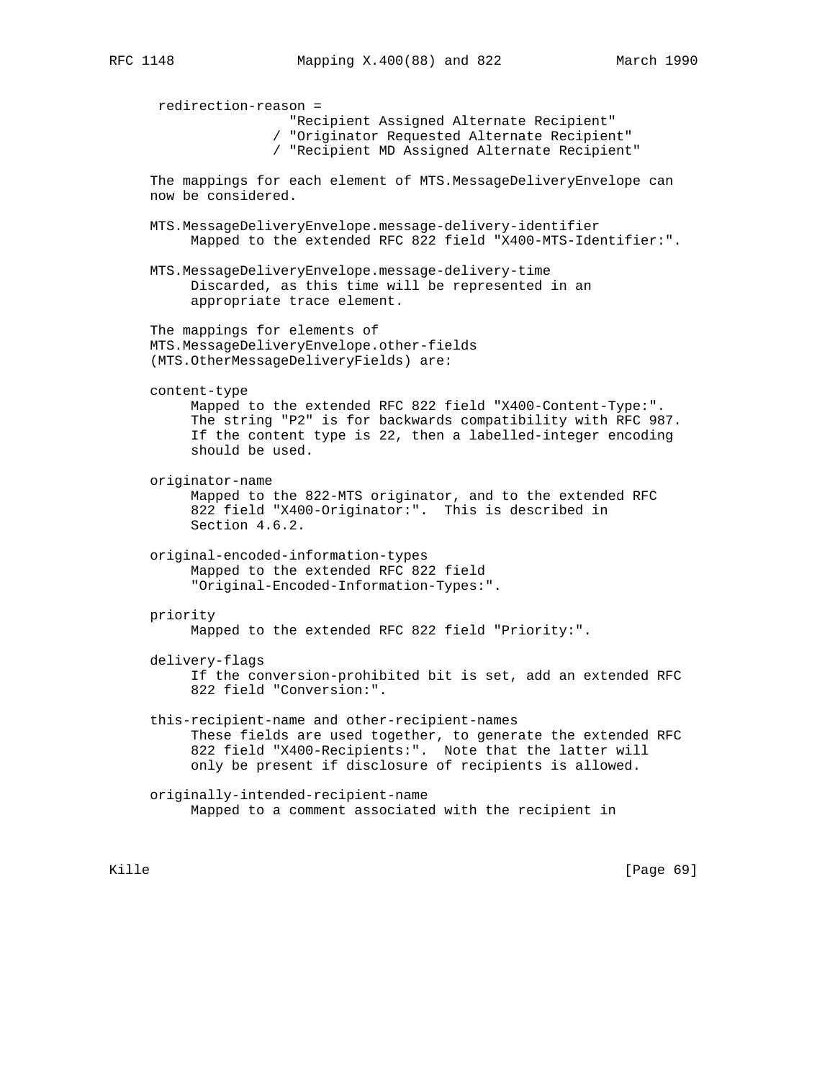redirection-reason = "Recipient Assigned Alternate Recipient" / "Originator Requested Alternate Recipient" / "Recipient MD Assigned Alternate Recipient" The mappings for each element of MTS.MessageDeliveryEnvelope can now be considered. MTS.MessageDeliveryEnvelope.message-delivery-identifier Mapped to the extended RFC 822 field "X400-MTS-Identifier:". MTS.MessageDeliveryEnvelope.message-delivery-time Discarded, as this time will be represented in an appropriate trace element. The mappings for elements of MTS.MessageDeliveryEnvelope.other-fields (MTS.OtherMessageDeliveryFields) are: content-type Mapped to the extended RFC 822 field "X400-Content-Type:". The string "P2" is for backwards compatibility with RFC 987. If the content type is 22, then a labelled-integer encoding should be used. originator-name Mapped to the 822-MTS originator, and to the extended RFC 822 field "X400-Originator:". This is described in Section 4.6.2. original-encoded-information-types Mapped to the extended RFC 822 field "Original-Encoded-Information-Types:". priority Mapped to the extended RFC 822 field "Priority:". delivery-flags If the conversion-prohibited bit is set, add an extended RFC 822 field "Conversion:". this-recipient-name and other-recipient-names These fields are used together, to generate the extended RFC 822 field "X400-Recipients:". Note that the latter will only be present if disclosure of recipients is allowed. originally-intended-recipient-name Mapped to a comment associated with the recipient in

Kille [Page 69]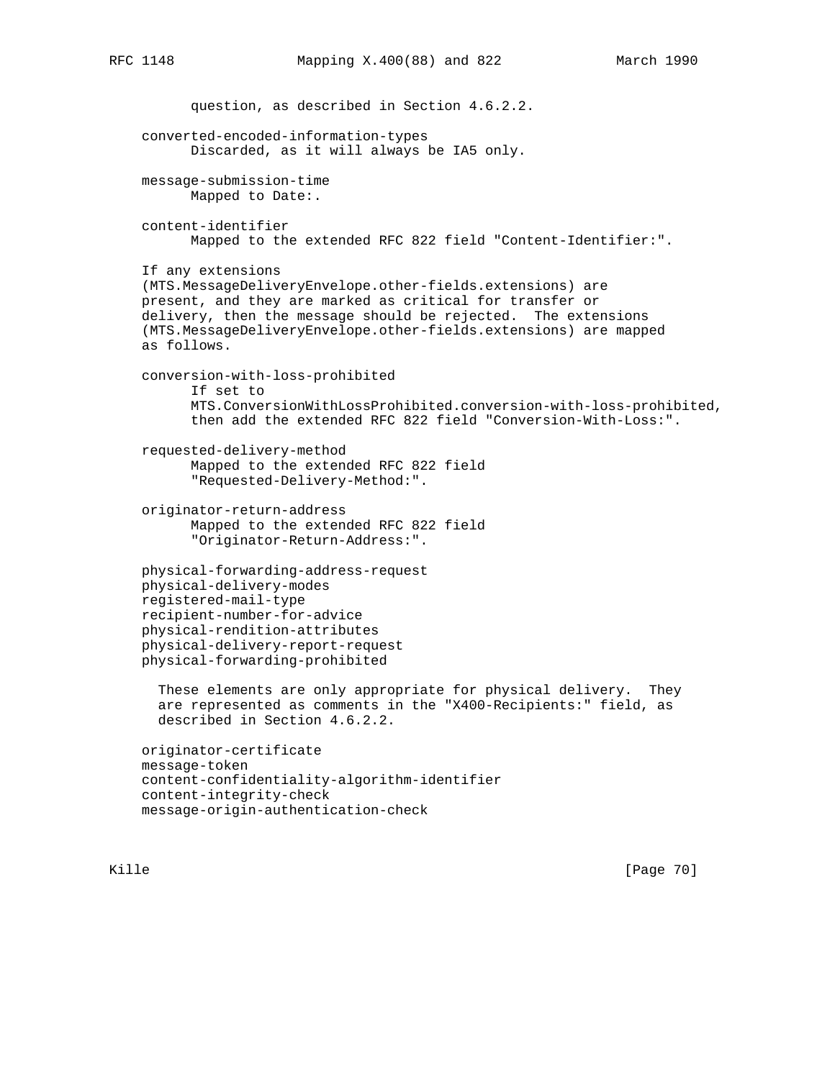```
 question, as described in Section 4.6.2.2.
 converted-encoded-information-types
       Discarded, as it will always be IA5 only.
 message-submission-time
       Mapped to Date:.
 content-identifier
       Mapped to the extended RFC 822 field "Content-Identifier:".
 If any extensions
 (MTS.MessageDeliveryEnvelope.other-fields.extensions) are
 present, and they are marked as critical for transfer or
 delivery, then the message should be rejected. The extensions
 (MTS.MessageDeliveryEnvelope.other-fields.extensions) are mapped
 as follows.
 conversion-with-loss-prohibited
       If set to
       MTS.ConversionWithLossProhibited.conversion-with-loss-prohibited,
       then add the extended RFC 822 field "Conversion-With-Loss:".
 requested-delivery-method
       Mapped to the extended RFC 822 field
       "Requested-Delivery-Method:".
 originator-return-address
       Mapped to the extended RFC 822 field
       "Originator-Return-Address:".
 physical-forwarding-address-request
 physical-delivery-modes
 registered-mail-type
 recipient-number-for-advice
 physical-rendition-attributes
 physical-delivery-report-request
 physical-forwarding-prohibited
   These elements are only appropriate for physical delivery. They
   are represented as comments in the "X400-Recipients:" field, as
   described in Section 4.6.2.2.
 originator-certificate
 message-token
 content-confidentiality-algorithm-identifier
 content-integrity-check
 message-origin-authentication-check
```
Kille [Page 70]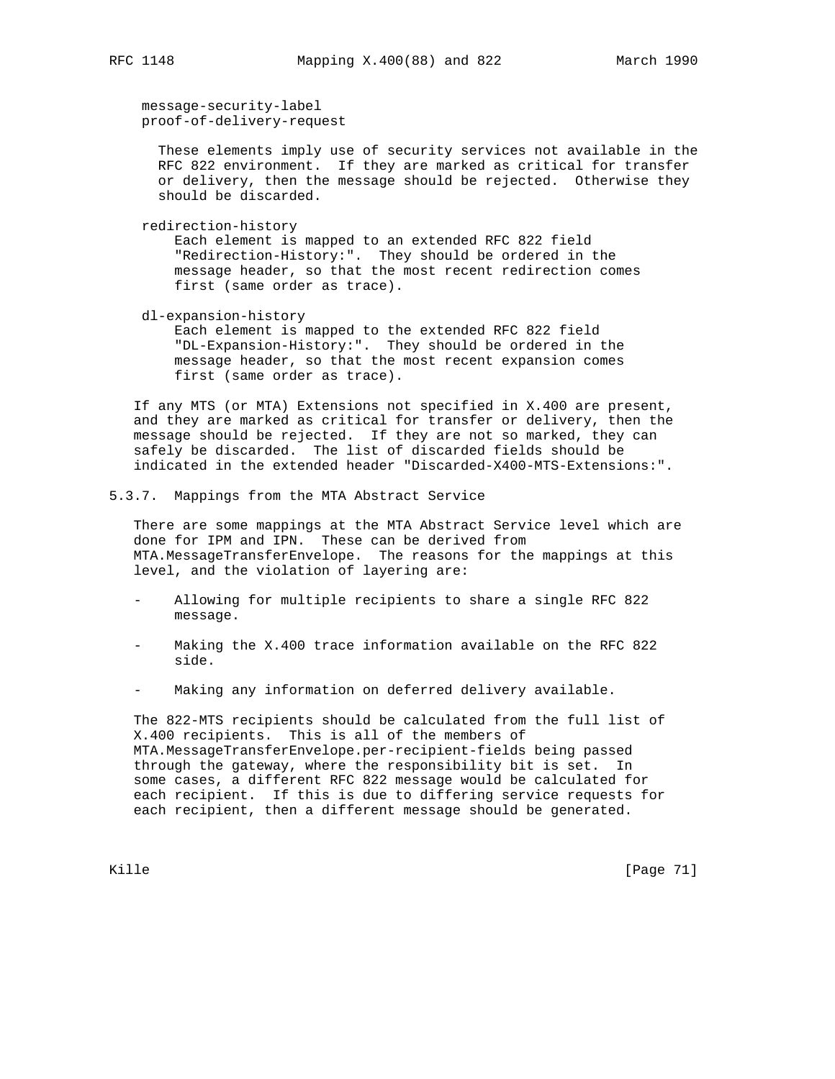message-security-label

proof-of-delivery-request

 These elements imply use of security services not available in the RFC 822 environment. If they are marked as critical for transfer or delivery, then the message should be rejected. Otherwise they should be discarded.

redirection-history

 Each element is mapped to an extended RFC 822 field "Redirection-History:". They should be ordered in the message header, so that the most recent redirection comes first (same order as trace).

dl-expansion-history

 Each element is mapped to the extended RFC 822 field "DL-Expansion-History:". They should be ordered in the message header, so that the most recent expansion comes first (same order as trace).

 If any MTS (or MTA) Extensions not specified in X.400 are present, and they are marked as critical for transfer or delivery, then the message should be rejected. If they are not so marked, they can safely be discarded. The list of discarded fields should be indicated in the extended header "Discarded-X400-MTS-Extensions:".

5.3.7. Mappings from the MTA Abstract Service

 There are some mappings at the MTA Abstract Service level which are done for IPM and IPN. These can be derived from MTA.MessageTransferEnvelope. The reasons for the mappings at this level, and the violation of layering are:

- Allowing for multiple recipients to share a single RFC 822 message.
- Making the X.400 trace information available on the RFC 822 side.
- Making any information on deferred delivery available.

 The 822-MTS recipients should be calculated from the full list of X.400 recipients. This is all of the members of MTA.MessageTransferEnvelope.per-recipient-fields being passed through the gateway, where the responsibility bit is set. In some cases, a different RFC 822 message would be calculated for each recipient. If this is due to differing service requests for each recipient, then a different message should be generated.

Kille [Page 71]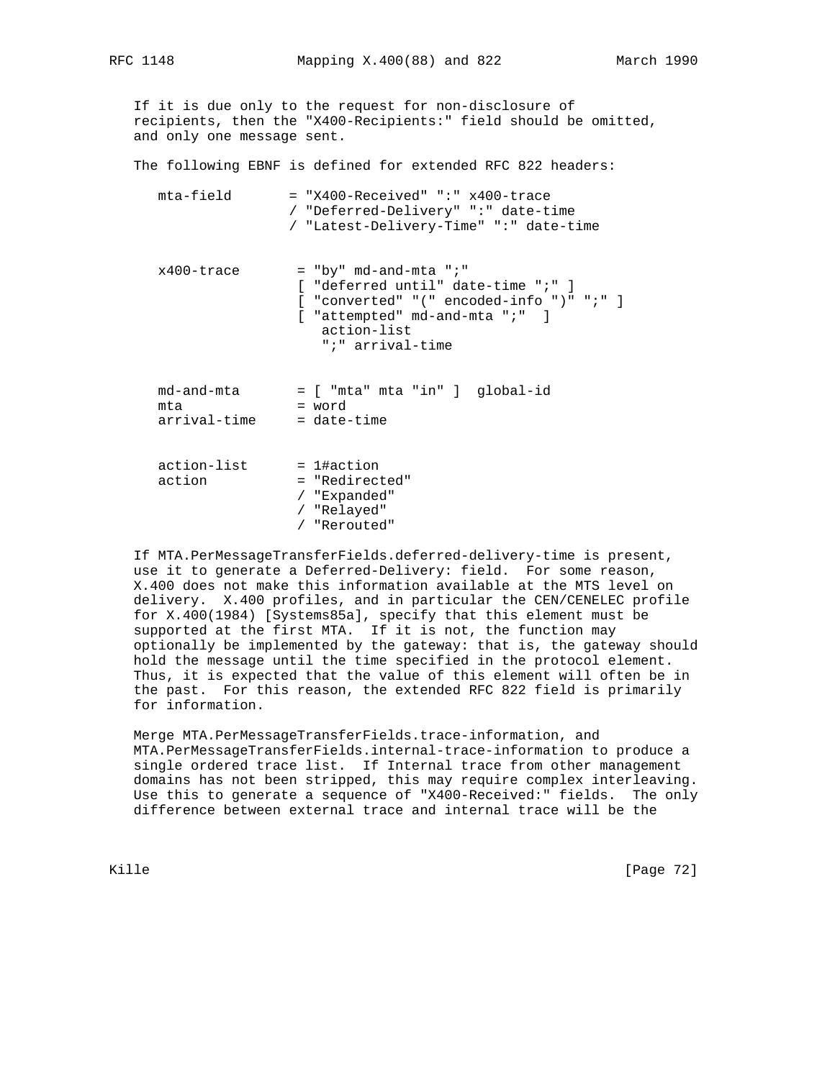If it is due only to the request for non-disclosure of recipients, then the "X400-Recipients:" field should be omitted, and only one message sent.

The following EBNF is defined for extended RFC 822 headers:

| mta-field                         | $=$ "X400-Received" ":" x400-trace<br>/ "Deferred-Delivery" ":" date-time<br>/ "Latest-Delivery-Time" ":" date-time                                                                    |
|-----------------------------------|----------------------------------------------------------------------------------------------------------------------------------------------------------------------------------------|
| x400-trace                        | $=$ "by" md-and-mta ";"<br>[ "deferred until" date-time ";" ]<br>$[$ "converted" "(" encoded-info ")" ";" $]$<br>$[$ "attempted" md-and-mta ";" $]$<br>action-list<br>";" arrival-time |
| md-and-mta<br>mta<br>arrival-time | = [ "mta" mta "in" ] qlobal-id<br>= word<br>$=$ date-time                                                                                                                              |
| action-list<br>action             | $= 1$ #action<br>= "Redirected"<br>/ "Expanded"<br>"Relayed"                                                                                                                           |

/ "Rerouted"

 If MTA.PerMessageTransferFields.deferred-delivery-time is present, use it to generate a Deferred-Delivery: field. For some reason, X.400 does not make this information available at the MTS level on delivery. X.400 profiles, and in particular the CEN/CENELEC profile for X.400(1984) [Systems85a], specify that this element must be supported at the first MTA. If it is not, the function may optionally be implemented by the gateway: that is, the gateway should hold the message until the time specified in the protocol element. Thus, it is expected that the value of this element will often be in the past. For this reason, the extended RFC 822 field is primarily for information.

 Merge MTA.PerMessageTransferFields.trace-information, and MTA.PerMessageTransferFields.internal-trace-information to produce a single ordered trace list. If Internal trace from other management domains has not been stripped, this may require complex interleaving. Use this to generate a sequence of "X400-Received:" fields. The only difference between external trace and internal trace will be the

Kille [Page 72]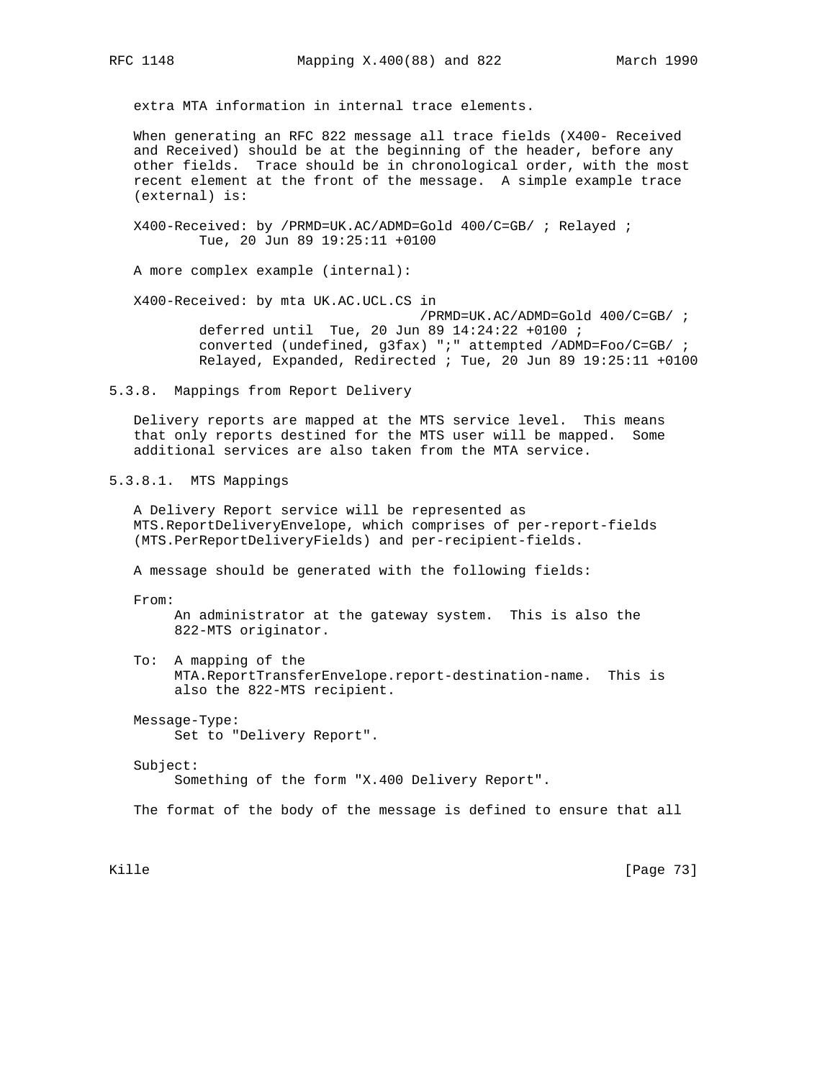extra MTA information in internal trace elements.

 When generating an RFC 822 message all trace fields (X400- Received and Received) should be at the beginning of the header, before any other fields. Trace should be in chronological order, with the most recent element at the front of the message. A simple example trace (external) is:

 X400-Received: by /PRMD=UK.AC/ADMD=Gold 400/C=GB/ ; Relayed ; Tue, 20 Jun 89 19:25:11 +0100

A more complex example (internal):

 X400-Received: by mta UK.AC.UCL.CS in /PRMD=UK.AC/ADMD=Gold 400/C=GB/ ; deferred until Tue, 20 Jun 89 14:24:22 +0100 ; converted (undefined, g3fax) ";" attempted /ADMD=Foo/C=GB/ ; Relayed, Expanded, Redirected ; Tue, 20 Jun 89 19:25:11 +0100

5.3.8. Mappings from Report Delivery

 Delivery reports are mapped at the MTS service level. This means that only reports destined for the MTS user will be mapped. Some additional services are also taken from the MTA service.

5.3.8.1. MTS Mappings

 A Delivery Report service will be represented as MTS.ReportDeliveryEnvelope, which comprises of per-report-fields (MTS.PerReportDeliveryFields) and per-recipient-fields.

A message should be generated with the following fields:

From:

 An administrator at the gateway system. This is also the 822-MTS originator.

 To: A mapping of the MTA.ReportTransferEnvelope.report-destination-name. This is also the 822-MTS recipient.

 Message-Type: Set to "Delivery Report".

Subject:

Something of the form "X.400 Delivery Report".

The format of the body of the message is defined to ensure that all

Kille [Page 73]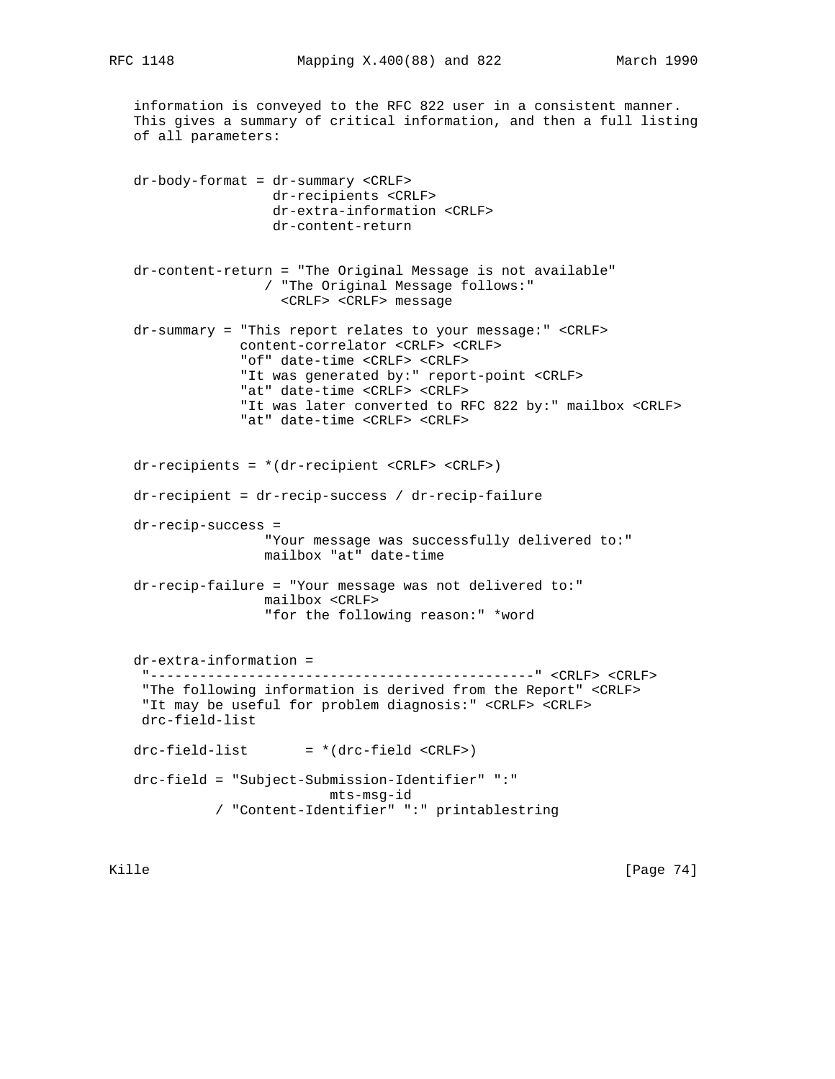information is conveyed to the RFC 822 user in a consistent manner. This gives a summary of critical information, and then a full listing of all parameters:

 dr-body-format = dr-summary <CRLF> dr-recipients <CRLF> dr-extra-information <CRLF> dr-content-return

 dr-content-return = "The Original Message is not available" / "The Original Message follows:" <CRLF> <CRLF> message

 dr-summary = "This report relates to your message:" <CRLF> content-correlator <CRLF> <CRLF> "of" date-time <CRLF> <CRLF> "It was generated by:" report-point <CRLF> "at" date-time <CRLF> <CRLF> "It was later converted to RFC 822 by:" mailbox <CRLF> "at" date-time <CRLF> <CRLF>

 dr-recipients = \*(dr-recipient <CRLF> <CRLF>) dr-recipient = dr-recip-success / dr-recip-failure dr-recip-success = "Your message was successfully delivered to:" mailbox "at" date-time

 dr-recip-failure = "Your message was not delivered to:" mailbox <CRLF> "for the following reason:" \*word

 dr-extra-information = "-----------------------------------------------" <CRLF> <CRLF> "The following information is derived from the Report" <CRLF> "It may be useful for problem diagnosis:" <CRLF> <CRLF> drc-field-list  $drc-field-list$  =  $*(drc-field < CRLF)$  drc-field = "Subject-Submission-Identifier" ":" mts-msg-id / "Content-Identifier" ":" printablestring

Kille [Page 74]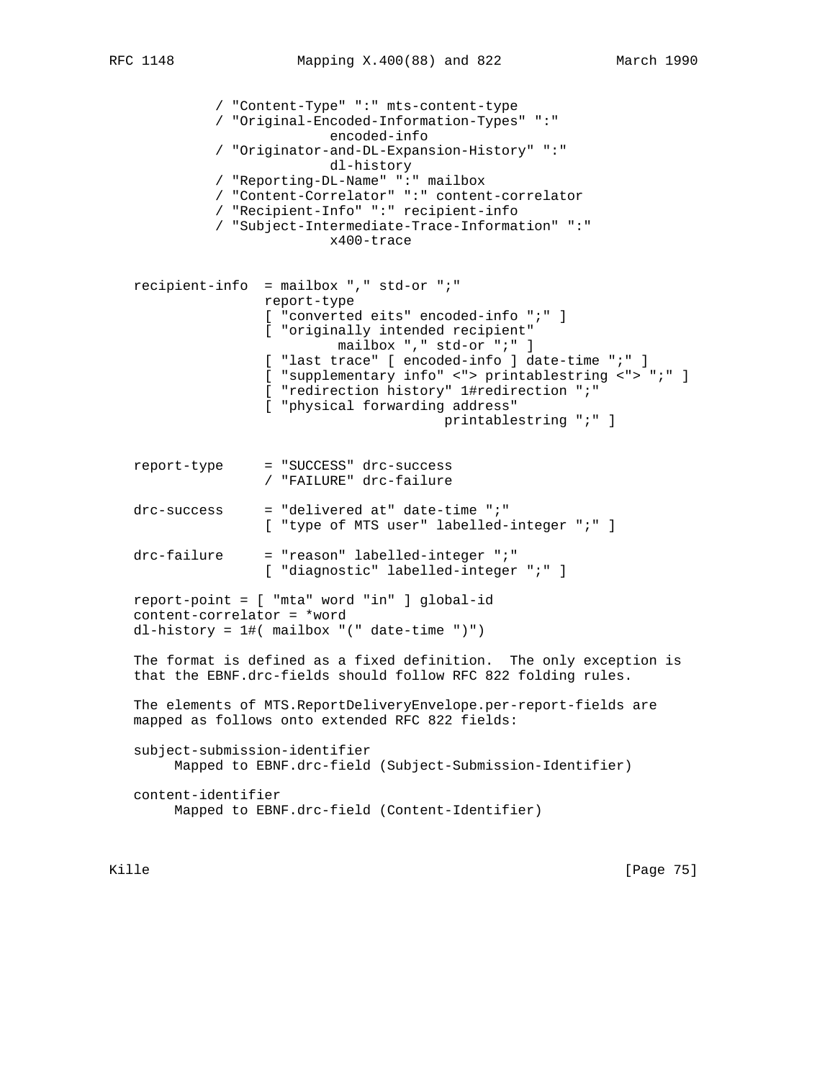```
 / "Content-Type" ":" mts-content-type
           / "Original-Encoded-Information-Types" ":"
                         encoded-info
           / "Originator-and-DL-Expansion-History" ":"
                         dl-history
           / "Reporting-DL-Name" ":" mailbox
           / "Content-Correlator" ":" content-correlator
           / "Recipient-Info" ":" recipient-info
           / "Subject-Intermediate-Trace-Information" ":"
                         x400-trace
 recipient-info = mailbox "," std-or ";"
                 report-type
                 [ "converted eits" encoded-info ";" ]
                 [ "originally intended recipient"
                          mailbox "," std-or ";" ]
                 [ "last trace" [ encoded-info ] date-time ";" ]
                 [ "supplementary info" <"> printablestring <"> ";" ]
                 [ "redirection history" 1#redirection ";"
                 [ "physical forwarding address"
                                        printablestring ";" ]
 report-type = "SUCCESS" drc-success
                 / "FAILURE" drc-failure
\texttt{drc-success} = "delivered at" date-time ";"
                 [ "type of MTS user" labelled-integer ";" ]
 drc-failure = "reason" labelled-integer ";"
                 [ "diagnostic" labelled-integer ";" ]
 report-point = [ "mta" word "in" ] global-id
 content-correlator = *word
 dl-history = 1#( mailbox "(" date-time ")")
 The format is defined as a fixed definition. The only exception is
 that the EBNF.drc-fields should follow RFC 822 folding rules.
 The elements of MTS.ReportDeliveryEnvelope.per-report-fields are
 mapped as follows onto extended RFC 822 fields:
 subject-submission-identifier
      Mapped to EBNF.drc-field (Subject-Submission-Identifier)
 content-identifier
      Mapped to EBNF.drc-field (Content-Identifier)
```
Kille [Page 75]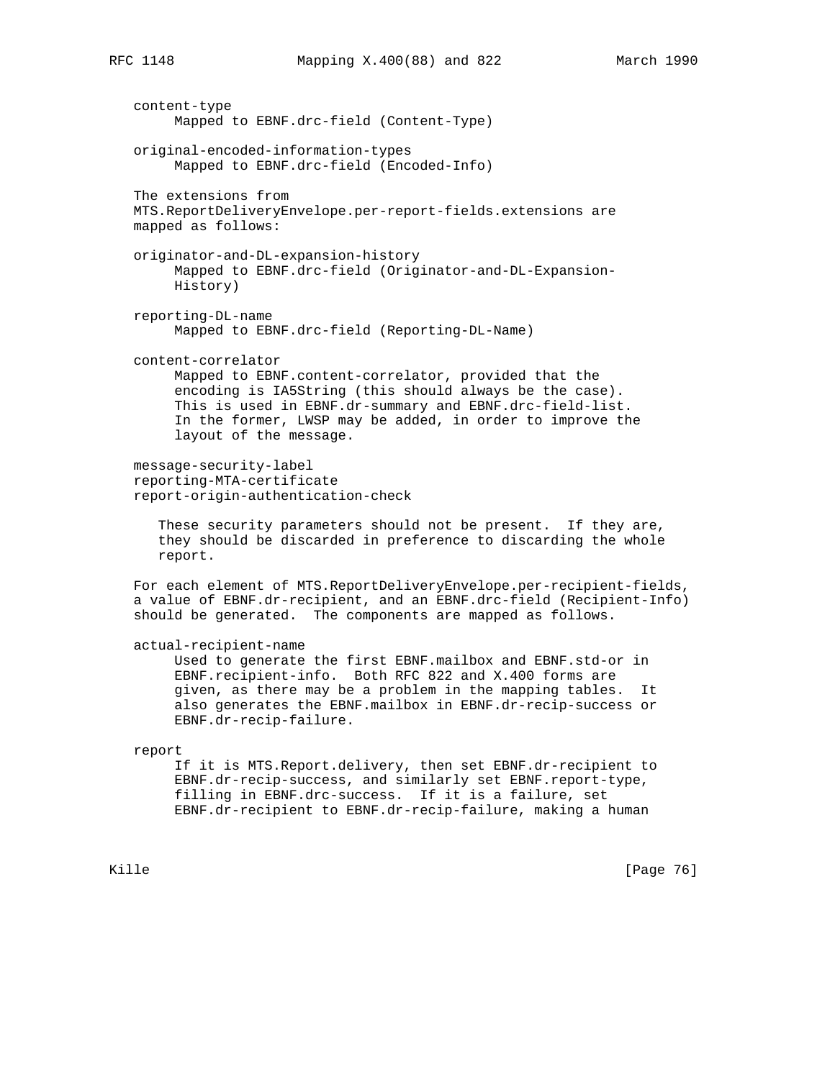content-type Mapped to EBNF.drc-field (Content-Type) original-encoded-information-types Mapped to EBNF.drc-field (Encoded-Info) The extensions from MTS.ReportDeliveryEnvelope.per-report-fields.extensions are mapped as follows: originator-and-DL-expansion-history Mapped to EBNF.drc-field (Originator-and-DL-Expansion- History) reporting-DL-name Mapped to EBNF.drc-field (Reporting-DL-Name) content-correlator Mapped to EBNF.content-correlator, provided that the encoding is IA5String (this should always be the case). This is used in EBNF.dr-summary and EBNF.drc-field-list. In the former, LWSP may be added, in order to improve the layout of the message. message-security-label reporting-MTA-certificate report-origin-authentication-check These security parameters should not be present. If they are, they should be discarded in preference to discarding the whole report. For each element of MTS.ReportDeliveryEnvelope.per-recipient-fields, a value of EBNF.dr-recipient, and an EBNF.drc-field (Recipient-Info) should be generated. The components are mapped as follows. actual-recipient-name Used to generate the first EBNF.mailbox and EBNF.std-or in EBNF.recipient-info. Both RFC 822 and X.400 forms are given, as there may be a problem in the mapping tables. It also generates the EBNF.mailbox in EBNF.dr-recip-success or EBNF.dr-recip-failure. report If it is MTS.Report.delivery, then set EBNF.dr-recipient to EBNF.dr-recip-success, and similarly set EBNF.report-type, filling in EBNF.drc-success. If it is a failure, set

EBNF.dr-recipient to EBNF.dr-recip-failure, making a human

Kille [Page 76]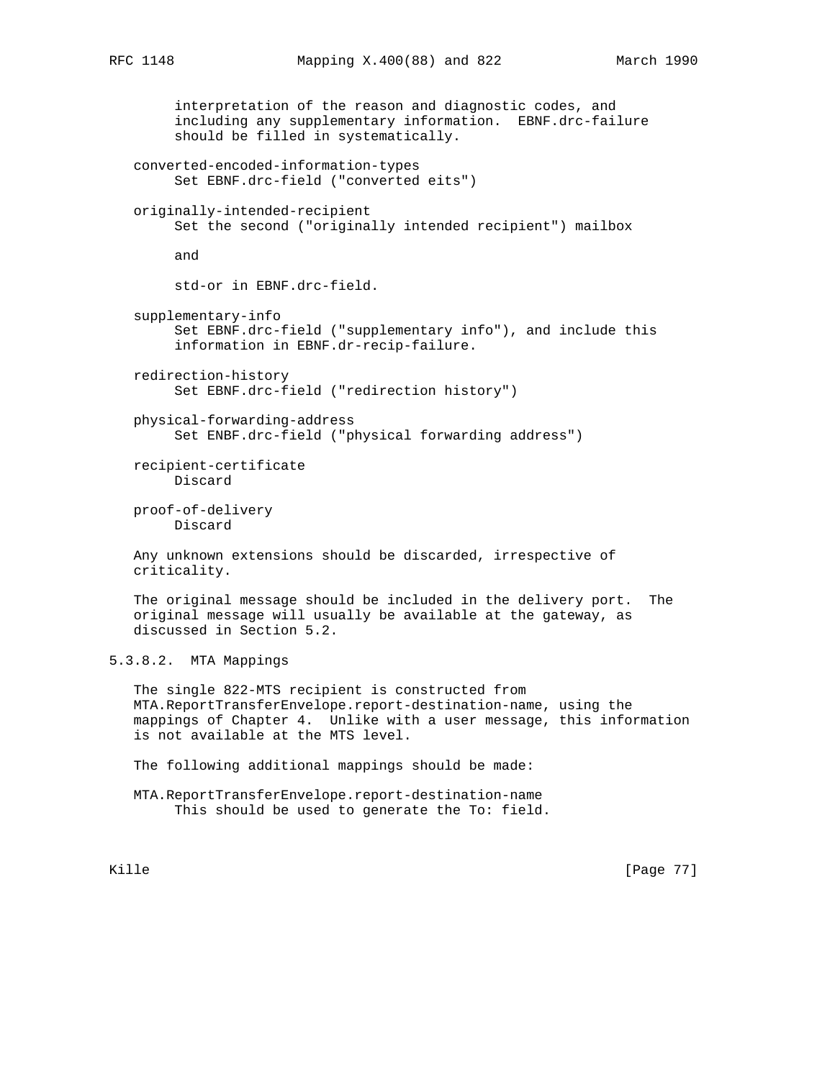```
 interpretation of the reason and diagnostic codes, and
         including any supplementary information. EBNF.drc-failure
         should be filled in systematically.
    converted-encoded-information-types
         Set EBNF.drc-field ("converted eits")
    originally-intended-recipient
         Set the second ("originally intended recipient") mailbox
         and
         std-or in EBNF.drc-field.
    supplementary-info
         Set EBNF.drc-field ("supplementary info"), and include this
         information in EBNF.dr-recip-failure.
   redirection-history
         Set EBNF.drc-field ("redirection history")
   physical-forwarding-address
         Set ENBF.drc-field ("physical forwarding address")
   recipient-certificate
         Discard
   proof-of-delivery
         Discard
   Any unknown extensions should be discarded, irrespective of
   criticality.
    The original message should be included in the delivery port. The
    original message will usually be available at the gateway, as
   discussed in Section 5.2.
5.3.8.2. MTA Mappings
    The single 822-MTS recipient is constructed from
    MTA.ReportTransferEnvelope.report-destination-name, using the
   mappings of Chapter 4. Unlike with a user message, this information
    is not available at the MTS level.
   The following additional mappings should be made:
   MTA.ReportTransferEnvelope.report-destination-name
         This should be used to generate the To: field.
```
Kille [Page 77]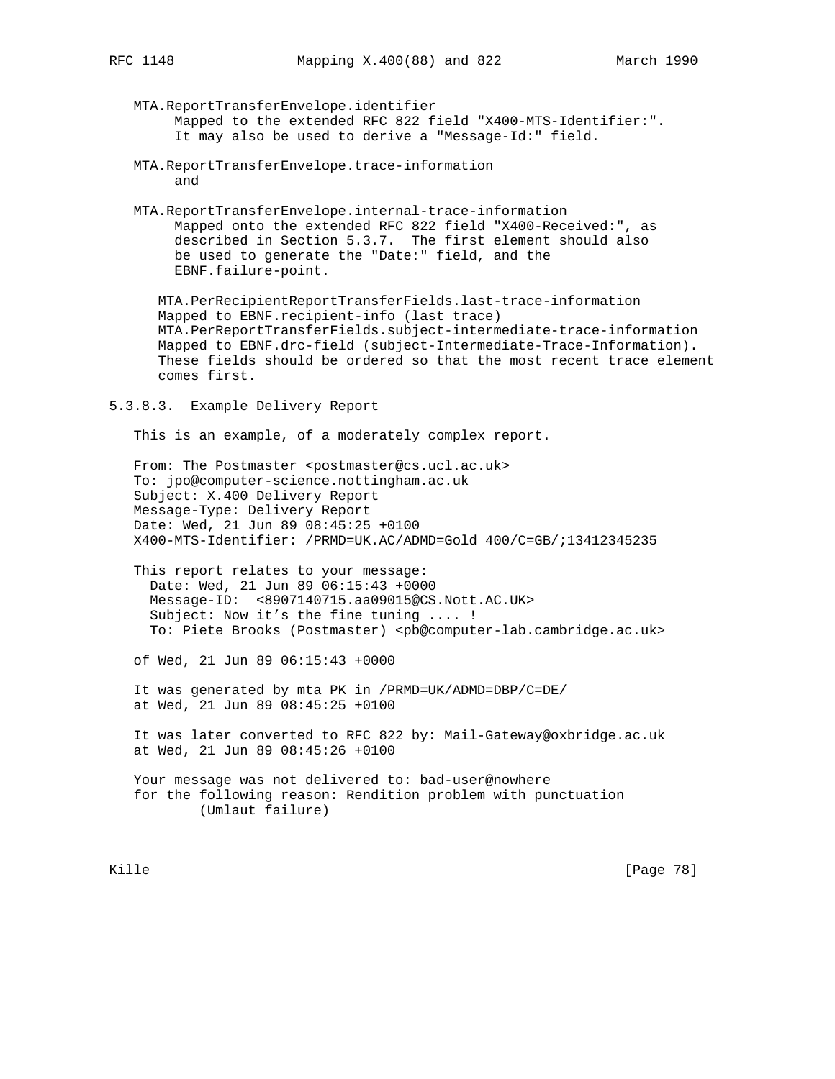MTA.ReportTransferEnvelope.identifier Mapped to the extended RFC 822 field "X400-MTS-Identifier:". It may also be used to derive a "Message-Id:" field.

- MTA.ReportTransferEnvelope.trace-information and
- MTA.ReportTransferEnvelope.internal-trace-information Mapped onto the extended RFC 822 field "X400-Received:", as described in Section 5.3.7. The first element should also be used to generate the "Date:" field, and the EBNF.failure-point.

 MTA.PerRecipientReportTransferFields.last-trace-information Mapped to EBNF.recipient-info (last trace) MTA.PerReportTransferFields.subject-intermediate-trace-information Mapped to EBNF.drc-field (subject-Intermediate-Trace-Information). These fields should be ordered so that the most recent trace element comes first.

5.3.8.3. Example Delivery Report

This is an example, of a moderately complex report.

From: The Postmaster <postmaster@cs.ucl.ac.uk> To: jpo@computer-science.nottingham.ac.uk Subject: X.400 Delivery Report Message-Type: Delivery Report Date: Wed, 21 Jun 89 08:45:25 +0100 X400-MTS-Identifier: /PRMD=UK.AC/ADMD=Gold 400/C=GB/;13412345235

 This report relates to your message: Date: Wed, 21 Jun 89 06:15:43 +0000 Message-ID: <8907140715.aa09015@CS.Nott.AC.UK> Subject: Now it's the fine tuning .... ! To: Piete Brooks (Postmaster) <pb@computer-lab.cambridge.ac.uk>

of Wed, 21 Jun 89 06:15:43 +0000

 It was generated by mta PK in /PRMD=UK/ADMD=DBP/C=DE/ at Wed, 21 Jun 89 08:45:25 +0100

 It was later converted to RFC 822 by: Mail-Gateway@oxbridge.ac.uk at Wed, 21 Jun 89 08:45:26 +0100

Your message was not delivered to: bad-user@nowhere for the following reason: Rendition problem with punctuation (Umlaut failure)

Kille [Page 78]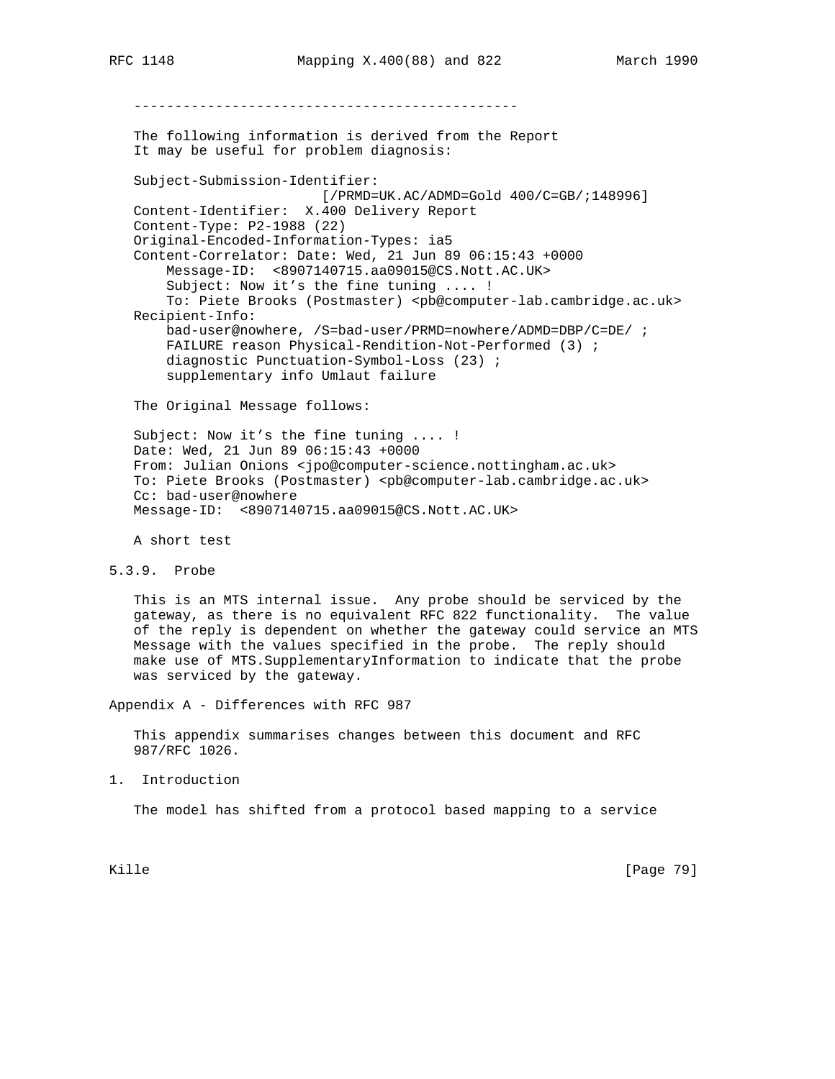----------------------------------------------- The following information is derived from the Report It may be useful for problem diagnosis: Subject-Submission-Identifier: [/PRMD=UK.AC/ADMD=Gold 400/C=GB/;148996] Content-Identifier: X.400 Delivery Report Content-Type: P2-1988 (22) Original-Encoded-Information-Types: ia5 Content-Correlator: Date: Wed, 21 Jun 89 06:15:43 +0000 Message-ID: <8907140715.aa09015@CS.Nott.AC.UK> Subject: Now it's the fine tuning .... ! To: Piete Brooks (Postmaster) <pb@computer-lab.cambridge.ac.uk> Recipient-Info: bad-user@nowhere, /S=bad-user/PRMD=nowhere/ADMD=DBP/C=DE/ ; FAILURE reason Physical-Rendition-Not-Performed (3) ; diagnostic Punctuation-Symbol-Loss (23) ; supplementary info Umlaut failure The Original Message follows: Subject: Now it's the fine tuning .... ! Date: Wed, 21 Jun 89 06:15:43 +0000 From: Julian Onions <jpo@computer-science.nottingham.ac.uk> To: Piete Brooks (Postmaster) <pb@computer-lab.cambridge.ac.uk> Cc: bad-user@nowhere Message-ID: <8907140715.aa09015@CS.Nott.AC.UK>

A short test

```
5.3.9. Probe
```
 This is an MTS internal issue. Any probe should be serviced by the gateway, as there is no equivalent RFC 822 functionality. The value of the reply is dependent on whether the gateway could service an MTS Message with the values specified in the probe. The reply should make use of MTS.SupplementaryInformation to indicate that the probe was serviced by the gateway.

Appendix A - Differences with RFC 987

 This appendix summarises changes between this document and RFC 987/RFC 1026.

1. Introduction

The model has shifted from a protocol based mapping to a service

Kille [Page 79]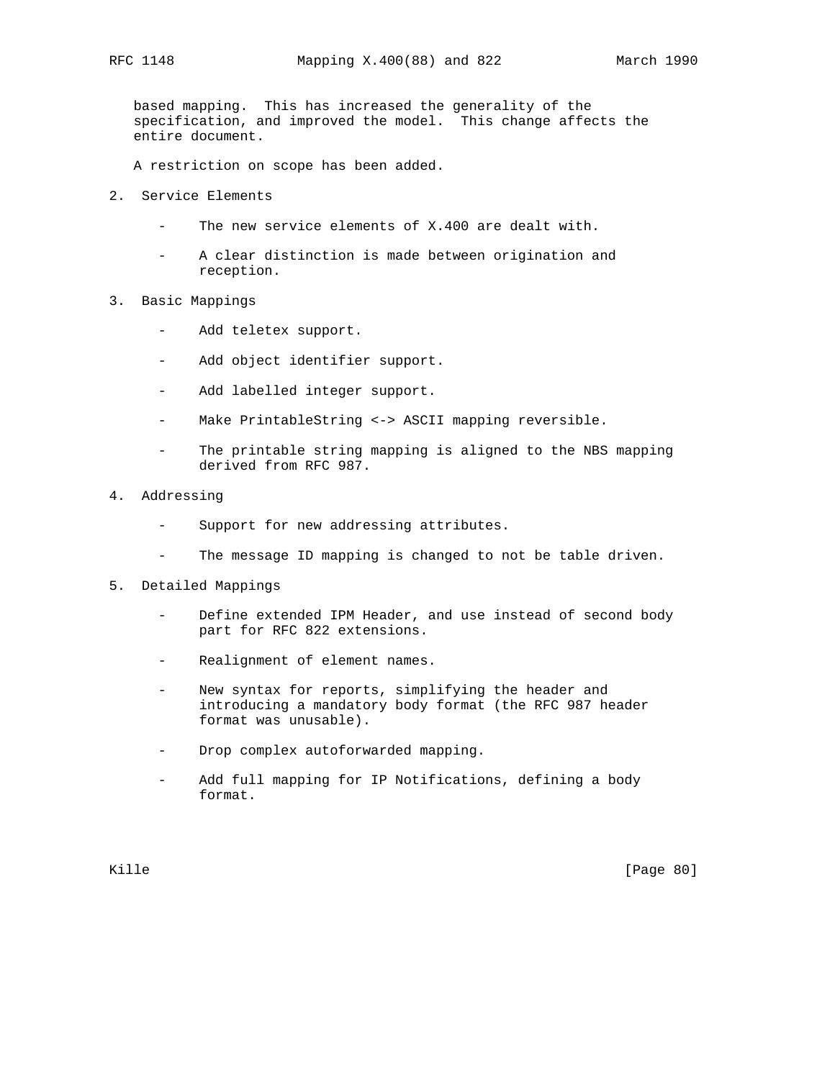based mapping. This has increased the generality of the specification, and improved the model. This change affects the entire document.

A restriction on scope has been added.

- 2. Service Elements
	- The new service elements of X.400 are dealt with.
	- A clear distinction is made between origination and reception.
- 3. Basic Mappings
	- Add teletex support.
	- Add object identifier support.
	- Add labelled integer support.
	- Make PrintableString <-> ASCII mapping reversible.
	- The printable string mapping is aligned to the NBS mapping derived from RFC 987.
- 4. Addressing
	- Support for new addressing attributes.
	- The message ID mapping is changed to not be table driven.
- 5. Detailed Mappings
	- Define extended IPM Header, and use instead of second body part for RFC 822 extensions.
	- Realignment of element names.
	- New syntax for reports, simplifying the header and introducing a mandatory body format (the RFC 987 header format was unusable).
	- Drop complex autoforwarded mapping.
	- Add full mapping for IP Notifications, defining a body format.

Kille [Page 80]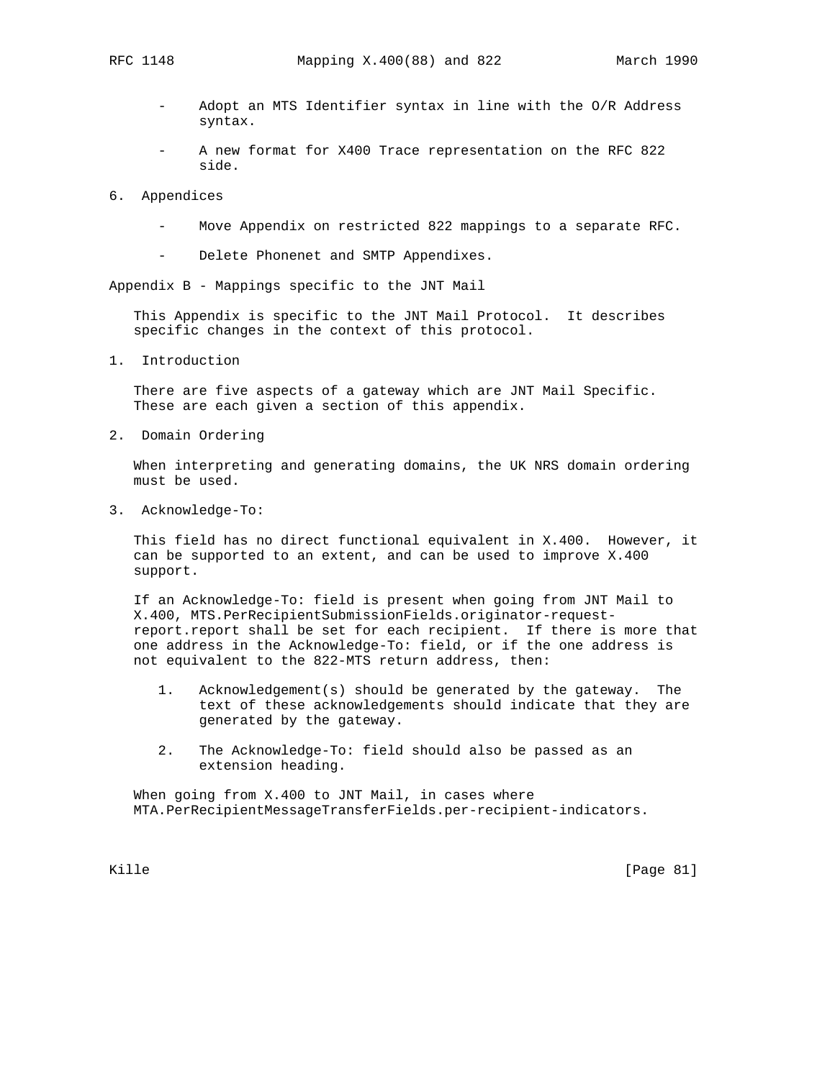- Adopt an MTS Identifier syntax in line with the O/R Address syntax.
- A new format for X400 Trace representation on the RFC 822 side.
- 6. Appendices
	- Move Appendix on restricted 822 mappings to a separate RFC.
	- Delete Phonenet and SMTP Appendixes.

Appendix B - Mappings specific to the JNT Mail

 This Appendix is specific to the JNT Mail Protocol. It describes specific changes in the context of this protocol.

1. Introduction

 There are five aspects of a gateway which are JNT Mail Specific. These are each given a section of this appendix.

2. Domain Ordering

 When interpreting and generating domains, the UK NRS domain ordering must be used.

3. Acknowledge-To:

 This field has no direct functional equivalent in X.400. However, it can be supported to an extent, and can be used to improve X.400 support.

 If an Acknowledge-To: field is present when going from JNT Mail to X.400, MTS.PerRecipientSubmissionFields.originator-request report.report shall be set for each recipient. If there is more that one address in the Acknowledge-To: field, or if the one address is not equivalent to the 822-MTS return address, then:

- 1. Acknowledgement(s) should be generated by the gateway. The text of these acknowledgements should indicate that they are generated by the gateway.
- 2. The Acknowledge-To: field should also be passed as an extension heading.

 When going from X.400 to JNT Mail, in cases where MTA.PerRecipientMessageTransferFields.per-recipient-indicators.

Kille [Page 81]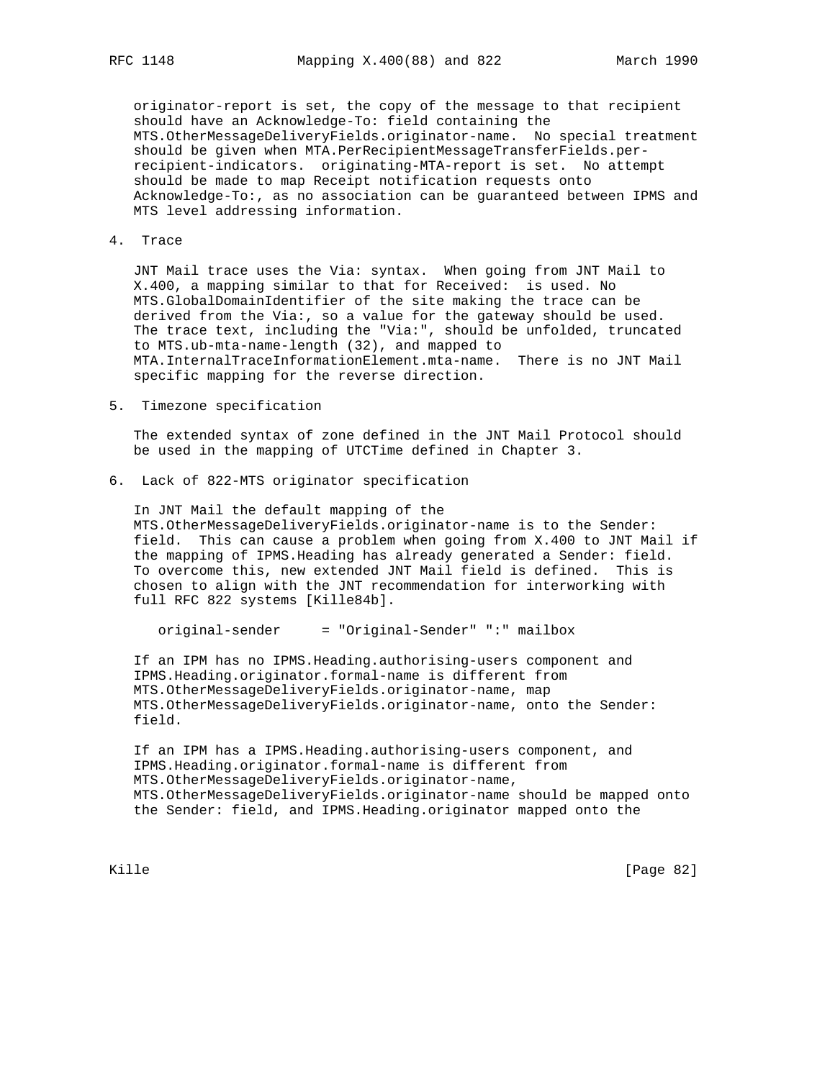originator-report is set, the copy of the message to that recipient should have an Acknowledge-To: field containing the MTS.OtherMessageDeliveryFields.originator-name. No special treatment should be given when MTA.PerRecipientMessageTransferFields.per recipient-indicators. originating-MTA-report is set. No attempt should be made to map Receipt notification requests onto Acknowledge-To:, as no association can be guaranteed between IPMS and MTS level addressing information.

4. Trace

 JNT Mail trace uses the Via: syntax. When going from JNT Mail to X.400, a mapping similar to that for Received: is used. No MTS.GlobalDomainIdentifier of the site making the trace can be derived from the Via:, so a value for the gateway should be used. The trace text, including the "Via:", should be unfolded, truncated to MTS.ub-mta-name-length (32), and mapped to MTA.InternalTraceInformationElement.mta-name. There is no JNT Mail specific mapping for the reverse direction.

5. Timezone specification

 The extended syntax of zone defined in the JNT Mail Protocol should be used in the mapping of UTCTime defined in Chapter 3.

6. Lack of 822-MTS originator specification

 In JNT Mail the default mapping of the MTS.OtherMessageDeliveryFields.originator-name is to the Sender: field. This can cause a problem when going from X.400 to JNT Mail if the mapping of IPMS.Heading has already generated a Sender: field. To overcome this, new extended JNT Mail field is defined. This is chosen to align with the JNT recommendation for interworking with full RFC 822 systems [Kille84b].

```
 original-sender = "Original-Sender" ":" mailbox
```
 If an IPM has no IPMS.Heading.authorising-users component and IPMS.Heading.originator.formal-name is different from MTS.OtherMessageDeliveryFields.originator-name, map MTS.OtherMessageDeliveryFields.originator-name, onto the Sender: field.

 If an IPM has a IPMS.Heading.authorising-users component, and IPMS.Heading.originator.formal-name is different from MTS.OtherMessageDeliveryFields.originator-name, MTS.OtherMessageDeliveryFields.originator-name should be mapped onto the Sender: field, and IPMS.Heading.originator mapped onto the

Kille [Page 82]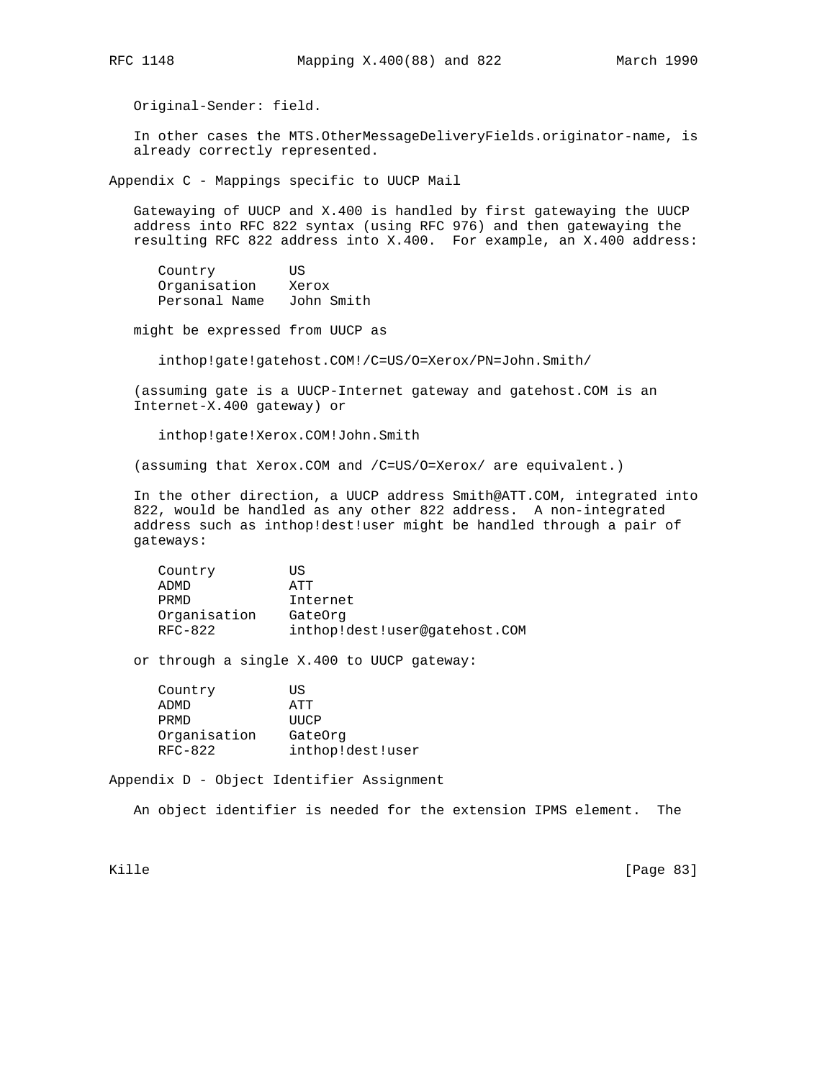Original-Sender: field.

 In other cases the MTS.OtherMessageDeliveryFields.originator-name, is already correctly represented.

Appendix C - Mappings specific to UUCP Mail

 Gatewaying of UUCP and X.400 is handled by first gatewaying the UUCP address into RFC 822 syntax (using RFC 976) and then gatewaying the resulting RFC 822 address into X.400. For example, an X.400 address:

 Country US Organisation Xerox Personal Name John Smith

might be expressed from UUCP as

inthop!gate!gatehost.COM!/C=US/O=Xerox/PN=John.Smith/

 (assuming gate is a UUCP-Internet gateway and gatehost.COM is an Internet-X.400 gateway) or

inthop!gate!Xerox.COM!John.Smith

(assuming that Xerox.COM and /C=US/O=Xerox/ are equivalent.)

 In the other direction, a UUCP address Smith@ATT.COM, integrated into 822, would be handled as any other 822 address. A non-integrated address such as inthop!dest!user might be handled through a pair of gateways:

| Country      | ΠS                            |
|--------------|-------------------------------|
| ADMD         | ΆTT                           |
| PRMD         | Internet                      |
| Organisation | GateOrq                       |
| RFC-822      | inthop!dest!user@gatehost.COM |

or through a single X.400 to UUCP gateway:

| ΠS               |
|------------------|
| ATT              |
| UUCP             |
| GateOrg          |
| inthop!dest!user |
|                  |

Appendix D - Object Identifier Assignment

An object identifier is needed for the extension IPMS element. The

Kille [Page 83]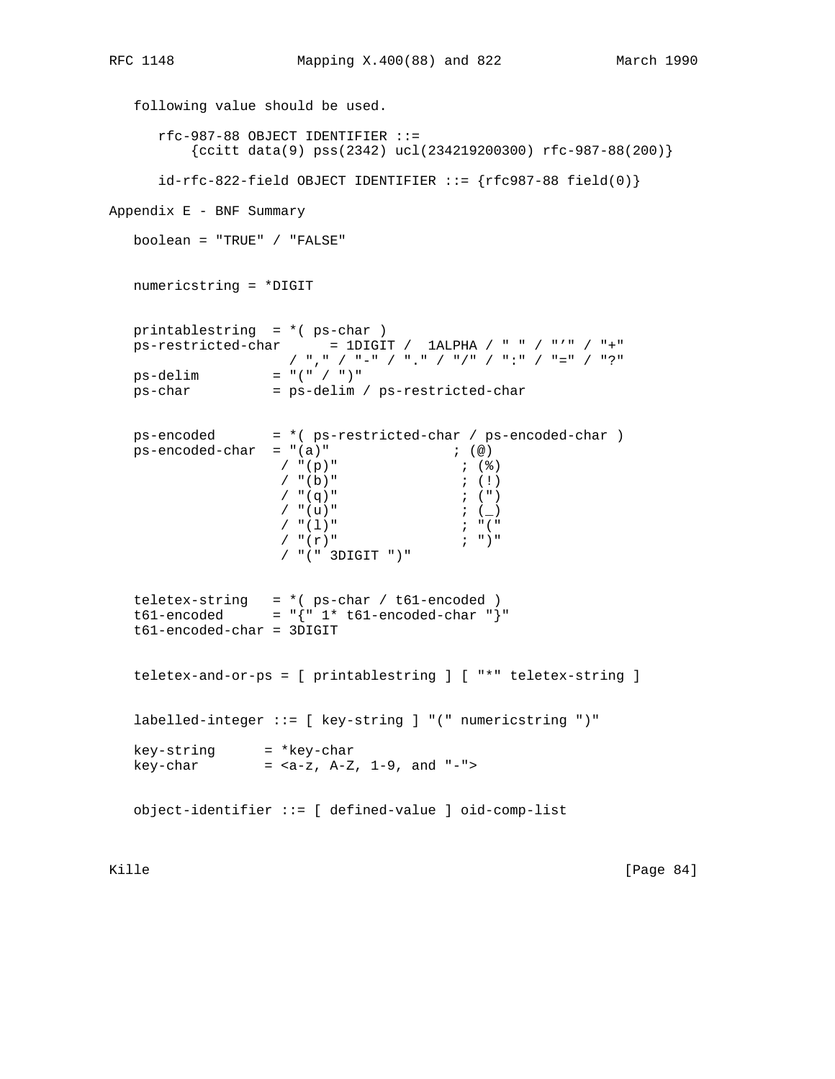```
 following value should be used.
        rfc-987-88 OBJECT IDENTIFIER ::=
            \{c\text{citt data}(9) \text{ pss}(2342) \text{ ucl}(234219200300) \text{ rfc-987-88}(200)\}\id-rfc-822-field OBJECT IDENTIFYER ::= {rfc987-88 field(0)}Appendix E - BNF Summary
    boolean = "TRUE" / "FALSE"
    numericstring = *DIGIT
    printablestring = *( ps-char )
   ps-restricted-char = 1DIGIT / 1ALPHA / " " / "'' / "+" / "," / "-" / "." / "/" / ":" / "=" / "?"
   ps-delim = "(" / ")"
    ps-char = ps-delim / ps-restricted-char
    ps-encoded = *( ps-restricted-char / ps-encoded-char )
   ps-encoded-char = "(a)" ; (@)
                        / "(p)" ; (%)
                         / " (b) "<br>
/ " (q) "<br>
i (!)<br>
i (")
                         / " (q)"
                         \begin{array}{ccc} \gamma & \text{``(u)} \text{''} & & & \text{''} \\ \gamma & \text{``(1)} \text{''} & & & \text{''} \end{array}\begin{array}{ccc} \gamma & \text{``(1)} \text{''} & \text{''} & \text{''} \text{''} \\ \gamma & \text{``(r)} \text{''} & \text{''} & \text{''} \text{''} \end{array}/ "(r)"
                          / "(" 3DIGIT ")"
   teletex-string = *( ps-char / t61-encoded )
   t61-encoded = \{ \| 1 * t61- \text{encoded}- \text{char} \| \| \} t61-encoded-char = 3DIGIT
    teletex-and-or-ps = [ printablestring ] [ "*" teletex-string ]
    labelled-integer ::= [ key-string ] "(" numericstring ")"
 key-string = *key-char
 key-char = <a-z, A-Z, 1-9, and "-">
    object-identifier ::= [ defined-value ] oid-comp-list
```
Kille [Page 84]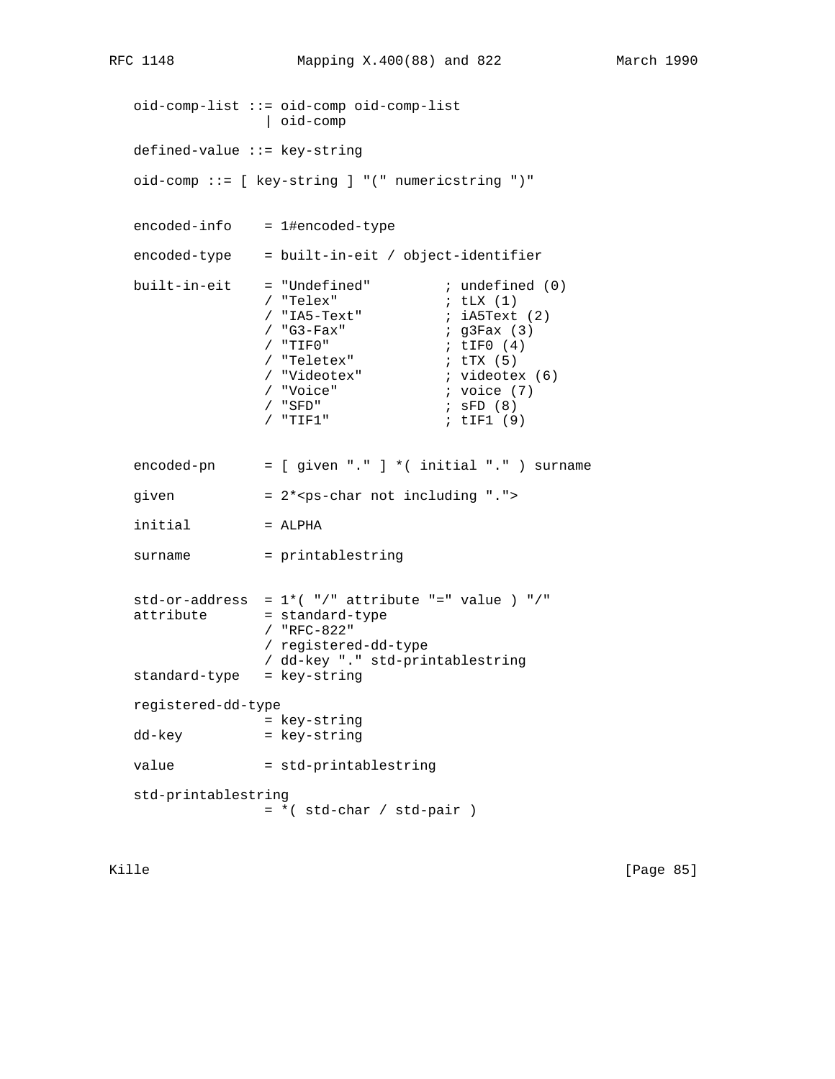oid-comp-list ::= oid-comp oid-comp-list | oid-comp defined-value ::= key-string oid-comp ::= [ key-string ] "(" numericstring ")" encoded-info = 1#encoded-type encoded-type = built-in-eit / object-identifier built-in-eit = "Undefined" ; undefined (0)<br>
/ "Telex" ; tLX (1)<br>
/ "IA5-Text" ; iA5Text (2)<br>
/ "G3-Fax" ; g3Fax (3) / "Telex" ; tLX (1)  $/$  "IA5-Text"  $i$  iA5Text (2) / "G3-Fax" ; g3Fax (3) / "TIF0" ; tIF0 (4) / "Teletex" ; tTX (5)  $\begin{align*} i \text{ video}{\text{text}}(6) \\ i \text{ voice} \end{align*}$ / "Teletex"<br>/ "Videotex"<br>/ "Voice"<br>/ "SFD" / "SFD" ; sFD (8)<br>/ "TIF1" ; tIF1 (9) ; tIF1 (9) encoded-pn = [ given "." ] \*( initial "." ) surname given  $= 2***ps**-char not including ".$  $initial$  = ALPHA surname = printablestring std-or-address =  $1*(-")$ " attribute "=" value ) "/" attribute = standard-type / "RFC-822" / registered-dd-type / dd-key "." std-printablestring standard-type = key-string registered-dd-type = key-string dd-key = key-string value = std-printablestring std-printablestring  $= *$ ( std-char / std-pair )

Kille [Page 85]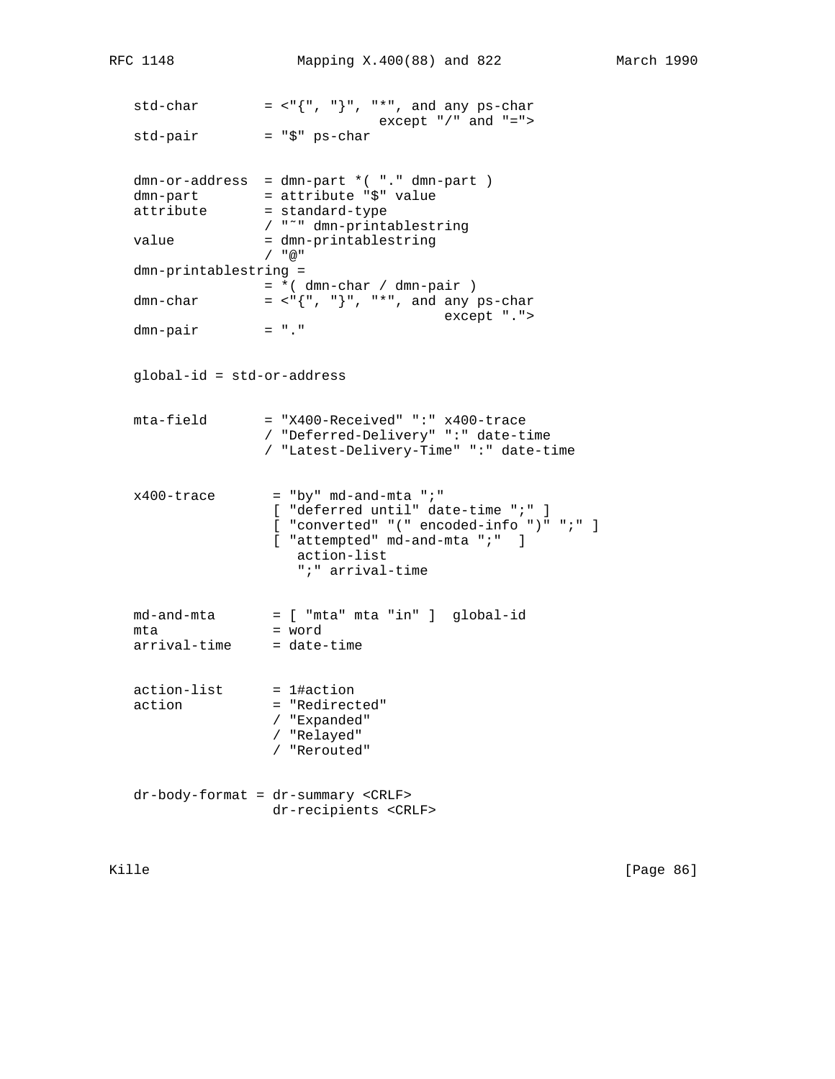```
std-char = \langle \cdot, \cdot \rangle", "*", and any ps-char
                             except "/" and "=">
 std-pair = "$" ps-char
dmn-or-address = dmn-part * ( "." dmn-part )
dmn-part = attribute "$" value
attribute = standard-type
               / "˜" dmn-printablestring
value = dmn-printablestring
                / "@"
 dmn-printablestring =
                = *( dmn-char / dmn-pair )
dmn-char = <"{", "}", "*", and any ps-char
              except ".">
dmn-pair
 global-id = std-or-address
 mta-field = "X400-Received" ":" x400-trace
                / "Deferred-Delivery" ":" date-time
                / "Latest-Delivery-Time" ":" date-time
x400-trace = "by" md-and-mta ";"
                 [ "deferred until" date-time ";" ]
                 [ "converted" "(" encoded-info ")" ";" ]
                [ "attempted" md-and-mta ";" ]
                  action-list
                   ";" arrival-time
 md-and-mta = [ "mta" mta "in" ] global-id
mta = word<br>arrival-time = date-time
arrival-time
 action-list = 1#action
action = "Redirected"
                / "Expanded"
                / "Relayed"
                 / "Rerouted"
 dr-body-format = dr-summary <CRLF>
                dr-recipients <CRLF>
```
Kille [Page 86]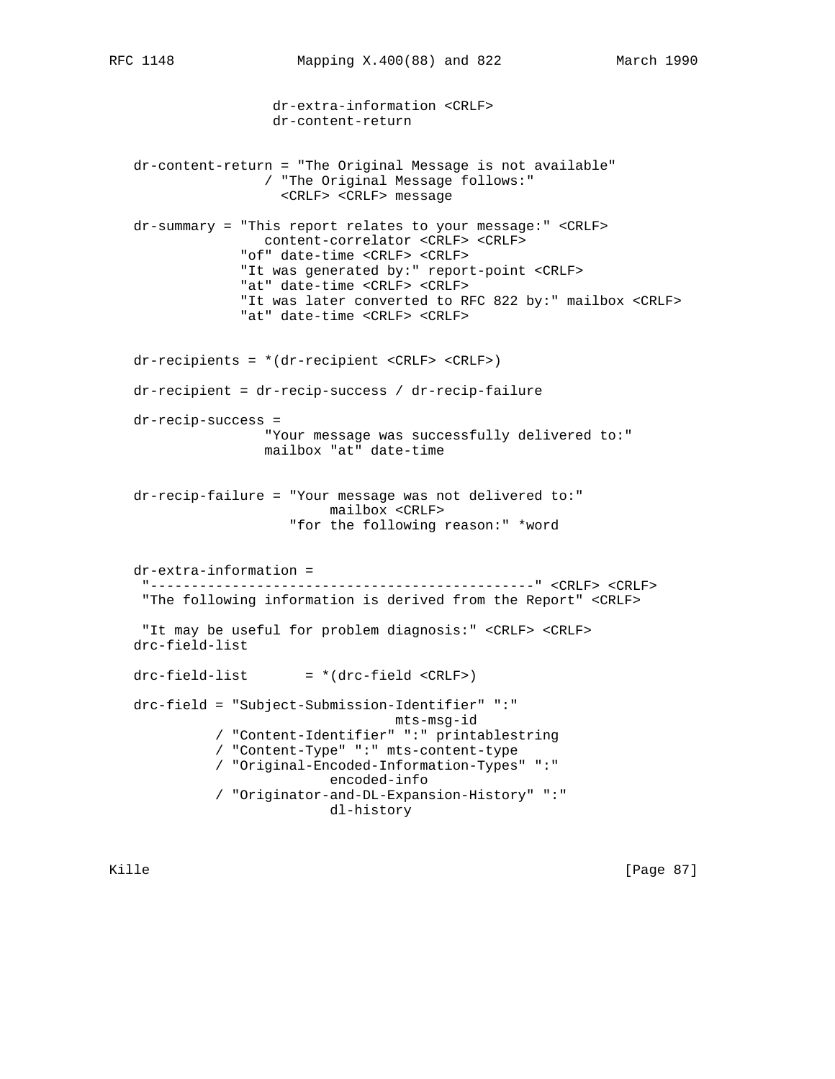dr-extra-information <CRLF>

dr-content-return

 dr-content-return = "The Original Message is not available" / "The Original Message follows:" <CRLF> <CRLF> message dr-summary = "This report relates to your message:" <CRLF> content-correlator <CRLF> <CRLF> "of" date-time <CRLF> <CRLF> "It was generated by:" report-point <CRLF> "at" date-time <CRLF> <CRLF> "It was later converted to RFC 822 by:" mailbox <CRLF> "at" date-time <CRLF> <CRLF> dr-recipients = \*(dr-recipient <CRLF> <CRLF>) dr-recipient = dr-recip-success / dr-recip-failure dr-recip-success = "Your message was successfully delivered to:" mailbox "at" date-time dr-recip-failure = "Your message was not delivered to:" mailbox <CRLF> "for the following reason:" \*word dr-extra-information = "-----------------------------------------------" <CRLF> <CRLF> "The following information is derived from the Report" <CRLF> "It may be useful for problem diagnosis:" <CRLF> <CRLF> drc-field-list  $drc-field-list$  =  $*(drc-field < CRLF)$  drc-field = "Subject-Submission-Identifier" ":" mts-msg-id / "Content-Identifier" ":" printablestring / "Content-Type" ":" mts-content-type / "Original-Encoded-Information-Types" ":" encoded-info / "Originator-and-DL-Expansion-History" ":" dl-history

Kille [Page 87]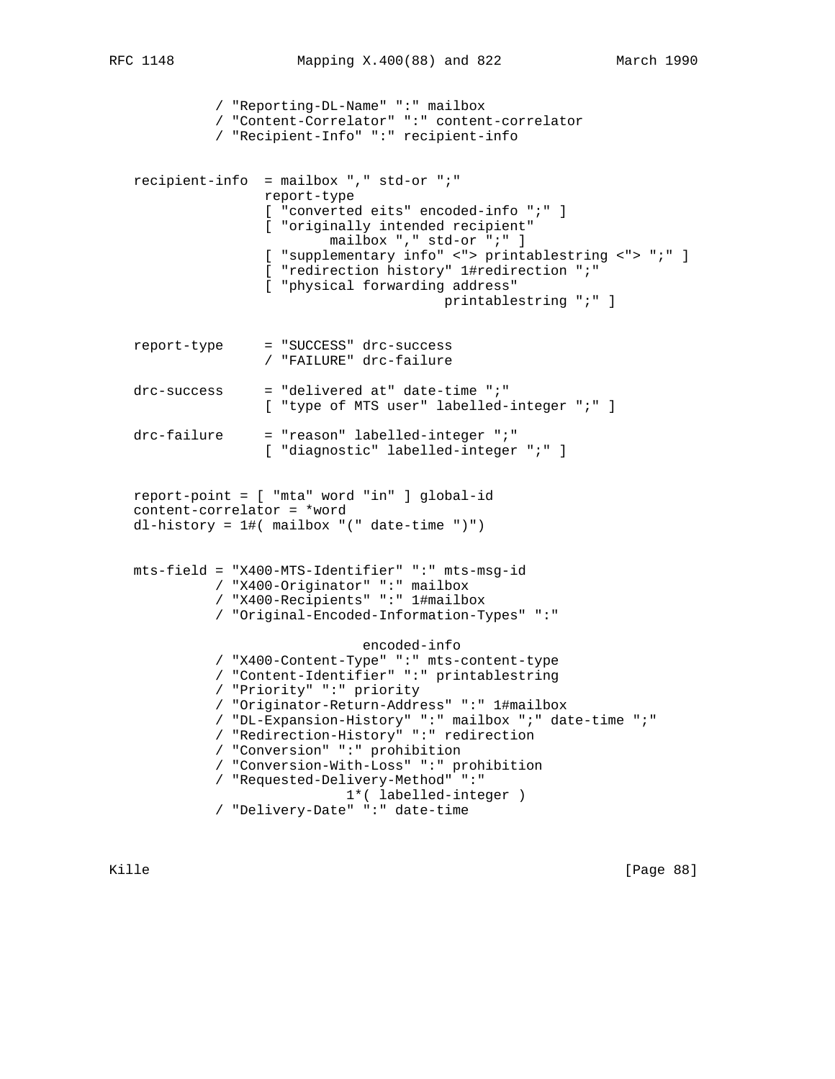/ "Reporting-DL-Name" ":" mailbox / "Content-Correlator" ":" content-correlator / "Recipient-Info" ":" recipient-info recipient-info = mailbox "," std-or ";" report-type [ "converted eits" encoded-info ";" ] [ "originally intended recipient" mailbox "," std-or ";" ] [ "supplementary info" <"> printablestring <"> ";" ] [ "redirection history" 1#redirection ";" [ "physical forwarding address" printablestring ";" ] report-type = "SUCCESS" drc-success / "FAILURE" drc-failure  $drc$ -success = "delivered at" date-time ";" [ "type of MTS user" labelled-integer ";" ] drc-failure = "reason" labelled-integer ";" [ "diagnostic" labelled-integer ";" ] report-point = [ "mta" word "in" ] global-id content-correlator = \*word dl-history = 1#( mailbox "(" date-time ")") mts-field = "X400-MTS-Identifier" ":" mts-msg-id / "X400-Originator" ":" mailbox / "X400-Recipients" ":" 1#mailbox / "Original-Encoded-Information-Types" ":" encoded-info / "X400-Content-Type" ":" mts-content-type / "Content-Identifier" ":" printablestring / "Priority" ":" priority / "Originator-Return-Address" ":" 1#mailbox / "DL-Expansion-History" ":" mailbox ";" date-time ";" / "Redirection-History" ":" redirection / "Conversion" ":" prohibition / "Conversion-With-Loss" ":" prohibition / "Requested-Delivery-Method" ":" 1\*( labelled-integer ) / "Delivery-Date" ":" date-time

Kille [Page 88]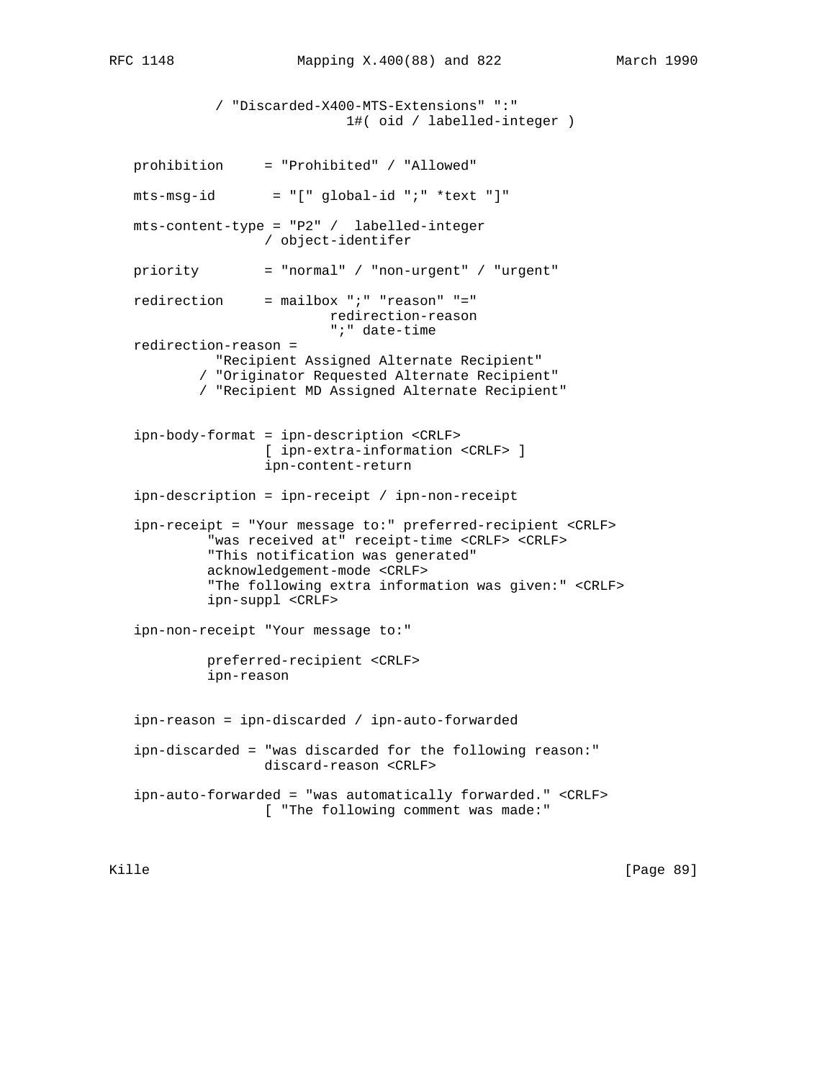/ "Discarded-X400-MTS-Extensions" ":" 1#( oid / labelled-integer ) prohibition = "Prohibited" / "Allowed"  $mts-msg-id = "[' global-id "i" *text "]"$  mts-content-type = "P2" / labelled-integer / object-identifer priority = "normal" / "non-urgent" / "urgent" redirection = mailbox ";" "reason" "=" redirection-reason ";" date-time redirection-reason = "Recipient Assigned Alternate Recipient" / "Originator Requested Alternate Recipient" / "Recipient MD Assigned Alternate Recipient" ipn-body-format = ipn-description <CRLF> [ ipn-extra-information <CRLF> ] ipn-content-return ipn-description = ipn-receipt / ipn-non-receipt ipn-receipt = "Your message to:" preferred-recipient <CRLF> "was received at" receipt-time <CRLF> <CRLF> "This notification was generated" acknowledgement-mode <CRLF> "The following extra information was given:" <CRLF> ipn-suppl <CRLF> ipn-non-receipt "Your message to:" preferred-recipient <CRLF> ipn-reason ipn-reason = ipn-discarded / ipn-auto-forwarded ipn-discarded = "was discarded for the following reason:" discard-reason <CRLF> ipn-auto-forwarded = "was automatically forwarded." <CRLF> [ "The following comment was made:"

Kille [Page 89]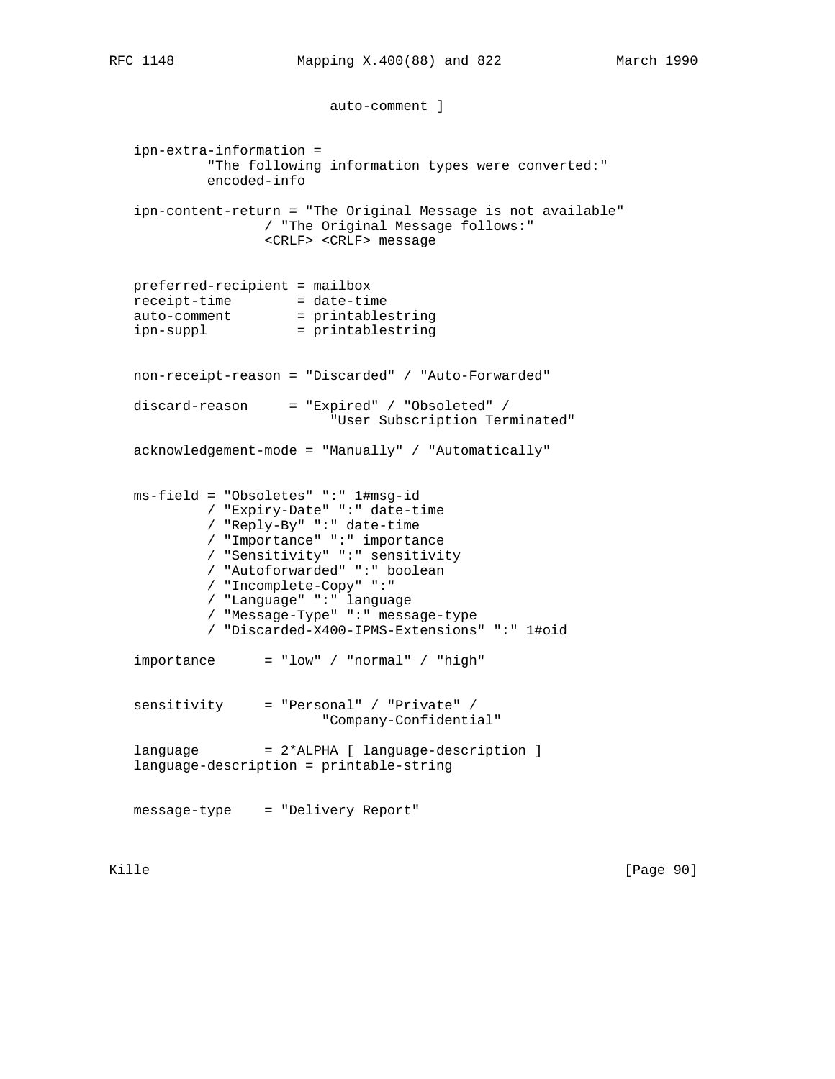```
 auto-comment ]
```
 ipn-extra-information = "The following information types were converted:" encoded-info ipn-content-return = "The Original Message is not available" / "The Original Message follows:" <CRLF> <CRLF> message preferred-recipient = mailbox receipt-time = date-time auto-comment = printablestring ipn-suppl = printablestring non-receipt-reason = "Discarded" / "Auto-Forwarded" discard-reason = "Expired" / "Obsoleted" / "User Subscription Terminated" acknowledgement-mode = "Manually" / "Automatically" ms-field = "Obsoletes" ":" 1#msg-id / "Expiry-Date" ":" date-time / "Reply-By" ":" date-time / "Importance" ":" importance / "Sensitivity" ":" sensitivity / "Autoforwarded" ":" boolean / "Incomplete-Copy" ":" / "Language" ":" language / "Message-Type" ":" message-type / "Discarded-X400-IPMS-Extensions" ":" 1#oid  $importance = "low" / "normal" / "high"$  sensitivity = "Personal" / "Private" / "Company-Confidential" language = 2\*ALPHA [ language-description ] language-description = printable-string message-type = "Delivery Report"

Kille [Page 90]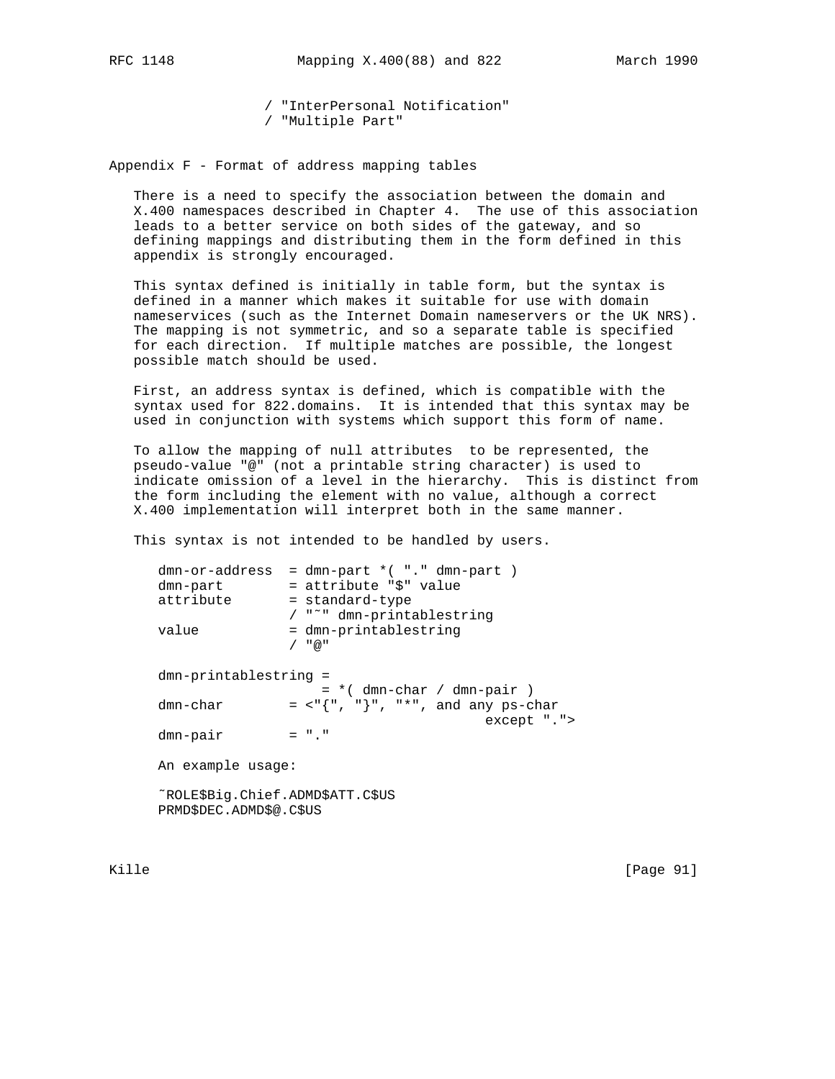/ "InterPersonal Notification" / "Multiple Part"

Appendix F - Format of address mapping tables

 There is a need to specify the association between the domain and X.400 namespaces described in Chapter 4. The use of this association leads to a better service on both sides of the gateway, and so defining mappings and distributing them in the form defined in this appendix is strongly encouraged.

 This syntax defined is initially in table form, but the syntax is defined in a manner which makes it suitable for use with domain nameservices (such as the Internet Domain nameservers or the UK NRS). The mapping is not symmetric, and so a separate table is specified for each direction. If multiple matches are possible, the longest possible match should be used.

 First, an address syntax is defined, which is compatible with the syntax used for 822.domains. It is intended that this syntax may be used in conjunction with systems which support this form of name.

 To allow the mapping of null attributes to be represented, the pseudo-value "@" (not a printable string character) is used to indicate omission of a level in the hierarchy. This is distinct from the form including the element with no value, although a correct X.400 implementation will interpret both in the same manner.

This syntax is not intended to be handled by users.

| dmn-or-address<br>dmn-part<br>attribute<br>value            | $=$ dmn-part $*($ "." dmn-part )<br>= attribute "\$" value<br>= standard-type<br>/ "~" dmn-printablestring<br>= dmn-printablestring<br>/ "@" |
|-------------------------------------------------------------|----------------------------------------------------------------------------------------------------------------------------------------------|
| dmn-printablestring =<br>dmn-char<br>$dmn$ -pair            | $= *$ (dmn-char / dmn-pair )<br>$=$ <"{", "}", "*", and any ps-char<br>except "."><br>$=$ "."                                                |
| An example usage:                                           |                                                                                                                                              |
| ~ROLE\$Big.Chief.ADMD\$ATT.C\$US<br>PRMD\$DEC.ADMD\$@.C\$US |                                                                                                                                              |

Kille [Page 91]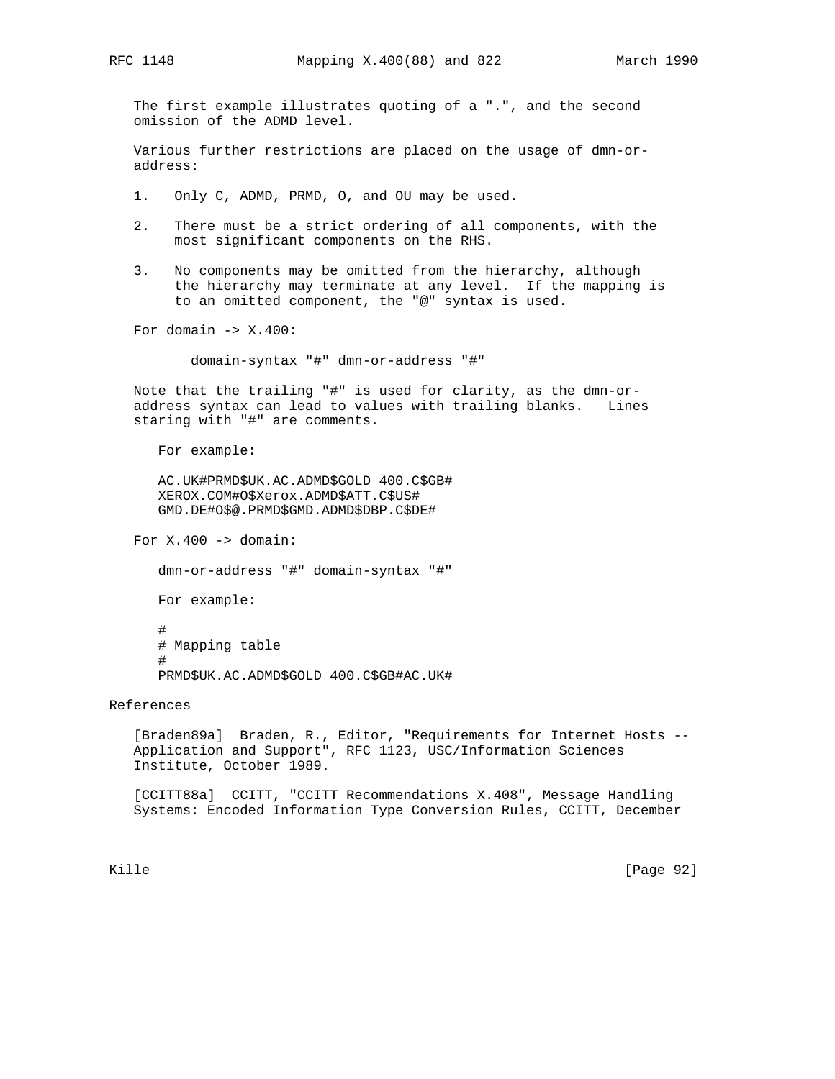The first example illustrates quoting of a ".", and the second omission of the ADMD level.

 Various further restrictions are placed on the usage of dmn-or address:

1. Only C, ADMD, PRMD, O, and OU may be used.

- 2. There must be a strict ordering of all components, with the most significant components on the RHS.
- 3. No components may be omitted from the hierarchy, although the hierarchy may terminate at any level. If the mapping is to an omitted component, the "@" syntax is used.

For domain  $\rightarrow$  X.400:

domain-syntax "#" dmn-or-address "#"

 Note that the trailing "#" is used for clarity, as the dmn-or address syntax can lead to values with trailing blanks. Lines staring with "#" are comments.

For example:

 AC.UK#PRMD\$UK.AC.ADMD\$GOLD 400.C\$GB# XEROX.COM#O\$Xerox.ADMD\$ATT.C\$US# GMD.DE#O\$@.PRMD\$GMD.ADMD\$DBP.C\$DE#

For  $X.400 ->$  domain:

dmn-or-address "#" domain-syntax "#"

For example:

 # # Mapping table # PRMD\$UK.AC.ADMD\$GOLD 400.C\$GB#AC.UK#

References

 [Braden89a] Braden, R., Editor, "Requirements for Internet Hosts -- Application and Support", RFC 1123, USC/Information Sciences Institute, October 1989.

 [CCITT88a] CCITT, "CCITT Recommendations X.408", Message Handling Systems: Encoded Information Type Conversion Rules, CCITT, December

Kille [Page 92]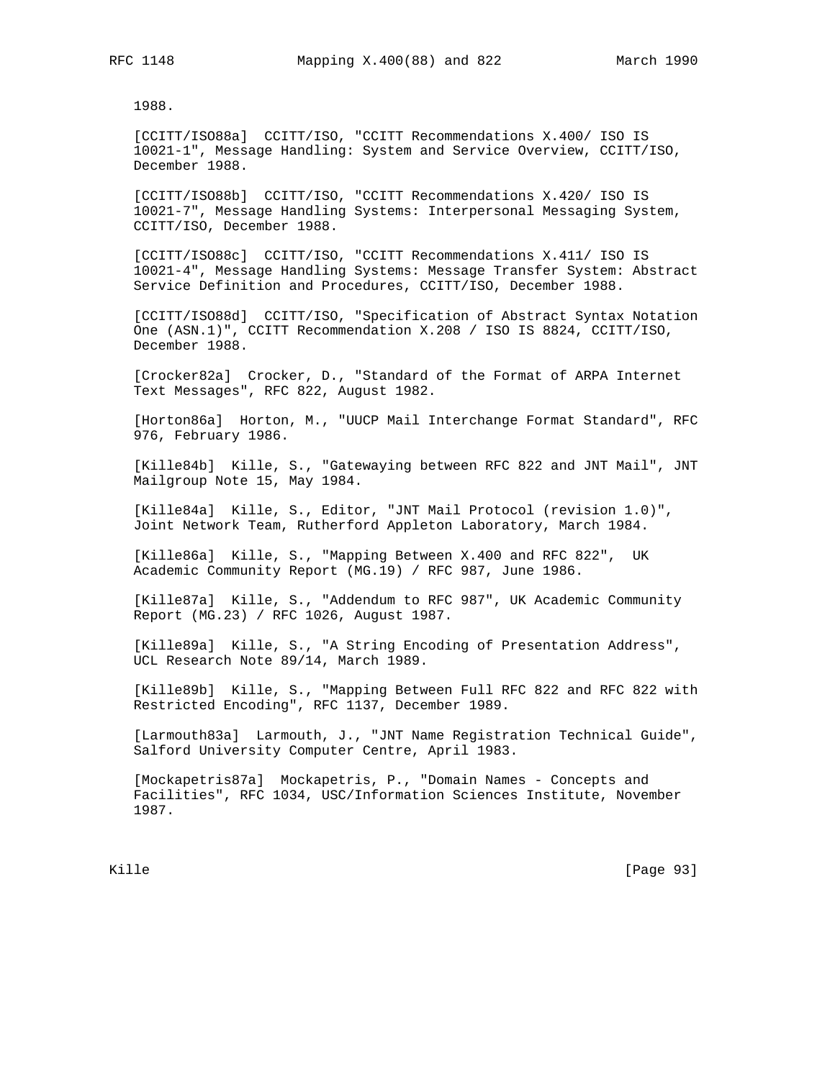1988.

 [CCITT/ISO88a] CCITT/ISO, "CCITT Recommendations X.400/ ISO IS 10021-1", Message Handling: System and Service Overview, CCITT/ISO, December 1988.

 [CCITT/ISO88b] CCITT/ISO, "CCITT Recommendations X.420/ ISO IS 10021-7", Message Handling Systems: Interpersonal Messaging System, CCITT/ISO, December 1988.

 [CCITT/ISO88c] CCITT/ISO, "CCITT Recommendations X.411/ ISO IS 10021-4", Message Handling Systems: Message Transfer System: Abstract Service Definition and Procedures, CCITT/ISO, December 1988.

 [CCITT/ISO88d] CCITT/ISO, "Specification of Abstract Syntax Notation One (ASN.1)", CCITT Recommendation X.208 / ISO IS 8824, CCITT/ISO, December 1988.

 [Crocker82a] Crocker, D., "Standard of the Format of ARPA Internet Text Messages", RFC 822, August 1982.

 [Horton86a] Horton, M., "UUCP Mail Interchange Format Standard", RFC 976, February 1986.

 [Kille84b] Kille, S., "Gatewaying between RFC 822 and JNT Mail", JNT Mailgroup Note 15, May 1984.

 [Kille84a] Kille, S., Editor, "JNT Mail Protocol (revision 1.0)", Joint Network Team, Rutherford Appleton Laboratory, March 1984.

 [Kille86a] Kille, S., "Mapping Between X.400 and RFC 822", UK Academic Community Report (MG.19) / RFC 987, June 1986.

 [Kille87a] Kille, S., "Addendum to RFC 987", UK Academic Community Report (MG.23) / RFC 1026, August 1987.

 [Kille89a] Kille, S., "A String Encoding of Presentation Address", UCL Research Note 89/14, March 1989.

 [Kille89b] Kille, S., "Mapping Between Full RFC 822 and RFC 822 with Restricted Encoding", RFC 1137, December 1989.

[Larmouth83a] Larmouth, J., "JNT Name Registration Technical Guide", Salford University Computer Centre, April 1983.

 [Mockapetris87a] Mockapetris, P., "Domain Names - Concepts and Facilities", RFC 1034, USC/Information Sciences Institute, November 1987.

Kille [Page 93]